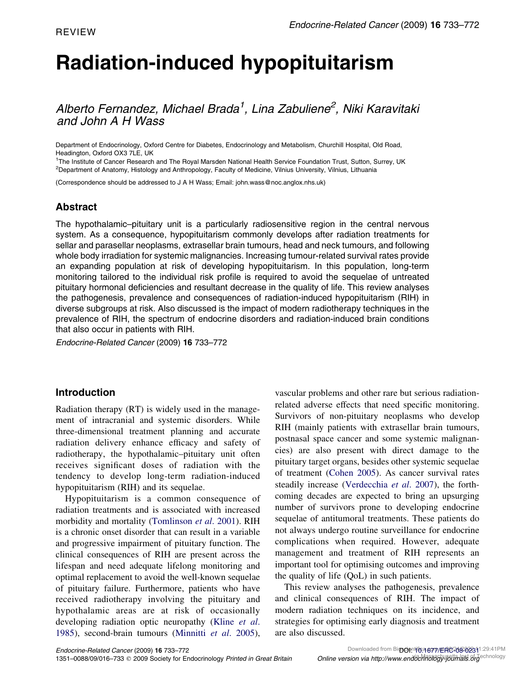# Radiation-induced hypopituitarism

Alberto Fernandez, Michael Brada<sup>1</sup>, Lina Zabuliene<sup>2</sup>, Niki Karavitaki and John A H Wass

Department of Endocrinology, Oxford Centre for Diabetes, Endocrinology and Metabolism, Churchill Hospital, Old Road, Headington, Oxford OX3 7LE, UK

<sup>1</sup>The Institute of Cancer Research and The Royal Marsden National Health Service Foundation Trust, Sutton, Surrey, UK 2 Department of Anatomy, Histology and Anthropology, Faculty of Medicine, Vilnius University, Vilnius, Lithuania

(Correspondence should be addressed to J A H Wass; Email: john.wass@noc.anglox.nhs.uk)

# Abstract

The hypothalamic–pituitary unit is a particularly radiosensitive region in the central nervous system. As a consequence, hypopituitarism commonly develops after radiation treatments for sellar and parasellar neoplasms, extrasellar brain tumours, head and neck tumours, and following whole body irradiation for systemic malignancies. Increasing tumour-related survival rates provide an expanding population at risk of developing hypopituitarism. In this population, long-term monitoring tailored to the individual risk profile is required to avoid the sequelae of untreated pituitary hormonal deficiencies and resultant decrease in the quality of life. This review analyses the pathogenesis, prevalence and consequences of radiation-induced hypopituitarism (RIH) in diverse subgroups at risk. Also discussed is the impact of modern radiotherapy techniques in the prevalence of RIH, the spectrum of endocrine disorders and radiation-induced brain conditions that also occur in patients with RIH.

Endocrine-Related Cancer (2009) 16 733–772

## Introduction

Radiation therapy (RT) is widely used in the management of intracranial and systemic disorders. While three-dimensional treatment planning and accurate radiation delivery enhance efficacy and safety of radiotherapy, the hypothalamic–pituitary unit often receives significant doses of radiation with the tendency to develop long-term radiation-induced hypopituitarism (RIH) and its sequelae.

Hypopituitarism is a common consequence of radiation treatments and is associated with increased morbidity and mortality ([Tomlinson](#page-38-0) et al. 2001). RIH is a chronic onset disorder that can result in a variable and progressive impairment of pituitary function. The clinical consequences of RIH are present across the lifespan and need adequate lifelong monitoring and optimal replacement to avoid the well-known sequelae of pituitary failure. Furthermore, patients who have received radiotherapy involving the pituitary and hypothalamic areas are at risk of occasionally developing radiation optic neuropathy ([Kline](#page-33-0) et al. [1985\)](#page-33-0), second-brain tumours [\(Minnitti](#page-34-0) et al. 2005), vascular problems and other rare but serious radiationrelated adverse effects that need specific monitoring. Survivors of non-pituitary neoplasms who develop RIH (mainly patients with extrasellar brain tumours, postnasal space cancer and some systemic malignancies) are also present with direct damage to the pituitary target organs, besides other systemic sequelae of treatment ([Cohen 2005](#page-29-0)). As cancer survival rates steadily increase [\(Verdecchia](#page-38-0) et al. 2007), the forthcoming decades are expected to bring an upsurging number of survivors prone to developing endocrine sequelae of antitumoral treatments. These patients do not always undergo routine surveillance for endocrine complications when required. However, adequate management and treatment of RIH represents an important tool for optimising outcomes and improving the quality of life (QoL) in such patients.

This review analyses the pathogenesis, prevalence and clinical consequences of RIH. The impact of modern radiation techniques on its incidence, and strategies for optimising early diagnosis and treatment are also discussed.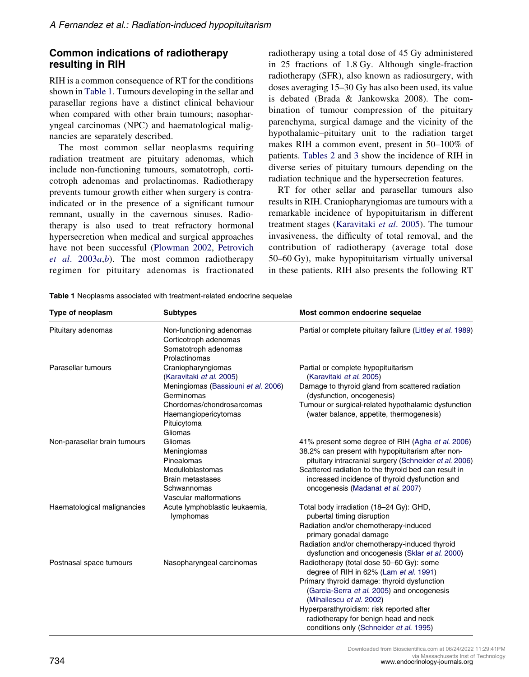# Common indications of radiotherapy resulting in RIH

RIH is a common consequence of RT for the conditions shown in Table 1. Tumours developing in the sellar and parasellar regions have a distinct clinical behaviour when compared with other brain tumours; nasopharyngeal carcinomas (NPC) and haematological malignancies are separately described.

The most common sellar neoplasms requiring radiation treatment are pituitary adenomas, which include non-functioning tumours, somatotroph, corticotroph adenomas and prolactinomas. Radiotherapy prevents tumour growth either when surgery is contraindicated or in the presence of a significant tumour remnant, usually in the cavernous sinuses. Radiotherapy is also used to treat refractory hormonal hypersecretion when medical and surgical approaches have not been successful ([Plowman 2002,](#page-36-0) [Petrovich](#page-36-0) et al.  $2003a,b$  $2003a,b$ . The most common radiotherapy regimen for pituitary adenomas is fractionated radiotherapy using a total dose of 45 Gy administered in 25 fractions of 1.8 Gy. Although single-fraction radiotherapy (SFR), also known as radiosurgery, with doses averaging 15–30 Gy has also been used, its value is debated (Brada & Jankowska 2008). The combination of tumour compression of the pituitary parenchyma, surgical damage and the vicinity of the hypothalamic–pituitary unit to the radiation target makes RIH a common event, present in 50–100% of patients. [Tables 2](#page-2-0) and [3](#page-6-0) show the incidence of RIH in diverse series of pituitary tumours depending on the radiation technique and the hypersecretion features.

RT for other sellar and parasellar tumours also results in RIH. Craniopharyngiomas are tumours with a remarkable incidence of hypopituitarism in different treatment stages [\(Karavitaki](#page-32-0) et al. 2005). The tumour invasiveness, the difficulty of total removal, and the contribution of radiotherapy (average total dose 50–60 Gy), make hypopituitarism virtually universal in these patients. RIH also presents the following RT

| Type of neoplasm             | <b>Subtypes</b>                                                                                                                     | Most common endocrine sequelae                                                                                                                                                                                                                                                                                                              |
|------------------------------|-------------------------------------------------------------------------------------------------------------------------------------|---------------------------------------------------------------------------------------------------------------------------------------------------------------------------------------------------------------------------------------------------------------------------------------------------------------------------------------------|
| Pituitary adenomas           | Non-functioning adenomas<br>Corticotroph adenomas<br>Somatotroph adenomas<br>Prolactinomas                                          | Partial or complete pituitary failure (Littley et al. 1989)                                                                                                                                                                                                                                                                                 |
| Parasellar tumours           | Craniopharyngiomas<br>(Karavitaki et al. 2005)<br>Meningiomas (Bassiouni et al. 2006)<br>Germinomas                                 | Partial or complete hypopituitarism<br>(Karavitaki et al. 2005)<br>Damage to thyroid gland from scattered radiation<br>(dysfunction, oncogenesis)                                                                                                                                                                                           |
|                              | Chordomas/chondrosarcomas<br>Haemangiopericytomas<br>Pituicytoma<br>Gliomas                                                         | Tumour or surgical-related hypothalamic dysfunction<br>(water balance, appetite, thermogenesis)                                                                                                                                                                                                                                             |
| Non-parasellar brain tumours | Gliomas<br>Meningiomas<br>Pinealomas<br><b>Medulloblastomas</b><br><b>Brain metastases</b><br>Schwannomas<br>Vascular malformations | 41% present some degree of RIH (Agha et al. 2006)<br>38.2% can present with hypopituitarism after non-<br>pituitary intracranial surgery (Schneider et al. 2006)<br>Scattered radiation to the thyroid bed can result in<br>increased incidence of thyroid dysfunction and<br>oncogenesis (Madanat et al. 2007)                             |
| Haematological malignancies  | Acute lymphoblastic leukaemia,<br>lymphomas                                                                                         | Total body irradiation (18-24 Gy): GHD,<br>pubertal timing disruption<br>Radiation and/or chemotherapy-induced<br>primary gonadal damage<br>Radiation and/or chemotherapy-induced thyroid<br>dysfunction and oncogenesis (Sklar et al. 2000)                                                                                                |
| Postnasal space tumours      | Nasopharyngeal carcinomas                                                                                                           | Radiotherapy (total dose 50-60 Gy): some<br>degree of RIH in 62% (Lam et al. 1991)<br>Primary thyroid damage: thyroid dysfunction<br>(Garcia-Serra et al. 2005) and oncogenesis<br>(Mihailescu et al. 2002)<br>Hyperparathyroidism: risk reported after<br>radiotherapy for benign head and neck<br>conditions only (Schneider et al. 1995) |

Table 1 Neoplasms associated with treatment-related endocrine sequelae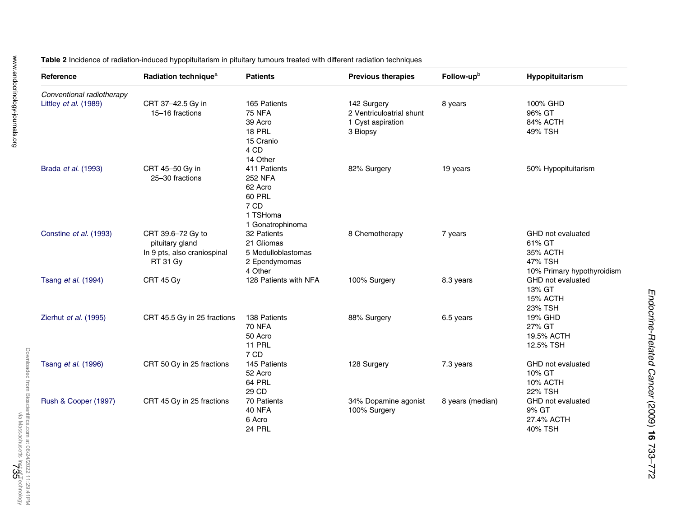| Reference                 | Radiation technique <sup>a</sup>                                                       | <b>Patients</b>                                                                                    | <b>Previous therapies</b>                                                | Follow-upb       | Hypopituitarism                                                                  |
|---------------------------|----------------------------------------------------------------------------------------|----------------------------------------------------------------------------------------------------|--------------------------------------------------------------------------|------------------|----------------------------------------------------------------------------------|
| Conventional radiotherapy |                                                                                        |                                                                                                    |                                                                          |                  |                                                                                  |
| Littley et al. (1989)     | CRT 37-42.5 Gy in<br>15-16 fractions                                                   | 165 Patients<br><b>75 NFA</b><br>39 Acro<br>18 PRL<br>15 Cranio<br>4 CD<br>14 Other                | 142 Surgery<br>2 Ventriculoatrial shunt<br>1 Cyst aspiration<br>3 Biopsy | 8 years          | 100% GHD<br>96% GT<br>84% ACTH<br>49% TSH                                        |
| Brada et al. (1993)       | CRT 45-50 Gy in<br>25-30 fractions                                                     | 411 Patients<br><b>252 NFA</b><br>62 Acro<br><b>60 PRL</b><br>7 CD<br>1 TSHoma<br>1 Gonatrophinoma | 82% Surgery                                                              | 19 years         | 50% Hypopituitarism                                                              |
| Constine et al. (1993)    | CRT 39.6-72 Gy to<br>pituitary gland<br>In 9 pts, also craniospinal<br><b>RT 31 Gy</b> | 32 Patients<br>21 Gliomas<br>5 Medulloblastomas<br>2 Ependymomas<br>4 Other                        | 8 Chemotherapy                                                           | 7 years          | GHD not evaluated<br>61% GT<br>35% ACTH<br>47% TSH<br>10% Primary hypothyroidism |
| Tsang et al. (1994)       | CRT 45 Gy                                                                              | 128 Patients with NFA                                                                              | 100% Surgery                                                             | 8.3 years        | GHD not evaluated<br>13% GT<br>15% ACTH<br><b>23% TSH</b>                        |
| Zierhut et al. (1995)     | CRT 45.5 Gy in 25 fractions                                                            | 138 Patients<br><b>70 NFA</b><br>50 Acro<br><b>11 PRL</b><br>7 CD                                  | 88% Surgery                                                              | 6.5 years        | 19% GHD<br>27% GT<br>19.5% ACTH<br>12.5% TSH                                     |
| Tsang et al. (1996)       | CRT 50 Gy in 25 fractions                                                              | 145 Patients<br>52 Acro<br>64 PRL<br>29 CD                                                         | 128 Surgery                                                              | 7.3 years        | GHD not evaluated<br>10% GT<br>10% ACTH<br><b>22% TSH</b>                        |
| Rush & Cooper (1997)      | CRT 45 Gy in 25 fractions                                                              | 70 Patients<br>40 NFA<br>6 Acro<br>24 PRL                                                          | 34% Dopamine agonist<br>100% Surgery                                     | 8 years (median) | GHD not evaluated<br>9% GT<br>27.4% ACTH<br>40% TSH                              |

<span id="page-2-0"></span>Table 2 Incidence of radiation-induced hypopituitarism in pituitary tumours treated with different radiation techniques

Endocrine-Related Cancer

(2009)

 $\vec{5}$ 

733–772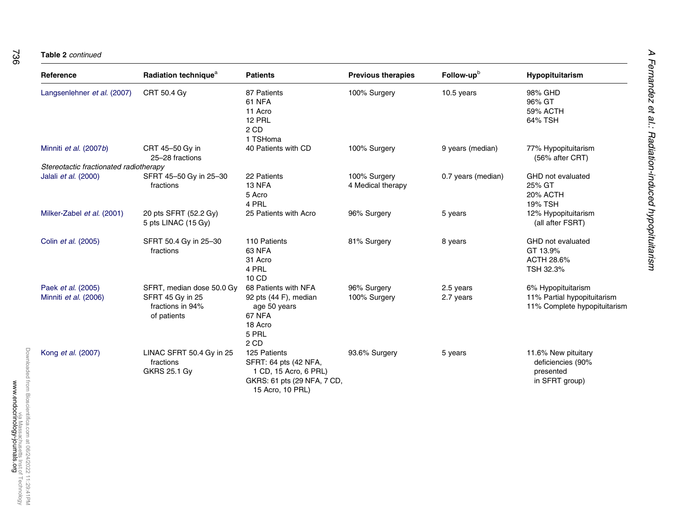| Reference                              | Radiation technique <sup>a</sup>                      | <b>Patients</b>                                                                                                   | <b>Previous therapies</b>         | Follow-up <sup>b</sup> | Hypopituitarism                                                         |
|----------------------------------------|-------------------------------------------------------|-------------------------------------------------------------------------------------------------------------------|-----------------------------------|------------------------|-------------------------------------------------------------------------|
| Langsenlehner et al. (2007)            | CRT 50.4 Gy                                           | 87 Patients<br>61 NFA<br>11 Acro<br><b>12 PRL</b><br>2 CD<br>1 TSHoma                                             | 100% Surgery                      | 10.5 years             | 98% GHD<br>96% GT<br>59% ACTH<br>64% TSH                                |
| Minniti et al. (2007b)                 | CRT 45-50 Gy in<br>25-28 fractions                    | 40 Patients with CD                                                                                               | 100% Surgery                      | 9 years (median)       | 77% Hypopituitarism<br>(56% after CRT)                                  |
| Stereotactic fractionated radiotherapy |                                                       |                                                                                                                   |                                   |                        |                                                                         |
| Jalali et al. (2000)                   | SFRT 45-50 Gy in 25-30<br>fractions                   | 22 Patients<br><b>13 NFA</b><br>5 Acro<br>4 PRL                                                                   | 100% Surgery<br>4 Medical therapy | 0.7 years (median)     | GHD not evaluated<br>25% GT<br>20% ACTH<br><b>19% TSH</b>               |
| Milker-Zabel et al. (2001)             | 20 pts SFRT (52.2 Gy)<br>5 pts LINAC (15 Gy)          | 25 Patients with Acro                                                                                             | 96% Surgery                       | 5 years                | 12% Hypopituitarism<br>(all after FSRT)                                 |
| Colin et al. (2005)                    | SFRT 50.4 Gy in 25-30<br>fractions                    | 110 Patients<br>63 NFA<br>31 Acro<br>4 PRL<br>10 CD                                                               | 81% Surgery                       | 8 years                | GHD not evaluated<br>GT 13.9%<br>ACTH 28.6%<br>TSH 32.3%                |
| Paek et al. (2005)                     | SFRT, median dose 50.0 Gy                             | 68 Patients with NFA                                                                                              | 96% Surgery                       | 2.5 years              | 6% Hypopituitarism                                                      |
| Minniti et al. (2006)                  | SFRT 45 Gy in 25<br>fractions in 94%<br>of patients   | 92 pts (44 F), median<br>age 50 years<br>67 NFA<br>18 Acro<br>5 PRL<br>2 CD                                       | 100% Surgery                      | 2.7 years              | 11% Partial hypopituitarism<br>11% Complete hypopituitarism             |
| Kong et al. (2007)                     | LINAC SFRT 50.4 Gy in 25<br>fractions<br>GKRS 25.1 Gy | 125 Patients<br>SFRT: 64 pts (42 NFA,<br>1 CD, 15 Acro, 6 PRL)<br>GKRS: 61 pts (29 NFA, 7 CD,<br>15 Acro, 10 PRL) | 93.6% Surgery                     | 5 years                | 11.6% New pituitary<br>deficiencies (90%<br>presented<br>in SFRT group) |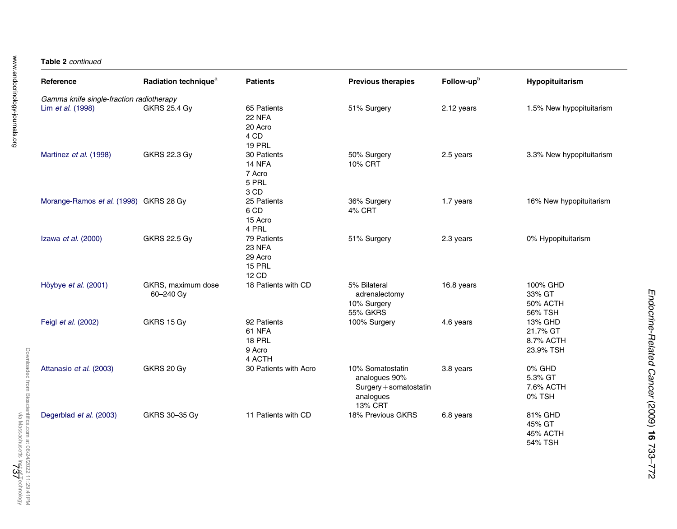#### Table 2 continued

| Reference                                | Radiation technique <sup>a</sup> | <b>Patients</b>                                                   | <b>Previous therapies</b>                                                           | Follow-upb | Hypopituitarism                                  |
|------------------------------------------|----------------------------------|-------------------------------------------------------------------|-------------------------------------------------------------------------------------|------------|--------------------------------------------------|
| Gamma knife single-fraction radiotherapy |                                  |                                                                   |                                                                                     |            |                                                  |
| Lim et al. (1998)                        | <b>GKRS 25.4 Gy</b>              | 65 Patients<br><b>22 NFA</b><br>20 Acro<br>4 CD<br><b>19 PRL</b>  | 51% Surgery                                                                         | 2.12 years | 1.5% New hypopituitarism                         |
| Martinez et al. (1998)                   | GKRS 22.3 Gy                     | 30 Patients<br>14 NFA<br>7 Acro<br>5 PRL<br>3 CD                  | 50% Surgery<br><b>10% CRT</b>                                                       | 2.5 years  | 3.3% New hypopituitarism                         |
| Morange-Ramos et al. (1998) GKRS 28 Gy   |                                  | 25 Patients<br>6 CD<br>15 Acro<br>4 PRL                           | 36% Surgery<br>4% CRT                                                               | 1.7 years  | 16% New hypopituitarism                          |
| Izawa et al. (2000)                      | GKRS 22.5 Gy                     | 79 Patients<br><b>23 NFA</b><br>29 Acro<br><b>15 PRL</b><br>12 CD | 51% Surgery                                                                         | 2.3 years  | 0% Hypopituitarism                               |
| Höybye et al. (2001)                     | GKRS, maximum dose<br>60-240 Gy  | 18 Patients with CD                                               | 5% Bilateral<br>adrenalectomy<br>10% Surgery<br><b>55% GKRS</b>                     | 16.8 years | 100% GHD<br>33% GT<br><b>50% ACTH</b><br>56% TSH |
| Feigl et al. (2002)                      | GKRS 15 Gy                       | 92 Patients<br>61 NFA<br><b>18 PRL</b><br>9 Acro<br>4 ACTH        | 100% Surgery                                                                        | 4.6 years  | 13% GHD<br>21.7% GT<br>8.7% ACTH<br>23.9% TSH    |
| Attanasio et al. (2003)                  | GKRS 20 Gy                       | 30 Patients with Acro                                             | 10% Somatostatin<br>analogues 90%<br>Surgery + somatostatin<br>analogues<br>13% CRT | 3.8 years  | 0% GHD<br>5.3% GT<br>7.6% ACTH<br>0% TSH         |
| Degerblad et al. (2003)                  | GKRS 30-35 Gy                    | 11 Patients with CD                                               | 18% Previous GKRS                                                                   | 6.8 years  | 81% GHD<br>45% GT<br>45% ACTH<br>54% TSH         |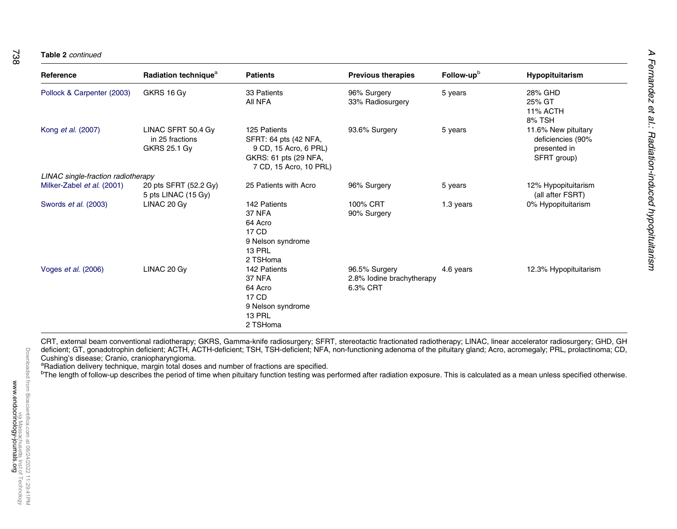738

| $D = 5 - 1 - 1$          | <b>Dealet</b> |
|--------------------------|---------------|
| <b>Table 2</b> continued |               |

| Reference                          | Radiation technique <sup>a</sup>                             | <b>Patients</b>                                                                                                   | <b>Previous therapies</b>                              | Follow-up <sup>b</sup> | <b>Hypopituitarism</b>                                                  |
|------------------------------------|--------------------------------------------------------------|-------------------------------------------------------------------------------------------------------------------|--------------------------------------------------------|------------------------|-------------------------------------------------------------------------|
| Pollock & Carpenter (2003)         | GKRS 16 Gy                                                   | 33 Patients<br>All NFA                                                                                            | 96% Surgery<br>33% Radiosurgery                        | 5 years                | 28% GHD<br>25% GT<br>11% ACTH<br>8% TSH                                 |
| Kong et al. (2007)                 | LINAC SFRT 50.4 Gy<br>in 25 fractions<br><b>GKRS 25.1 Gy</b> | 125 Patients<br>SFRT: 64 pts (42 NFA,<br>9 CD, 15 Acro, 6 PRL)<br>GKRS: 61 pts (29 NFA,<br>7 CD, 15 Acro, 10 PRL) | 93.6% Surgery                                          | 5 years                | 11.6% New pituitary<br>deficiencies (90%<br>presented in<br>SFRT group) |
| LINAC single-fraction radiotherapy |                                                              |                                                                                                                   |                                                        |                        |                                                                         |
| Milker-Zabel et al. (2001)         | 20 pts SFRT (52.2 Gy)<br>5 pts LINAC (15 Gy)                 | 25 Patients with Acro                                                                                             | 96% Surgery                                            | 5 years                | 12% Hypopituitarism<br>(all after FSRT)                                 |
| Swords et al. (2003)               | LINAC 20 Gy                                                  | 142 Patients<br>37 NFA<br>64 Acro<br>17 CD<br>9 Nelson syndrome<br><b>13 PRL</b><br>2 TSHoma                      | 100% CRT<br>90% Surgery                                | 1.3 years              | 0% Hypopituitarism                                                      |
| Voges et al. (2006)                | LINAC 20 Gy                                                  | 142 Patients<br>37 NFA<br>64 Acro<br>17 CD<br>9 Nelson syndrome<br><b>13 PRL</b><br>2 TSHoma                      | 96.5% Surgery<br>2.8% Iodine brachytherapy<br>6.3% CRT | 4.6 years              | 12.3% Hypopituitarism                                                   |

CRT, external beam conventional radiotherapy; GKRS, Gamma-knife radiosurgery; SFRT, stereotactic fractionated radiotherapy; LINAC, linear accelerator radiosurgery; GHD, GH deficient; GT, gonadotrophin deficient; ACTH, ACTH-deficient; TSH, TSH-deficient; NFA, non-functioning adenoma of the pituitary gland; Acro, acromegaly; PRL, prolactinoma; CD, Cushing's disease; Cranio, craniopharyngioma.<br>
<sup>a</sup>Radiation delivery technique, margin total doses and number of fractions are specified.

<sup>b</sup>The length of follow-up describes the period of time when pituitary function testing was performed after radiation exposure. This is calculated as a mean unless specified otherwise.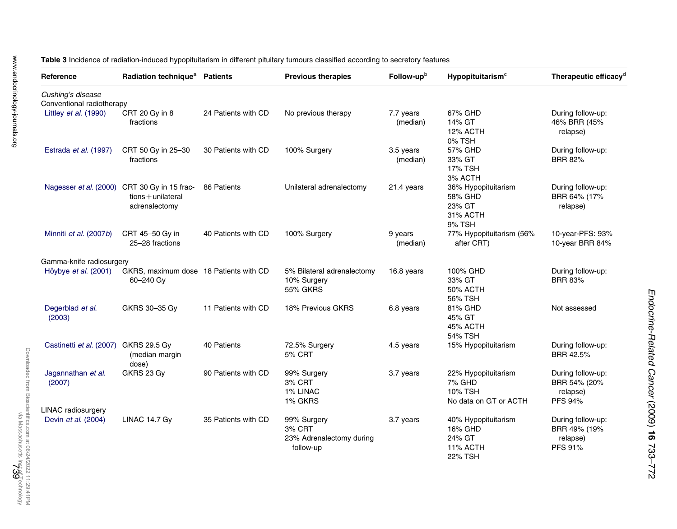<span id="page-6-0"></span>Table 3 Incidence of radiation-induced hypopituitarism in different pituitary tumours classified according to secretory features

| Reference                             | Radiation technique <sup>a</sup>                                                      | <b>Patients</b>     | <b>Previous therapies</b>                                      | Follow-upb            | Hypopituitarism <sup>c</sup>                                           | Therapeutic efficacy <sup>d</sup>                        |
|---------------------------------------|---------------------------------------------------------------------------------------|---------------------|----------------------------------------------------------------|-----------------------|------------------------------------------------------------------------|----------------------------------------------------------|
| Cushing's disease                     |                                                                                       |                     |                                                                |                       |                                                                        |                                                          |
| Conventional radiotherapy             |                                                                                       |                     |                                                                |                       |                                                                        |                                                          |
| Littley et al. (1990)                 | CRT 20 Gy in 8<br>fractions                                                           | 24 Patients with CD | No previous therapy                                            | 7.7 years<br>(median) | 67% GHD<br>14% GT<br>12% ACTH<br>0% TSH                                | During follow-up:<br>46% BRR (45%<br>relapse)            |
| Estrada et al. (1997)                 | CRT 50 Gy in 25-30<br>fractions                                                       | 30 Patients with CD | 100% Surgery                                                   | 3.5 years<br>(median) | 57% GHD<br>33% GT<br>17% TSH<br>3% ACTH                                | During follow-up:<br><b>BRR 82%</b>                      |
|                                       | Nagesser et al. (2000) CRT 30 Gy in 15 frac-<br>$tions + unilateral$<br>adrenalectomy | 86 Patients         | Unilateral adrenalectomy                                       | 21.4 years            | 36% Hypopituitarism<br>58% GHD<br>23% GT<br>31% ACTH<br>9% TSH         | During follow-up:<br>BRR 64% (17%<br>relapse)            |
| Minniti et al. (2007b)                | CRT 45-50 Gy in<br>25-28 fractions                                                    | 40 Patients with CD | 100% Surgery                                                   | 9 years<br>(median)   | 77% Hypopituitarism (56%<br>after CRT)                                 | 10-year-PFS: 93%<br>10-year BRR 84%                      |
| Gamma-knife radiosurgery              |                                                                                       |                     |                                                                |                       |                                                                        |                                                          |
| Höybye et al. (2001)                  | GKRS, maximum dose 18 Patients with CD<br>60-240 Gy                                   |                     | 5% Bilateral adrenalectomy<br>10% Surgery<br><b>55% GKRS</b>   | 16.8 years            | 100% GHD<br>33% GT<br><b>50% ACTH</b><br>56% TSH                       | During follow-up:<br><b>BRR 83%</b>                      |
| Degerblad et al.<br>(2003)            | GKRS 30-35 Gy                                                                         | 11 Patients with CD | 18% Previous GKRS                                              | 6.8 years             | 81% GHD<br>45% GT<br>45% ACTH<br>54% TSH                               | Not assessed                                             |
| Castinetti et al. (2007) GKRS 29.5 Gy | (median margin<br>dose)                                                               | 40 Patients         | 72.5% Surgery<br>5% CRT                                        | 4.5 years             | 15% Hypopituitarism                                                    | During follow-up:<br>BRR 42.5%                           |
| Jagannathan et al.<br>(2007)          | GKRS 23 Gv                                                                            | 90 Patients with CD | 99% Surgery<br>3% CRT<br>1% LINAC<br>1% GKRS                   | 3.7 years             | 22% Hypopituitarism<br>7% GHD<br>10% TSH<br>No data on GT or ACTH      | During follow-up:<br>BRR 54% (20%<br>relapse)<br>PFS 94% |
| LINAC radiosurgery                    |                                                                                       |                     |                                                                |                       |                                                                        |                                                          |
| Devin et al. (2004)                   | LINAC 14.7 Gy                                                                         | 35 Patients with CD | 99% Surgery<br>3% CRT<br>23% Adrenalectomy during<br>follow-up | 3.7 years             | 40% Hypopituitarism<br>16% GHD<br>24% GT<br>11% ACTH<br><b>22% TSH</b> | During follow-up:<br>BRR 49% (19%<br>relapse)<br>PFS 91% |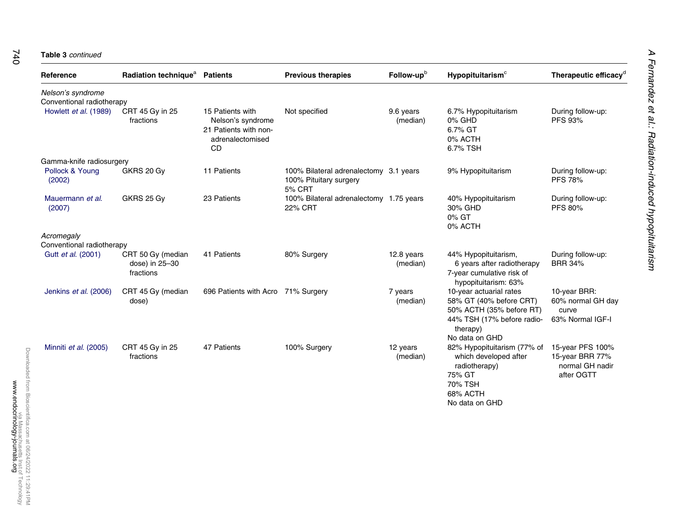#### **Table 3** continued

| Reference                  | Radiation technique <sup>a</sup>                 | <b>Patients</b>                                                                                 | <b>Previous therapies</b>                                                         | Follow-upb             | Hypopituitarism <sup>c</sup>                                                                                                               | Therapeutic efficacy <sup>d</sup>                                    |
|----------------------------|--------------------------------------------------|-------------------------------------------------------------------------------------------------|-----------------------------------------------------------------------------------|------------------------|--------------------------------------------------------------------------------------------------------------------------------------------|----------------------------------------------------------------------|
| Nelson's syndrome          |                                                  |                                                                                                 |                                                                                   |                        |                                                                                                                                            |                                                                      |
| Conventional radiotherapy  |                                                  |                                                                                                 |                                                                                   |                        |                                                                                                                                            |                                                                      |
| Howlett et al. (1989)      | CRT 45 Gy in 25<br>fractions                     | 15 Patients with<br>Nelson's syndrome<br>21 Patients with non-<br>adrenalectomised<br><b>CD</b> | Not specified                                                                     | 9.6 years<br>(median)  | 6.7% Hypopituitarism<br>0% GHD<br>6.7% GT<br>0% ACTH<br>6.7% TSH                                                                           | During follow-up:<br>PFS 93%                                         |
| Gamma-knife radiosurgery   |                                                  |                                                                                                 |                                                                                   |                        |                                                                                                                                            |                                                                      |
| Pollock & Young<br>(2002)  | GKRS 20 Gy                                       | 11 Patients                                                                                     | 100% Bilateral adrenalectomy 3.1 years<br>100% Pituitary surgery<br><b>5% CRT</b> |                        | 9% Hypopituitarism                                                                                                                         | During follow-up:<br><b>PFS 78%</b>                                  |
| Mauermann et al.<br>(2007) | GKRS 25 Gy                                       | 23 Patients                                                                                     | 100% Bilateral adrenalectomy 1.75 years<br><b>22% CRT</b>                         |                        | 40% Hypopituitarism<br>30% GHD<br>0% GT<br>0% ACTH                                                                                         | During follow-up:<br>PFS 80%                                         |
| Acromegaly                 |                                                  |                                                                                                 |                                                                                   |                        |                                                                                                                                            |                                                                      |
| Conventional radiotherapy  |                                                  |                                                                                                 |                                                                                   |                        |                                                                                                                                            |                                                                      |
| Gutt et al. (2001)         | CRT 50 Gy (median<br>dose) in 25-30<br>fractions | 41 Patients                                                                                     | 80% Surgery                                                                       | 12.8 years<br>(median) | 44% Hypopituitarism,<br>6 years after radiotherapy<br>7-year cumulative risk of<br>hypopituitarism: 63%                                    | During follow-up:<br><b>BRR 34%</b>                                  |
| Jenkins et al. (2006)      | CRT 45 Gy (median<br>dose)                       | 696 Patients with Acro 71% Surgery                                                              |                                                                                   | 7 years<br>(median)    | 10-year actuarial rates<br>58% GT (40% before CRT)<br>50% ACTH (35% before RT)<br>44% TSH (17% before radio-<br>therapy)<br>No data on GHD | 10-year BRR:<br>60% normal GH day<br>curve<br>63% Normal IGF-I       |
| Minniti et al. (2005)      | CRT 45 Gy in 25<br>fractions                     | 47 Patients                                                                                     | 100% Surgery                                                                      | 12 years<br>(median)   | 82% Hypopituitarism (77% of<br>which developed after<br>radiotherapy)<br>75% GT<br>70% TSH<br>68% ACTH<br>No data on GHD                   | 15-year PFS 100%<br>15-year BRR 77%<br>normal GH nadir<br>after OGTT |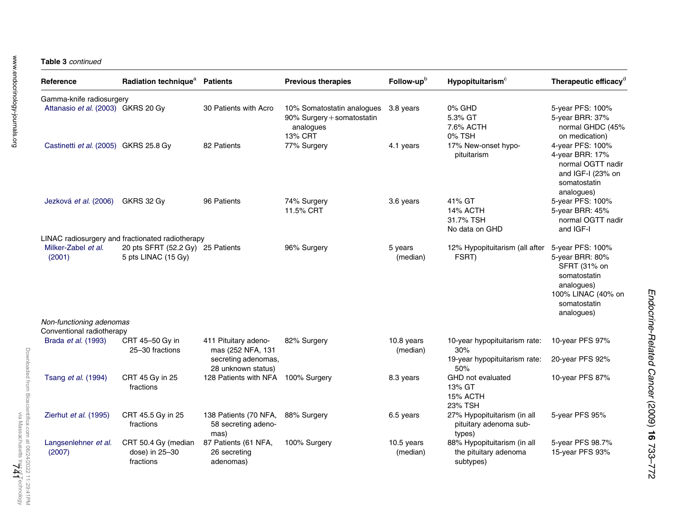| Reference                                        | Radiation technique <sup>a</sup>                                                      | <b>Patients</b>                                      | <b>Previous therapies</b>                                                                  | Follow-upb             | $H$ ypopituitarism $\textdegree$                                  | Therapeutic efficacy <sup>d</sup>                                                                                 |
|--------------------------------------------------|---------------------------------------------------------------------------------------|------------------------------------------------------|--------------------------------------------------------------------------------------------|------------------------|-------------------------------------------------------------------|-------------------------------------------------------------------------------------------------------------------|
| Gamma-knife radiosurgery                         |                                                                                       |                                                      |                                                                                            |                        |                                                                   |                                                                                                                   |
| Attanasio et al. (2003) GKRS 20 Gy               |                                                                                       | 30 Patients with Acro                                | 10% Somatostatin analogues 3.8 years<br>90% Surgery + somatostatin<br>analogues<br>13% CRT |                        | 0% GHD<br>5.3% GT<br>7.6% ACTH<br>0% TSH                          | 5-year PFS: 100%<br>5-year BRR: 37%<br>normal GHDC (45%<br>on medication)                                         |
| Castinetti et al. (2005) GKRS 25.8 Gy            |                                                                                       | 82 Patients                                          | 77% Surgery                                                                                | 4.1 years              | 17% New-onset hypo-<br>pituitarism                                | 4-year PFS: 100%<br>4-year BRR: 17%<br>normal OGTT nadir<br>and IGF-I (23% on<br>somatostatin<br>analogues)       |
| Jezková et al. (2006)                            | GKRS 32 Gy                                                                            | 96 Patients                                          | 74% Surgery<br>11.5% CRT                                                                   | 3.6 years              | 41% GT<br>14% ACTH<br>31.7% TSH<br>No data on GHD                 | 5-year PFS: 100%<br>5-year BRR: 45%<br>normal OGTT nadir<br>and IGF-I                                             |
| Milker-Zabel et al.                              | LINAC radiosurgery and fractionated radiotherapy<br>20 pts SFRT (52.2 Gy) 25 Patients |                                                      | 96% Surgery                                                                                | 5 years                | 12% Hypopituitarism (all after                                    | 5-year PFS: 100%                                                                                                  |
| (2001)                                           | 5 pts LINAC (15 Gy)                                                                   |                                                      |                                                                                            | (median)               | FSRT)                                                             | 5-year BRR: 80%<br>SFRT (31% on<br>somatostatin<br>analogues)<br>100% LINAC (40% on<br>somatostatin<br>analogues) |
| Non-functioning adenomas                         |                                                                                       |                                                      |                                                                                            |                        |                                                                   |                                                                                                                   |
| Conventional radiotherapy<br>Brada et al. (1993) | CRT 45-50 Gy in<br>25-30 fractions                                                    | 411 Pituitary adeno-<br>mas (252 NFA, 131            | 82% Surgery                                                                                | 10.8 years<br>(median) | 10-year hypopituitarism rate:<br>30%                              | 10-year PFS 97%                                                                                                   |
|                                                  |                                                                                       | secreting adenomas,<br>28 unknown status)            |                                                                                            |                        | 19-year hypopituitarism rate:<br>50%                              | 20-year PFS 92%                                                                                                   |
| Tsang et al. (1994)                              | CRT 45 Gy in 25<br>fractions                                                          | 128 Patients with NFA                                | 100% Surgery                                                                               | 8.3 years              | GHD not evaluated<br>13% GT<br>15% ACTH<br>23% TSH                | 10-year PFS 87%                                                                                                   |
| Zierhut et al. (1995)                            | CRT 45.5 Gy in 25<br>fractions                                                        | 138 Patients (70 NFA,<br>58 secreting adeno-<br>mas) | 88% Surgery                                                                                | 6.5 years              | 27% Hypopituitarism (in all<br>pituitary adenoma sub-<br>types)   | 5-year PFS 95%                                                                                                    |
| Langsenlehner et al.<br>(2007)                   | CRT 50.4 Gy (median<br>dose) in 25-30<br>fractions                                    | 87 Patients (61 NFA,<br>26 secreting<br>adenomas)    | 100% Surgery                                                                               | 10.5 years<br>(median) | 88% Hypopituitarism (in all<br>the pituitary adenoma<br>subtypes) | 5-year PFS 98.7%<br>15-year PFS 93%                                                                               |

Downloaded from Bioscientifica.com at 06/24/2022 11:29:41PM<br>Pownloaded from Bioscientifica.com at 06/24/2022 11:29:41PM Downloaded from Bioscientifica.com at 06/24/2022 11:29:41PM

via Massachusetts Inst of Technology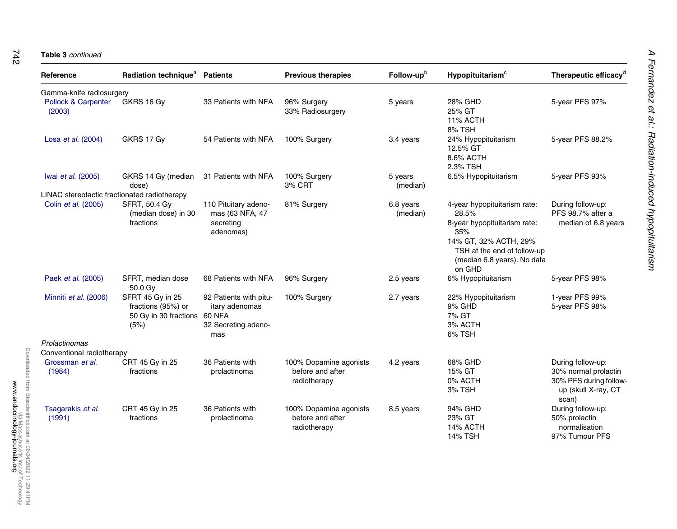#### **Table 3** continued

| Reference                                    | Radiation technique <sup>a</sup>                                               | <b>Patients</b>                                                        | <b>Previous therapies</b>                                  | Follow-upb            | Hypopituitarism <sup>c</sup>                                                                                                                                                  | Therapeutic efficacy <sup>d</sup>                                                                   |
|----------------------------------------------|--------------------------------------------------------------------------------|------------------------------------------------------------------------|------------------------------------------------------------|-----------------------|-------------------------------------------------------------------------------------------------------------------------------------------------------------------------------|-----------------------------------------------------------------------------------------------------|
| Gamma-knife radiosurgery                     |                                                                                |                                                                        |                                                            |                       |                                                                                                                                                                               |                                                                                                     |
| Pollock & Carpenter<br>(2003)                | GKRS 16 Gy                                                                     | 33 Patients with NFA                                                   | 96% Surgery<br>33% Radiosurgery                            | 5 years               | 28% GHD<br>25% GT<br>11% ACTH<br>8% TSH                                                                                                                                       | 5-year PFS 97%                                                                                      |
| Losa et al. (2004)                           | GKRS 17 Gy                                                                     | 54 Patients with NFA                                                   | 100% Surgery                                               | 3.4 years             | 24% Hypopituitarism<br>12.5% GT<br>8.6% ACTH<br>2.3% TSH                                                                                                                      | 5-year PFS 88.2%                                                                                    |
| Iwai et al. (2005)                           | GKRS 14 Gy (median<br>dose)                                                    | 31 Patients with NFA                                                   | 100% Surgery<br>3% CRT                                     | 5 years<br>(median)   | 6.5% Hypopituitarism                                                                                                                                                          | 5-year PFS 93%                                                                                      |
| LINAC stereotactic fractionated radiotherapy |                                                                                |                                                                        |                                                            |                       |                                                                                                                                                                               |                                                                                                     |
| Colin et al. (2005)                          | <b>SFRT, 50.4 Gy</b><br>(median dose) in 30<br>fractions                       | 110 Pituitary adeno-<br>mas (63 NFA, 47<br>secreting<br>adenomas)      | 81% Surgery                                                | 6.8 years<br>(median) | 4-year hypopituitarism rate:<br>28.5%<br>8-year hypopituitarism rate:<br>35%<br>14% GT, 32% ACTH, 29%<br>TSH at the end of follow-up<br>(median 6.8 years). No data<br>on GHD | During follow-up:<br>PFS 98.7% after a<br>median of 6.8 years                                       |
| Paek et al. (2005)                           | SFRT, median dose<br>50.0 Gv                                                   | 68 Patients with NFA                                                   | 96% Surgery                                                | 2.5 years             | 6% Hypopituitarism                                                                                                                                                            | 5-year PFS 98%                                                                                      |
| Minniti et al. (2006)                        | SFRT 45 Gy in 25<br>fractions (95%) or<br>50 Gy in 30 fractions 60 NFA<br>(5%) | 92 Patients with pitu-<br>itary adenomas<br>32 Secreting adeno-<br>mas | 100% Surgery                                               | 2.7 years             | 22% Hypopituitarism<br>9% GHD<br>7% GT<br>3% ACTH<br>6% TSH                                                                                                                   | 1-year PFS 99%<br>5-year PFS 98%                                                                    |
| Prolactinomas                                |                                                                                |                                                                        |                                                            |                       |                                                                                                                                                                               |                                                                                                     |
| Conventional radiotherapy                    |                                                                                |                                                                        |                                                            |                       |                                                                                                                                                                               |                                                                                                     |
| Grossman et al.<br>(1984)                    | CRT 45 Gy in 25<br>fractions                                                   | 36 Patients with<br>prolactinoma                                       | 100% Dopamine agonists<br>before and after<br>radiotherapy | 4.2 years             | 68% GHD<br>15% GT<br>0% ACTH<br>3% TSH                                                                                                                                        | During follow-up:<br>30% normal prolactin<br>30% PFS during follow-<br>up (skull X-ray, CT<br>scan) |
| Tsagarakis et al.<br>(1991)                  | CRT 45 Gy in 25<br>fractions                                                   | 36 Patients with<br>prolactinoma                                       | 100% Dopamine agonists<br>before and after<br>radiotherapy | 8.5 years             | 94% GHD<br>23% GT<br>14% ACTH<br><b>14% TSH</b>                                                                                                                               | During follow-up:<br>50% prolactin<br>normalisation<br>97% Tumour PFS                               |

A Fernandez et al.: Radiation-induced hypopituitarism

A Fernandez et al.: Radiation-induced hypopituitarism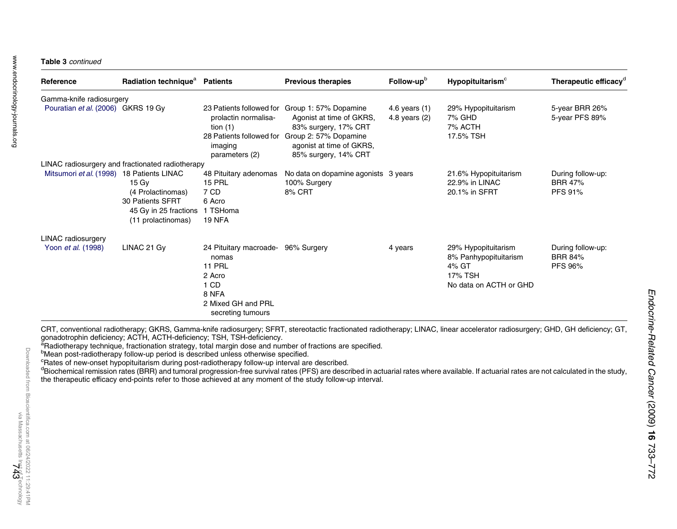#### Table 3 continued

| Reference                                 | Radiation technique <sup>a</sup>                                                                           | <b>Patients</b>                                                                                                        | <b>Previous therapies</b>                                                                                                                                                                                | Follow-up <sup>b</sup>           | Hypopituitarism <sup>c</sup>                                                               | Therapeutic efficacy <sup>d</sup>              |
|-------------------------------------------|------------------------------------------------------------------------------------------------------------|------------------------------------------------------------------------------------------------------------------------|----------------------------------------------------------------------------------------------------------------------------------------------------------------------------------------------------------|----------------------------------|--------------------------------------------------------------------------------------------|------------------------------------------------|
| Gamma-knife radiosurgery                  |                                                                                                            |                                                                                                                        |                                                                                                                                                                                                          |                                  |                                                                                            |                                                |
| Pouratian et al. (2006) GKRS 19 Gy        |                                                                                                            | prolactin normalisa-<br>tion $(1)$<br>imaging<br>parameters (2)                                                        | 23 Patients followed for Group 1: 57% Dopamine<br>Agonist at time of GKRS,<br>83% surgery, 17% CRT<br>28 Patients followed for Group 2: 57% Dopamine<br>agonist at time of GKRS,<br>85% surgery, 14% CRT | 4.6 years (1)<br>4.8 years $(2)$ | 29% Hypopituitarism<br>7% GHD<br>7% ACTH<br>17.5% TSH                                      | 5-year BRR 26%<br>5-year PFS 89%               |
|                                           | LINAC radiosurgery and fractionated radiotherapy                                                           |                                                                                                                        |                                                                                                                                                                                                          |                                  |                                                                                            |                                                |
| Mitsumori et al. (1998) 18 Patients LINAC | $15 \,\mathrm{Gy}$<br>(4 Prolactinomas)<br>30 Patients SFRT<br>45 Gy in 25 fractions<br>(11 prolactinomas) | 48 Pituitary adenomas<br><b>15 PRL</b><br>7 CD<br>6 Acro<br>1 TSHoma<br><b>19 NFA</b>                                  | No data on dopamine agonists 3 years<br>100% Surgery<br>8% CRT                                                                                                                                           |                                  | 21.6% Hypopituitarism<br>22.9% in LINAC<br>20.1% in SFRT                                   | During follow-up:<br><b>BRR 47%</b><br>PFS 91% |
| <b>LINAC</b> radiosurgery                 |                                                                                                            |                                                                                                                        |                                                                                                                                                                                                          |                                  |                                                                                            |                                                |
| Yoon et al. (1998)                        | LINAC 21 Gy                                                                                                | 24 Pituitary macroade-<br>nomas<br><b>11 PRL</b><br>2 Acro<br>1 CD<br>8 NFA<br>2 Mixed GH and PRL<br>secreting tumours | 96% Surgery                                                                                                                                                                                              | 4 years                          | 29% Hypopituitarism<br>8% Panhypopituitarism<br>4% GT<br>17% TSH<br>No data on ACTH or GHD | During follow-up:<br><b>BRR 84%</b><br>PFS 96% |

CRT, conventional radiotherapy; GKRS, Gamma-knife radiosurgery; SFRT, stereotactic fractionated radiotherapy; LINAC, linear accelerator radiosurgery; GHD, GH deficiency; GT, gonadotrophin deficiency; ACTH, ACTH-deficiency; TSH, TSH-deficiency.

<sup>a</sup>Radiotherapy technique, fractionation strategy, total margin dose and number of fractions are specified.

<sup>b</sup>Mean post-radiotherapy follow-up period is described unless otherwise specified.

crowing post-radiotively conset hypopituitarism during post-radiotherapy follow-up interval are described.

 $\sigma$ Biochemical remission rates (BRR) and tumoral progression-free survival rates (PFS) are described in actuarial rates where available. If actuarial rates are not calculated in the study, the therapeutic efficacy end-points refer to those achieved at any moment of the study follow-up interval.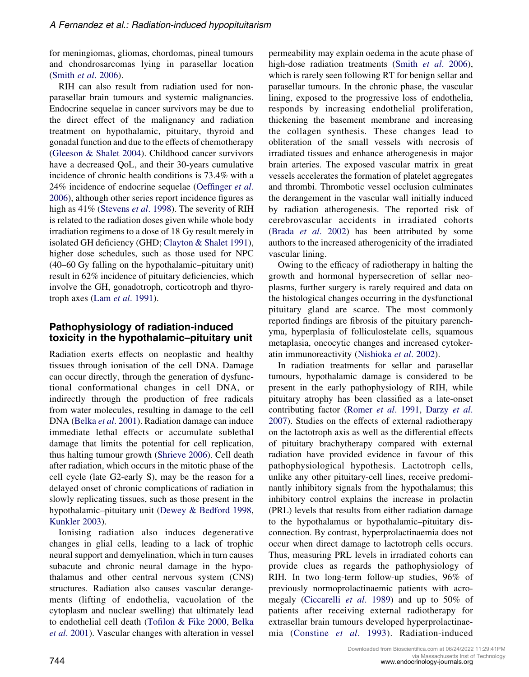for meningiomas, gliomas, chordomas, pineal tumours and chondrosarcomas lying in parasellar location (Smith et al[. 2006\)](#page-37-0).

RIH can also result from radiation used for nonparasellar brain tumours and systemic malignancies. Endocrine sequelae in cancer survivors may be due to the direct effect of the malignancy and radiation treatment on hypothalamic, pituitary, thyroid and gonadal function and due to the effects of chemotherapy [\(Gleeson & Shalet 2004](#page-31-0)). Childhood cancer survivors have a decreased QoL, and their 30-years cumulative incidence of chronic health conditions is 73.4% with a 24% incidence of endocrine sequelae ([Oeffinger](#page-35-0) et al. [2006\)](#page-35-0), although other series report incidence figures as high as 41% ([Stevens](#page-38-0) *et al.* 1998). The severity of RIH is related to the radiation doses given while whole body irradiation regimens to a dose of 18 Gy result merely in isolated GH deficiency (GHD; [Clayton & Shalet 1991](#page-29-0)), higher dose schedules, such as those used for NPC (40–60 Gy falling on the hypothalamic–pituitary unit) result in 62% incidence of pituitary deficiencies, which involve the GH, gonadotroph, corticotroph and thyrotroph axes (Lam et al[. 1991\)](#page-33-0).

# Pathophysiology of radiation-induced toxicity in the hypothalamic–pituitary unit

Radiation exerts effects on neoplastic and healthy tissues through ionisation of the cell DNA. Damage can occur directly, through the generation of dysfunctional conformational changes in cell DNA, or indirectly through the production of free radicals from water molecules, resulting in damage to the cell DNA (Belka et al[. 2001](#page-28-0)). Radiation damage can induce immediate lethal effects or accumulate sublethal damage that limits the potential for cell replication, thus halting tumour growth ([Shrieve 2006](#page-37-0)). Cell death after radiation, which occurs in the mitotic phase of the cell cycle (late G2-early S), may be the reason for a delayed onset of chronic complications of radiation in slowly replicating tissues, such as those present in the hypothalamic–pituitary unit ([Dewey & Bedford 1998,](#page-30-0) [Kunkler 2003\)](#page-33-0).

Ionising radiation also induces degenerative changes in glial cells, leading to a lack of trophic neural support and demyelination, which in turn causes subacute and chronic neural damage in the hypothalamus and other central nervous system (CNS) structures. Radiation also causes vascular derangements (lifting of endothelia, vacuolation of the cytoplasm and nuclear swelling) that ultimately lead to endothelial cell death [\(Tofilon & Fike 2000,](#page-38-0) [Belka](#page-28-0) et al[. 2001](#page-28-0)). Vascular changes with alteration in vessel permeability may explain oedema in the acute phase of high-dose radiation treatments (Smith et al[. 2006](#page-37-0)), which is rarely seen following RT for benign sellar and parasellar tumours. In the chronic phase, the vascular lining, exposed to the progressive loss of endothelia, responds by increasing endothelial proliferation, thickening the basement membrane and increasing the collagen synthesis. These changes lead to obliteration of the small vessels with necrosis of irradiated tissues and enhance atherogenesis in major brain arteries. The exposed vascular matrix in great vessels accelerates the formation of platelet aggregates and thrombi. Thrombotic vessel occlusion culminates the derangement in the vascular wall initially induced by radiation atherogenesis. The reported risk of cerebrovascular accidents in irradiated cohorts (Brada et al[. 2002](#page-29-0)) has been attributed by some authors to the increased atherogenicity of the irradiated vascular lining.

Owing to the efficacy of radiotherapy in halting the growth and hormonal hypersecretion of sellar neoplasms, further surgery is rarely required and data on the histological changes occurring in the dysfunctional pituitary gland are scarce. The most commonly reported findings are fibrosis of the pituitary parenchyma, hyperplasia of folliculostelate cells, squamous metaplasia, oncocytic changes and increased cytoker-atin immunoreactivity ([Nishioka](#page-35-0) et al. 2002).

In radiation treatments for sellar and parasellar tumours, hypothalamic damage is considered to be present in the early pathophysiology of RIH, while pituitary atrophy has been classified as a late-onset contributing factor [\(Romer](#page-36-0) et al. 1991, [Darzy](#page-30-0) et al. [2007\)](#page-30-0). Studies on the effects of external radiotherapy on the lactotroph axis as well as the differential effects of pituitary brachytherapy compared with external radiation have provided evidence in favour of this pathophysiological hypothesis. Lactotroph cells, unlike any other pituitary-cell lines, receive predominantly inhibitory signals from the hypothalamus; this inhibitory control explains the increase in prolactin (PRL) levels that results from either radiation damage to the hypothalamus or hypothalamic–pituitary disconnection. By contrast, hyperprolactinaemia does not occur when direct damage to lactotroph cells occurs. Thus, measuring PRL levels in irradiated cohorts can provide clues as regards the pathophysiology of RIH. In two long-term follow-up studies, 96% of previously normoprolactinaemic patients with acromegaly [\(Ciccarelli](#page-29-0) et al. 1989) and up to 50% of patients after receiving external radiotherapy for extrasellar brain tumours developed hyperprolactinaemia ([Constine](#page-30-0) et al. 1993). Radiation-induced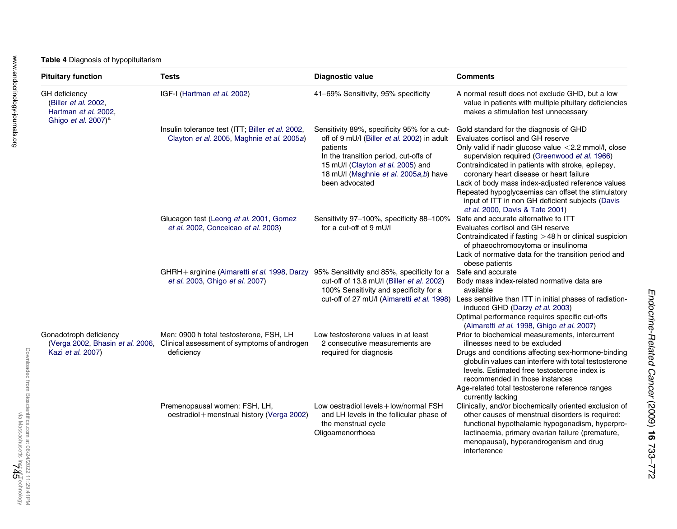<span id="page-12-0"></span>

| <b>Pituitary function</b>                                                               | Tests                                                                                                                                 | <b>Diagnostic value</b>                                                                                                                                                                                                                         | <b>Comments</b>                                                                                                                                                                                                                                                                                                                                                                                                                                                                        |
|-----------------------------------------------------------------------------------------|---------------------------------------------------------------------------------------------------------------------------------------|-------------------------------------------------------------------------------------------------------------------------------------------------------------------------------------------------------------------------------------------------|----------------------------------------------------------------------------------------------------------------------------------------------------------------------------------------------------------------------------------------------------------------------------------------------------------------------------------------------------------------------------------------------------------------------------------------------------------------------------------------|
| GH deficiency<br>(Biller et al. 2002,<br>Hartman et al. 2002,<br>Ghigo et al. $2007)^a$ | IGF-I (Hartman et al. 2002)                                                                                                           | 41-69% Sensitivity, 95% specificity                                                                                                                                                                                                             | A normal result does not exclude GHD, but a low<br>value in patients with multiple pituitary deficiencies<br>makes a stimulation test unnecessary                                                                                                                                                                                                                                                                                                                                      |
|                                                                                         | Insulin tolerance test (ITT; Biller et al. 2002,<br>Clayton et al. 2005, Maghnie et al. 2005a)                                        | Sensitivity 89%, specificity 95% for a cut-<br>off of 9 mU/l (Biller et al. 2002) in adult<br>patients<br>In the transition period, cut-offs of<br>15 mU/l (Clayton et al. 2005) and<br>18 mU/l (Maghnie et al. 2005a,b) have<br>been advocated | Gold standard for the diagnosis of GHD<br>Evaluates cortisol and GH reserve<br>Only valid if nadir glucose value <2.2 mmol/l, close<br>supervision required (Greenwood et al. 1966)<br>Contraindicated in patients with stroke, epilepsy,<br>coronary heart disease or heart failure<br>Lack of body mass index-adjusted reference values<br>Repeated hypoglycaemias can offset the stimulatory<br>input of ITT in non GH deficient subjects (Davis<br>et al. 2000, Davis & Tate 2001) |
|                                                                                         | Glucagon test (Leong et al. 2001, Gomez<br>et al. 2002, Conceicao et al. 2003)                                                        | Sensitivity 97-100%, specificity 88-100%<br>for a cut-off of 9 mU/l                                                                                                                                                                             | Safe and accurate alternative to ITT<br>Evaluates cortisol and GH reserve<br>Contraindicated if fasting $>48$ h or clinical suspicion<br>of phaeochromocytoma or insulinoma<br>Lack of normative data for the transition period and<br>obese patients                                                                                                                                                                                                                                  |
|                                                                                         | GHRH + arginine (Aimaretti et al. 1998, Darzy 95% Sensitivity and 85%, specificity for a<br>et al. 2003, Ghigo et al. 2007)           | cut-off of 13.8 mU/l (Biller et al. 2002)<br>100% Sensitivity and specificity for a<br>cut-off of 27 mU/l (Aimaretti et al. 1998)                                                                                                               | Safe and accurate<br>Body mass index-related normative data are<br>available<br>Less sensitive than ITT in initial phases of radiation-<br>induced GHD (Darzy et al. 2003)<br>Optimal performance requires specific cut-offs<br>(Aimaretti et al. 1998, Ghigo et al. 2007)                                                                                                                                                                                                             |
| Gonadotroph deficiency<br>Kazi et al. 2007)                                             | Men: 0900 h total testosterone, FSH, LH<br>(Verga 2002, Bhasin et al. 2006, Clinical assessment of symptoms of androgen<br>deficiency | Low testosterone values in at least<br>2 consecutive measurements are<br>required for diagnosis                                                                                                                                                 | Prior to biochemical measurements, intercurrent<br>illnesses need to be excluded<br>Drugs and conditions affecting sex-hormone-binding<br>globulin values can interfere with total testosterone<br>levels. Estimated free testosterone index is<br>recommended in those instances<br>Age-related total testosterone reference ranges<br>currently lacking                                                                                                                              |
|                                                                                         | Premenopausal women: FSH, LH,<br>oestradiol + menstrual history (Verga 2002)                                                          | Low oestradiol levels $+$ low/normal FSH<br>and LH levels in the follicular phase of<br>the menstrual cycle<br>Oligoamenorrhoea                                                                                                                 | Clinically, and/or biochemically oriented exclusion of<br>other causes of menstrual disorders is required:<br>functional hypothalamic hypogonadism, hyperpro-<br>lactinaemia, primary ovarian failure (premature,<br>menopausal), hyperandrogenism and drug<br>interference                                                                                                                                                                                                            |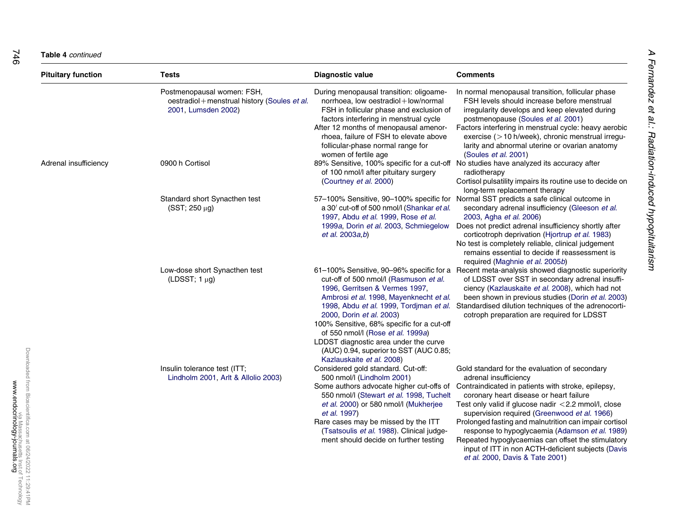#### **Table 4** continued

| <b>Pituitary function</b> | Tests                                                                                              | <b>Diagnostic value</b>                                                                                                                                                                                                                                                                                                                                                                       | Comments                                                                                                                                                                                                                                                                                                                                                                                                                                                                                                                                             |
|---------------------------|----------------------------------------------------------------------------------------------------|-----------------------------------------------------------------------------------------------------------------------------------------------------------------------------------------------------------------------------------------------------------------------------------------------------------------------------------------------------------------------------------------------|------------------------------------------------------------------------------------------------------------------------------------------------------------------------------------------------------------------------------------------------------------------------------------------------------------------------------------------------------------------------------------------------------------------------------------------------------------------------------------------------------------------------------------------------------|
|                           | Postmenopausal women: FSH,<br>oestradiol + menstrual history (Soules et al.<br>2001, Lumsden 2002) | During menopausal transition: oligoame-<br>norrhoea, low oestradiol+low/normal<br>FSH in follicular phase and exclusion of<br>factors interfering in menstrual cycle<br>After 12 months of menopausal amenor-<br>rhoea, failure of FSH to elevate above<br>follicular-phase normal range for<br>women of fertile age                                                                          | In normal menopausal transition, follicular phase<br>FSH levels should increase before menstrual<br>irregularity develops and keep elevated during<br>postmenopause (Soules et al. 2001)<br>Factors interfering in menstrual cycle: heavy aerobic<br>exercise (>10 h/week), chronic menstrual irregu-<br>larity and abnormal uterine or ovarian anatomy<br>(Soules et al. 2001)                                                                                                                                                                      |
| Adrenal insufficiency     | 0900 h Cortisol                                                                                    | of 100 nmol/l after pituitary surgery<br>(Courtney et al. 2000)                                                                                                                                                                                                                                                                                                                               | 89% Sensitive, 100% specific for a cut-off No studies have analyzed its accuracy after<br>radiotherapy<br>Cortisol pulsatility impairs its routine use to decide on<br>long-term replacement therapy                                                                                                                                                                                                                                                                                                                                                 |
|                           | Standard short Synacthen test<br>$(SST; 250 \mu g)$                                                | a 30' cut-off of 500 nmol/l (Shankar et al.<br>1997, Abdu et al. 1999, Rose et al.<br>1999a, Dorin et al. 2003, Schmiegelow<br>et al. 2003a,b)                                                                                                                                                                                                                                                | 57-100% Sensitive, 90-100% specific for Normal SST predicts a safe clinical outcome in<br>secondary adrenal insufficiency (Gleeson et al.<br>2003, Agha et al. 2006)<br>Does not predict adrenal insufficiency shortly after<br>corticotroph deprivation (Hjortrup et al. 1983)<br>No test is completely reliable, clinical judgement<br>remains essential to decide if reassessment is<br>required (Maghnie et al. 2005b)                                                                                                                           |
|                           | Low-dose short Synacthen test<br>(LDSST; $1 \mu g$ )                                               | cut-off of 500 nmol/l (Rasmuson et al.<br>1996, Gerritsen & Vermes 1997,<br>Ambrosi et al. 1998, Mayenknecht et al.<br>1998, Abdu et al. 1999, Tordiman et al.<br>2000, Dorin et al. 2003)<br>100% Sensitive, 68% specific for a cut-off<br>of 550 nmol/l (Rose et al. 1999a)<br>LDDST diagnostic area under the curve<br>(AUC) 0.94, superior to SST (AUC 0.85;<br>Kazlauskaite et al. 2008) | 61–100% Sensitive, 90–96% specific for a Recent meta-analysis showed diagnostic superiority<br>of LDSST over SST in secondary adrenal insuffi-<br>ciency (Kazlauskaite et al. 2008), which had not<br>been shown in previous studies (Dorin et al. 2003)<br>Standardised dilution techniques of the adrenocorti-<br>cotroph preparation are required for LDSST                                                                                                                                                                                       |
|                           | Insulin tolerance test (ITT;<br>Lindholm 2001, Arlt & Allolio 2003)                                | Considered gold standard. Cut-off:<br>500 nmol/l (Lindholm 2001)<br>Some authors advocate higher cut-offs of<br>550 nmol/l (Stewart et al. 1998, Tuchelt<br>et al. 2000) or 580 nmol/l (Mukherjee<br><i>et al.</i> 1997)<br>Rare cases may be missed by the ITT<br>(Tsatsoulis et al. 1988). Clinical judge-<br>ment should decide on further testing                                         | Gold standard for the evaluation of secondary<br>adrenal insufficiency<br>Contraindicated in patients with stroke, epilepsy,<br>coronary heart disease or heart failure<br>Test only valid if glucose nadir $<$ 2.2 mmol/l, close<br>supervision required (Greenwood et al. 1966)<br>Prolonged fasting and malnutrition can impair cortisol<br>response to hypoglycaemia (Adamson et al. 1989)<br>Repeated hypoglycaemias can offset the stimulatory<br>input of ITT in non ACTH-deficient subjects (Davis<br><i>et al.</i> 2000, Davis & Tate 2001) |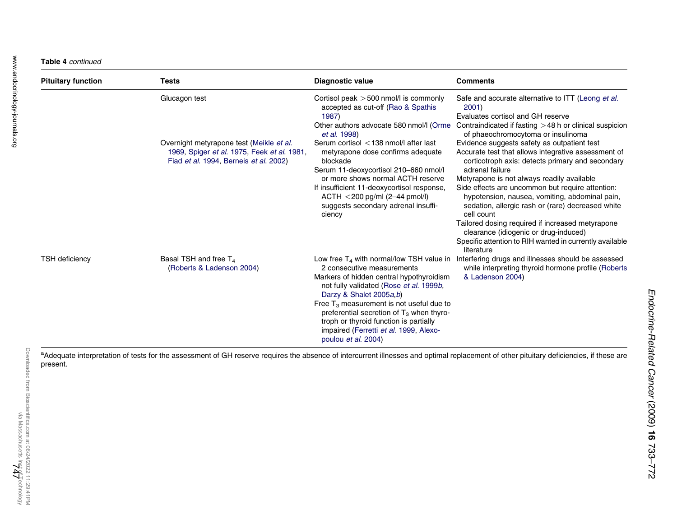#### Table 4 continued

| <b>Pituitary function</b> | Tests                                                                                                                             | Diagnostic value                                                                                                                                                                                                                                                                                                                                      | <b>Comments</b>                                                                                                                                                                                                                                                                                                                                                                                                                                                                                                                                                        |
|---------------------------|-----------------------------------------------------------------------------------------------------------------------------------|-------------------------------------------------------------------------------------------------------------------------------------------------------------------------------------------------------------------------------------------------------------------------------------------------------------------------------------------------------|------------------------------------------------------------------------------------------------------------------------------------------------------------------------------------------------------------------------------------------------------------------------------------------------------------------------------------------------------------------------------------------------------------------------------------------------------------------------------------------------------------------------------------------------------------------------|
|                           | Glucagon test                                                                                                                     | Cortisol peak > 500 nmol/l is commonly<br>accepted as cut-off (Rao & Spathis)<br>1987)<br>Other authors advocate 580 nmol/l (Orme<br><i>et al.</i> 1998)                                                                                                                                                                                              | Safe and accurate alternative to ITT (Leong et al.<br>2001<br>Evaluates cortisol and GH reserve<br>Contraindicated if fasting $>48$ h or clinical suspicion<br>of phaeochromocytoma or insulinoma                                                                                                                                                                                                                                                                                                                                                                      |
|                           | Overnight metyrapone test (Meikle et al.<br>1969, Spiger et al. 1975, Feek et al. 1981,<br>Fiad et al. 1994, Berneis et al. 2002) | Serum cortisol < 138 nmol/l after last<br>metyrapone dose confirms adequate<br>blockade<br>Serum 11-deoxycortisol 210-660 nmol/l<br>or more shows normal ACTH reserve<br>If insufficient 11-deoxycortisol response,<br>$ACTH < 200$ pg/ml (2-44 pmol/l)<br>suggests secondary adrenal insuffi-<br>ciency                                              | Evidence suggests safety as outpatient test<br>Accurate test that allows integrative assessment of<br>corticotroph axis: detects primary and secondary<br>adrenal failure<br>Metyrapone is not always readily available<br>Side effects are uncommon but require attention:<br>hypotension, nausea, vomiting, abdominal pain,<br>sedation, allergic rash or (rare) decreased white<br>cell count<br>Tailored dosing required if increased metyrapone<br>clearance (idiogenic or drug-induced)<br>Specific attention to RIH wanted in currently available<br>literature |
| <b>TSH deficiency</b>     | Basal TSH and free $T_4$<br>(Roberts & Ladenson 2004)                                                                             | 2 consecutive measurements<br>Markers of hidden central hypothyroidism<br>not fully validated (Rose et al. 1999b,<br>Darzy & Shalet 2005a,b)<br>Free $T_3$ measurement is not useful due to<br>preferential secretion of $T_3$ when thyro-<br>troph or thyroid function is partially<br>impaired (Ferretti et al. 1999, Alexo-<br>poulou et al. 2004) | Low free $T_4$ with normal/low TSH value in Interfering drugs and illnesses should be assessed<br>while interpreting thyroid hormone profile (Roberts<br>& Ladenson 2004)                                                                                                                                                                                                                                                                                                                                                                                              |

<sup>a</sup>Adequate interpretation of tests for the assessment of GH reserve requires the absence of intercurrent illnesses and optimal replacement of other pituitary deficiencies, if these are present.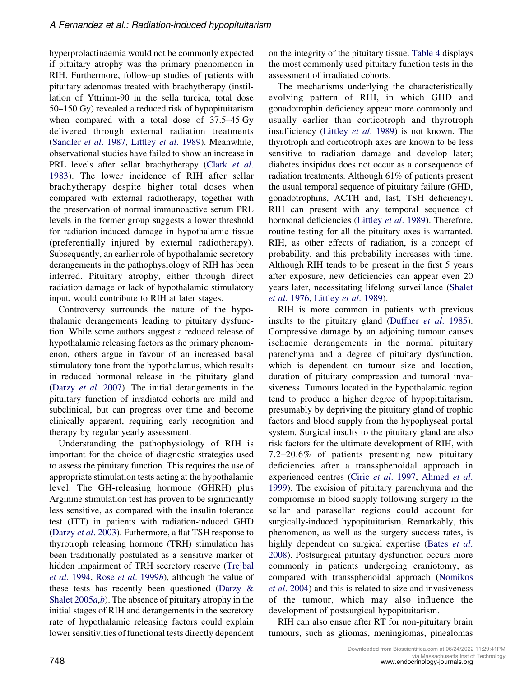hyperprolactinaemia would not be commonly expected if pituitary atrophy was the primary phenomenon in RIH. Furthermore, follow-up studies of patients with pituitary adenomas treated with brachytherapy (instillation of Yttrium-90 in the sella turcica, total dose 50–150 Gy) revealed a reduced risk of hypopituitarism when compared with a total dose of 37.5–45 Gy delivered through external radiation treatments [\(Sandler](#page-37-0) et al. 1987, [Littley](#page-33-0) et al. 1989). Meanwhile, observational studies have failed to show an increase in PRL levels after sellar brachytherapy ([Clark](#page-29-0) et al. [1983](#page-29-0)). The lower incidence of RIH after sellar brachytherapy despite higher total doses when compared with external radiotherapy, together with the preservation of normal immunoactive serum PRL levels in the former group suggests a lower threshold for radiation-induced damage in hypothalamic tissue (preferentially injured by external radiotherapy). Subsequently, an earlier role of hypothalamic secretory derangements in the pathophysiology of RIH has been inferred. Pituitary atrophy, either through direct radiation damage or lack of hypothalamic stimulatory input, would contribute to RIH at later stages.

Controversy surrounds the nature of the hypothalamic derangements leading to pituitary dysfunction. While some authors suggest a reduced release of hypothalamic releasing factors as the primary phenomenon, others argue in favour of an increased basal stimulatory tone from the hypothalamus, which results in reduced hormonal release in the pituitary gland (Darzy et al[. 2007\)](#page-30-0). The initial derangements in the pituitary function of irradiated cohorts are mild and subclinical, but can progress over time and become clinically apparent, requiring early recognition and therapy by regular yearly assessment.

Understanding the pathophysiology of RIH is important for the choice of diagnostic strategies used to assess the pituitary function. This requires the use of appropriate stimulation tests acting at the hypothalamic level. The GH-releasing hormone (GHRH) plus Arginine stimulation test has proven to be significantly less sensitive, as compared with the insulin tolerance test (ITT) in patients with radiation-induced GHD (Darzy et al[. 2003\)](#page-30-0). Futhermore, a flat TSH response to thyrotroph releasing hormone (TRH) stimulation has been traditionally postulated as a sensitive marker of hidden impairment of TRH secretory reserve [\(Trejbal](#page-38-0) et al[. 1994](#page-38-0), Rose et al[. 1999](#page-36-0)b), although the value of these tests has recently been questioned ([Darzy &](#page-30-0) Shalet  $2005a,b$  $2005a,b$ . The absence of pituitary atrophy in the initial stages of RIH and derangements in the secretory rate of hypothalamic releasing factors could explain lower sensitivities of functional tests directly dependent on the integrity of the pituitary tissue. [Table 4](#page-12-0) displays the most commonly used pituitary function tests in the assessment of irradiated cohorts.

The mechanisms underlying the characteristically evolving pattern of RIH, in which GHD and gonadotrophin deficiency appear more commonly and usually earlier than corticotroph and thyrotroph insufficiency (Littley et al[. 1989](#page-33-0)) is not known. The thyrotroph and corticotroph axes are known to be less sensitive to radiation damage and develop later; diabetes insipidus does not occur as a consequence of radiation treatments. Although 61% of patients present the usual temporal sequence of pituitary failure (GHD, gonadotrophins, ACTH and, last, TSH deficiency), RIH can present with any temporal sequence of hormonal deficiencies ([Littley](#page-33-0) et al. 1989). Therefore, routine testing for all the pituitary axes is warranted. RIH, as other effects of radiation, is a concept of probability, and this probability increases with time. Although RIH tends to be present in the first 5 years after exposure, new deficiencies can appear even 20 years later, necessitating lifelong surveillance [\(Shalet](#page-37-0) et al[. 1976,](#page-37-0) [Littley](#page-33-0) et al. 1989).

RIH is more common in patients with previous insults to the pituitary gland [\(Duffner](#page-31-0) et al. 1985). Compressive damage by an adjoining tumour causes ischaemic derangements in the normal pituitary parenchyma and a degree of pituitary dysfunction, which is dependent on tumour size and location, duration of pituitary compression and tumoral invasiveness. Tumours located in the hypothalamic region tend to produce a higher degree of hypopituitarism, presumably by depriving the pituitary gland of trophic factors and blood supply from the hypophyseal portal system. Surgical insults to the pituitary gland are also risk factors for the ultimate development of RIH, with 7.2–20.6% of patients presenting new pituitary deficiencies after a transsphenoidal approach in experienced centres (Ciric et al[. 1997,](#page-29-0) [Ahmed](#page-27-0) et al. [1999\)](#page-27-0). The excision of pituitary parenchyma and the compromise in blood supply following surgery in the sellar and parasellar regions could account for surgically-induced hypopituitarism. Remarkably, this phenomenon, as well as the surgery success rates, is highly dependent on surgical expertise [\(Bates](#page-28-0) et al. [2008\)](#page-28-0). Postsurgical pituitary dysfunction occurs more commonly in patients undergoing craniotomy, as compared with transsphenoidal approach ([Nomikos](#page-35-0) et al[. 2004\)](#page-35-0) and this is related to size and invasiveness of the tumour, which may also influence the development of postsurgical hypopituitarism.

RIH can also ensue after RT for non-pituitary brain tumours, such as gliomas, meningiomas, pinealomas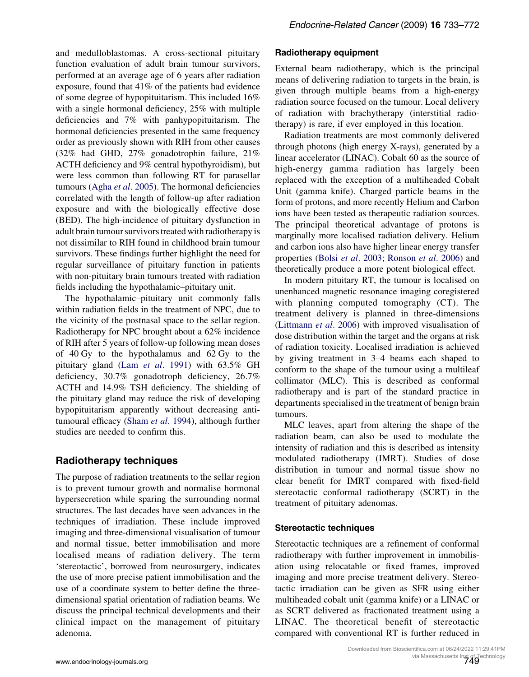and medulloblastomas. A cross-sectional pituitary function evaluation of adult brain tumour survivors, performed at an average age of 6 years after radiation exposure, found that 41% of the patients had evidence of some degree of hypopituitarism. This included 16% with a single hormonal deficiency, 25% with multiple deficiencies and 7% with panhypopituitarism. The hormonal deficiencies presented in the same frequency order as previously shown with RIH from other causes (32% had GHD, 27% gonadotrophin failure, 21% ACTH deficiency and 9% central hypothyroidism), but were less common than following RT for parasellar tumours (Agha et al[. 2005\)](#page-27-0). The hormonal deficiencies correlated with the length of follow-up after radiation exposure and with the biologically effective dose (BED). The high-incidence of pituitary dysfunction in adult brain tumour survivors treated with radiotherapy is not dissimilar to RIH found in childhood brain tumour survivors. These findings further highlight the need for regular surveillance of pituitary function in patients with non-pituitary brain tumours treated with radiation fields including the hypothalamic–pituitary unit.

The hypothalamic–pituitary unit commonly falls within radiation fields in the treatment of NPC, due to the vicinity of the postnasal space to the sellar region. Radiotherapy for NPC brought about a 62% incidence of RIH after 5 years of follow-up following mean doses of 40 Gy to the hypothalamus and 62 Gy to the pituitary gland (Lam et al[. 1991\)](#page-33-0) with 63.5% GH deficiency, 30.7% gonadotroph deficiency, 26.7% ACTH and 14.9% TSH deficiency. The shielding of the pituitary gland may reduce the risk of developing hypopituitarism apparently without decreasing anti-tumoural efficacy (Sham et al[. 1994](#page-37-0)), although further studies are needed to confirm this.

## Radiotherapy techniques

The purpose of radiation treatments to the sellar region is to prevent tumour growth and normalise hormonal hypersecretion while sparing the surrounding normal structures. The last decades have seen advances in the techniques of irradiation. These include improved imaging and three-dimensional visualisation of tumour and normal tissue, better immobilisation and more localised means of radiation delivery. The term 'stereotactic', borrowed from neurosurgery, indicates the use of more precise patient immobilisation and the use of a coordinate system to better define the threedimensional spatial orientation of radiation beams. We discuss the principal technical developments and their clinical impact on the management of pituitary adenoma.

## Radiotherapy equipment

External beam radiotherapy, which is the principal means of delivering radiation to targets in the brain, is given through multiple beams from a high-energy radiation source focused on the tumour. Local delivery of radiation with brachytherapy (interstitial radiotherapy) is rare, if ever employed in this location.

Radiation treatments are most commonly delivered through photons (high energy X-rays), generated by a linear accelerator (LINAC). Cobalt 60 as the source of high-energy gamma radiation has largely been replaced with the exception of a multiheaded Cobalt Unit (gamma knife). Charged particle beams in the form of protons, and more recently Helium and Carbon ions have been tested as therapeutic radiation sources. The principal theoretical advantage of protons is marginally more localised radiation delivery. Helium and carbon ions also have higher linear energy transfer properties (Bolsi et al[. 2003;](#page-28-0) [Ronson](#page-36-0) et al. 2006) and theoretically produce a more potent biological effect.

In modern pituitary RT, the tumour is localised on unenhanced magnetic resonance imaging coregistered with planning computed tomography (CT). The treatment delivery is planned in three-dimensions [\(Littmann](#page-33-0) et al. 2006) with improved visualisation of dose distribution within the target and the organs at risk of radiation toxicity. Localised irradiation is achieved by giving treatment in 3–4 beams each shaped to conform to the shape of the tumour using a multileaf collimator (MLC). This is described as conformal radiotherapy and is part of the standard practice in departments specialised in the treatment of benign brain tumours.

MLC leaves, apart from altering the shape of the radiation beam, can also be used to modulate the intensity of radiation and this is described as intensity modulated radiotherapy (IMRT). Studies of dose distribution in tumour and normal tissue show no clear benefit for IMRT compared with fixed-field stereotactic conformal radiotherapy (SCRT) in the treatment of pituitary adenomas.

## Stereotactic techniques

Stereotactic techniques are a refinement of conformal radiotherapy with further improvement in immobilisation using relocatable or fixed frames, improved imaging and more precise treatment delivery. Stereotactic irradiation can be given as SFR using either multiheaded cobalt unit (gamma knife) or a LINAC or as SCRT delivered as fractionated treatment using a LINAC. The theoretical benefit of stereotactic compared with conventional RT is further reduced in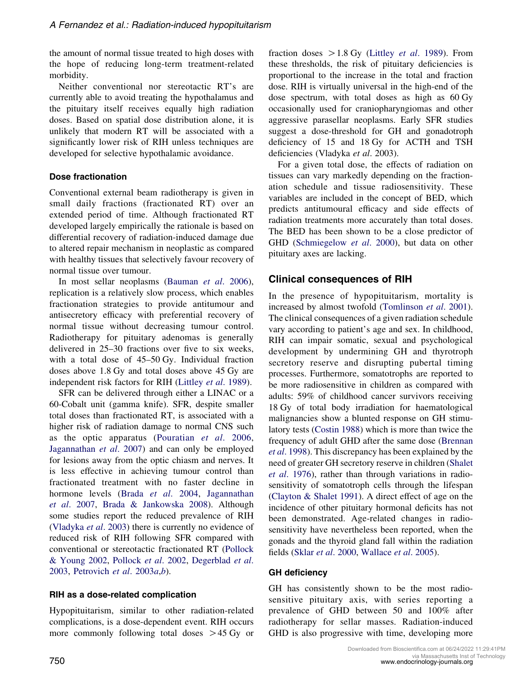the amount of normal tissue treated to high doses with the hope of reducing long-term treatment-related morbidity.

Neither conventional nor stereotactic RT's are currently able to avoid treating the hypothalamus and the pituitary itself receives equally high radiation doses. Based on spatial dose distribution alone, it is unlikely that modern RT will be associated with a significantly lower risk of RIH unless techniques are developed for selective hypothalamic avoidance.

## Dose fractionation

Conventional external beam radiotherapy is given in small daily fractions (fractionated RT) over an extended period of time. Although fractionated RT developed largely empirically the rationale is based on differential recovery of radiation-induced damage due to altered repair mechanism in neoplastic as compared with healthy tissues that selectively favour recovery of normal tissue over tumour.

In most sellar neoplasms [\(Bauman](#page-28-0) et al. 2006), replication is a relatively slow process, which enables fractionation strategies to provide antitumour and antisecretory efficacy with preferential recovery of normal tissue without decreasing tumour control. Radiotherapy for pituitary adenomas is generally delivered in 25–30 fractions over five to six weeks, with a total dose of 45–50 Gy. Individual fraction doses above 1.8 Gy and total doses above 45 Gy are independent risk factors for RIH [\(Littley](#page-33-0) et al. 1989).

SFR can be delivered through either a LINAC or a 60-Cobalt unit (gamma knife). SFR, despite smaller total doses than fractionated RT, is associated with a higher risk of radiation damage to normal CNS such as the optic apparatus ([Pouratian](#page-36-0) et al. 2006, [Jagannathan](#page-32-0) et al. 2007) and can only be employed for lesions away from the optic chiasm and nerves. It is less effective in achieving tumour control than fractionated treatment with no faster decline in hormone levels (Brada et al[. 2004,](#page-29-0) [Jagannathan](#page-32-0) et al[. 2007,](#page-32-0) [Brada & Jankowska 2008\)](#page-29-0). Although some studies report the reduced prevalence of RIH [\(Vladyka](#page-39-0) et al. 2003) there is currently no evidence of reduced risk of RIH following SFR compared with conventional or stereotactic fractionated RT ([Pollock](#page-36-0) [& Young 2002,](#page-36-0) [Pollock](#page-36-0) et al. 2002, [Degerblad](#page-30-0) et al. [2003,](#page-30-0) [Petrovich](#page-36-0) et al. 2003a,[b](#page-36-0)).

## RIH as a dose-related complication

Hypopituitarism, similar to other radiation-related complications, is a dose-dependent event. RIH occurs more commonly following total doses  $>45$  Gy or fraction doses  $>1.8$  Gy (Littley *et al.* 1989). From these thresholds, the risk of pituitary deficiencies is proportional to the increase in the total and fraction dose. RIH is virtually universal in the high-end of the dose spectrum, with total doses as high as 60 Gy occasionally used for craniopharyngiomas and other aggressive parasellar neoplasms. Early SFR studies suggest a dose-threshold for GH and gonadotroph deficiency of 15 and 18 Gy for ACTH and TSH deficiencies (Vladyka et al. 2003).

For a given total dose, the effects of radiation on tissues can vary markedly depending on the fractionation schedule and tissue radiosensitivity. These variables are included in the concept of BED, which predicts antitumoural efficacy and side effects of radiation treatments more accurately than total doses. The BED has been shown to be a close predictor of GHD [\(Schmiegelow](#page-37-0) et al. 2000), but data on other pituitary axes are lacking.

## Clinical consequences of RIH

In the presence of hypopituitarism, mortality is increased by almost twofold [\(Tomlinson](#page-38-0) et al. 2001). The clinical consequences of a given radiation schedule vary according to patient's age and sex. In childhood, RIH can impair somatic, sexual and psychological development by undermining GH and thyrotroph secretory reserve and disrupting pubertal timing processes. Furthermore, somatotrophs are reported to be more radiosensitive in children as compared with adults: 59% of childhood cancer survivors receiving 18 Gy of total body irradiation for haematological malignancies show a blunted response on GH stimulatory tests [\(Costin 1988](#page-30-0)) which is more than twice the frequency of adult GHD after the same dose [\(Brennan](#page-29-0) et al[. 1998](#page-29-0)). This discrepancy has been explained by the need of greater GH secretory reserve in children [\(Shalet](#page-37-0) et al[. 1976\)](#page-37-0), rather than through variations in radiosensitivity of somatotroph cells through the lifespan [\(Clayton & Shalet 1991](#page-29-0)). A direct effect of age on the incidence of other pituitary hormonal deficits has not been demonstrated. Age-related changes in radiosensitivity have nevertheless been reported, when the gonads and the thyroid gland fall within the radiation fields (Sklar et al[. 2000,](#page-37-0) [Wallace](#page-39-0) et al. 2005).

#### GH deficiency

GH has consistently shown to be the most radiosensitive pituitary axis, with series reporting a prevalence of GHD between 50 and 100% after radiotherapy for sellar masses. Radiation-induced GHD is also progressive with time, developing more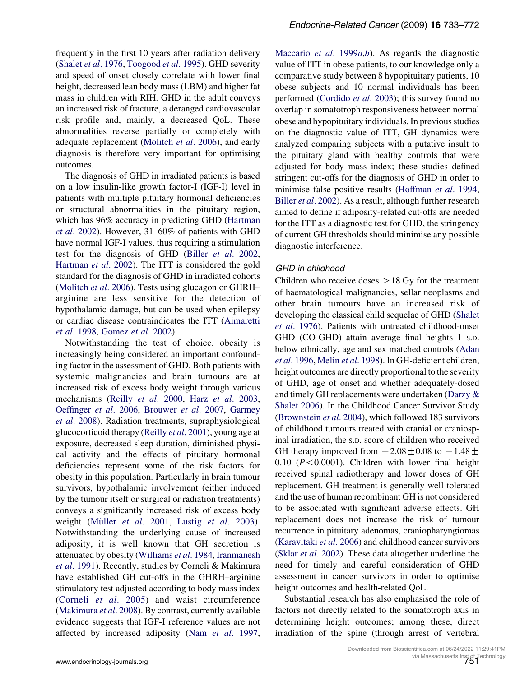frequently in the first 10 years after radiation delivery [\(Shalet](#page-37-0) et al. 1976, [Toogood](#page-38-0) et al. 1995). GHD severity and speed of onset closely correlate with lower final height, decreased lean body mass (LBM) and higher fat mass in children with RIH. GHD in the adult conveys an increased risk of fracture, a deranged cardiovascular risk profile and, mainly, a decreased QoL. These abnormalities reverse partially or completely with adequate replacement [\(Molitch](#page-35-0) et al. 2006), and early diagnosis is therefore very important for optimising outcomes.

The diagnosis of GHD in irradiated patients is based on a low insulin-like growth factor-I (IGF-I) level in patients with multiple pituitary hormonal deficiencies or structural abnormalities in the pituitary region, which has 96% accuracy in predicting GHD ([Hartman](#page-32-0) et al[. 2002](#page-32-0)). However, 31–60% of patients with GHD have normal IGF-I values, thus requiring a stimulation test for the diagnosis of GHD (Biller et al[. 2002](#page-28-0), [Hartman](#page-32-0) et al. 2002). The ITT is considered the gold standard for the diagnosis of GHD in irradiated cohorts [\(Molitch](#page-35-0) et al. 2006). Tests using glucagon or GHRH– arginine are less sensitive for the detection of hypothalamic damage, but can be used when epilepsy or cardiac disease contraindicates the ITT [\(Aimaretti](#page-27-0) et al[. 1998](#page-27-0), [Gomez](#page-31-0) et al. 2002).

Notwithstanding the test of choice, obesity is increasingly being considered an important confounding factor in the assessment of GHD. Both patients with systemic malignancies and brain tumours are at increased risk of excess body weight through various mechanisms (Reilly et al[. 2000,](#page-36-0) Harz et al[. 2003](#page-32-0), [Oeffinger](#page-35-0) et al. 2006, [Brouwer](#page-29-0) et al. 2007, [Garmey](#page-31-0) et al[. 2008](#page-31-0)). Radiation treatments, supraphysiological glucocorticoid therapy (Reilly et al[. 2001\)](#page-36-0), young age at exposure, decreased sleep duration, diminished physical activity and the effects of pituitary hormonal deficiencies represent some of the risk factors for obesity in this population. Particularly in brain tumour survivors, hypothalamic involvement (either induced by the tumour itself or surgical or radiation treatments) conveys a significantly increased risk of excess body weight (Müller et al[. 2001,](#page-35-0) Lustig et al[. 2003](#page-33-0)). Notwithstanding the underlying cause of increased adiposity, it is well known that GH secretion is attenuated by obesity [\(Williams](#page-39-0) et al. 1984, [Iranmanesh](#page-32-0) et al[. 1991](#page-32-0)). Recently, studies by Corneli & Makimura have established GH cut-offs in the GHRH–arginine stimulatory test adjusted according to body mass index [\(Corneli](#page-30-0) et al. 2005) and waist circumference [\(Makimura](#page-34-0) et al. 2008). By contrast, currently available evidence suggests that IGF-I reference values are not affected by increased adiposity (Nam et al[. 1997](#page-35-0), [Maccario](#page-33-0) et al. 1999a,[b](#page-34-0)). As regards the diagnostic value of ITT in obese patients, to our knowledge only a comparative study between 8 hypopituitary patients, 10 obese subjects and 10 normal individuals has been performed ([Cordido](#page-30-0) et al. 2003); this survey found no overlap in somatotroph responsiveness between normal obese and hypopituitary individuals. In previous studies on the diagnostic value of ITT, GH dynamics were analyzed comparing subjects with a putative insult to the pituitary gland with healthy controls that were adjusted for body mass index; these studies defined stringent cut-offs for the diagnosis of GHD in order to minimise false positive results [\(Hoffman](#page-32-0) et al. 1994, Biller et al[. 2002\)](#page-28-0). As a result, although further research aimed to define if adiposity-related cut-offs are needed for the ITT as a diagnostic test for GHD, the stringency of current GH thresholds should minimise any possible diagnostic interference.

#### GHD in childhood

Children who receive doses  $> 18$  Gy for the treatment of haematological malignancies, sellar neoplasms and other brain tumours have an increased risk of developing the classical child sequelae of GHD [\(Shalet](#page-37-0) et al[. 1976\)](#page-37-0). Patients with untreated childhood-onset GHD (CO-GHD) attain average final heights 1 S.D. below ethnically, age and sex matched controls [\(Adan](#page-27-0) et al[. 1996](#page-27-0), Melin et al[. 1998](#page-34-0)). In GH-deficient children, height outcomes are directly proportional to the severity of GHD, age of onset and whether adequately-dosed and timely GH replacements were undertaken [\(Darzy &](#page-30-0) [Shalet 2006\)](#page-30-0). In the Childhood Cancer Survivor Study [\(Brownstein](#page-29-0) et al. 2004), which followed 183 survivors of childhood tumours treated with cranial or craniospinal irradiation, the S.D. score of children who received GH therapy improved from  $-2.08\pm0.08$  to  $-1.48\pm$  $0.10$  ( $P < 0.0001$ ). Children with lower final height received spinal radiotherapy and lower doses of GH replacement. GH treatment is generally well tolerated and the use of human recombinant GH is not considered to be associated with significant adverse effects. GH replacement does not increase the risk of tumour recurrence in pituitary adenomas, craniopharyngiomas [\(Karavitaki](#page-32-0) et al. 2006) and childhood cancer survivors (Sklar et al[. 2002\)](#page-37-0). These data altogether underline the need for timely and careful consideration of GHD assessment in cancer survivors in order to optimise height outcomes and health-related QoL.

Substantial research has also emphasised the role of factors not directly related to the somatotroph axis in determining height outcomes; among these, direct irradiation of the spine (through arrest of vertebral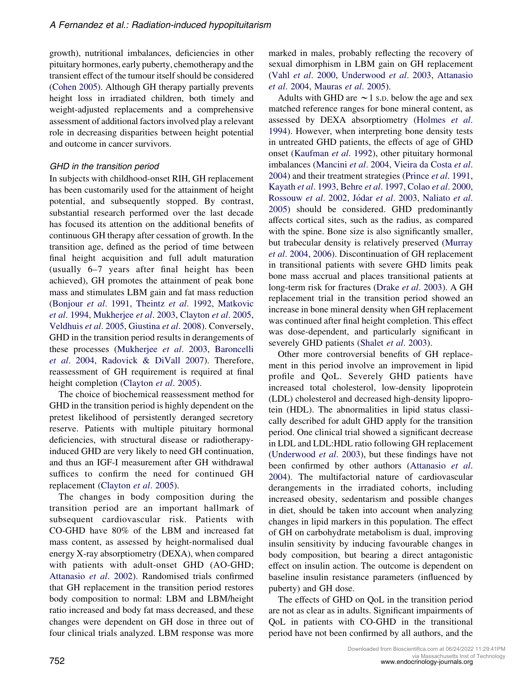growth), nutritional imbalances, deficiencies in other pituitary hormones, early puberty, chemotherapy and the transient effect of the tumour itself should be considered [\(Cohen 2005\)](#page-29-0). Although GH therapy partially prevents height loss in irradiated children, both timely and weight-adjusted replacements and a comprehensive assessment of additional factors involved play a relevant role in decreasing disparities between height potential and outcome in cancer survivors.

## GHD in the transition period

In subjects with childhood-onset RIH, GH replacement has been customarily used for the attainment of height potential, and subsequently stopped. By contrast, substantial research performed over the last decade has focused its attention on the additional benefits of continuous GH therapy after cessation of growth. In the transition age, defined as the period of time between final height acquisition and full adult maturation (usually 6–7 years after final height has been achieved), GH promotes the attainment of peak bone mass and stimulates LBM gain and fat mass reduction [\(Bonjour](#page-29-0) et al. 1991, [Theintz](#page-38-0) et al. 1992, [Matkovic](#page-34-0) et al[. 1994](#page-34-0), [Mukherjee](#page-35-0) et al. 2003, [Clayton](#page-29-0) et al. 2005, [Veldhuis](#page-38-0) et al. 2005, [Giustina](#page-31-0) et al. 2008). Conversely, GHD in the transition period results in derangements of these processes ([Mukherjee](#page-35-0) et al. 2003, [Baroncelli](#page-28-0) et al[. 2004](#page-28-0), [Radovick & DiVall 2007\)](#page-36-0). Therefore, reassessment of GH requirement is required at final height completion [\(Clayton](#page-29-0) et al. 2005).

The choice of biochemical reassessment method for GHD in the transition period is highly dependent on the pretest likelihood of persistently deranged secretory reserve. Patients with multiple pituitary hormonal deficiencies, with structural disease or radiotherapyinduced GHD are very likely to need GH continuation, and thus an IGF-I measurement after GH withdrawal suffices to confirm the need for continued GH replacement [\(Clayton](#page-29-0) et al. 2005).

The changes in body composition during the transition period are an important hallmark of subsequent cardiovascular risk. Patients with CO-GHD have 80% of the LBM and increased fat mass content, as assessed by height-normalised dual energy X-ray absorptiometry (DEXA), when compared with patients with adult-onset GHD (AO-GHD; [Attanasio](#page-27-0) et al. 2002). Randomised trials confirmed that GH replacement in the transition period restores body composition to normal: LBM and LBM/height ratio increased and body fat mass decreased, and these changes were dependent on GH dose in three out of four clinical trials analyzed. LBM response was more

marked in males, probably reflecting the recovery of sexual dimorphism in LBM gain on GH replacement (Vahl et al[. 2000,](#page-38-0) [Underwood](#page-38-0) et al. 2003, [Attanasio](#page-28-0) et al[. 2004,](#page-28-0) [Mauras](#page-34-0) et al. 2005).

Adults with GHD are  $\sim$  1 s.p. below the age and sex matched reference ranges for bone mineral content, as assessed by DEXA absorptiometry ([Holmes](#page-32-0) et al. [1994\)](#page-32-0). However, when interpreting bone density tests in untreated GHD patients, the effects of age of GHD onset [\(Kaufman](#page-33-0) et al. 1992), other pituitary hormonal imbalances ([Mancini](#page-34-0) et al. 2004, [Vieira da Costa](#page-39-0) et al. [2004\)](#page-39-0) and their treatment strategies ([Prince](#page-36-0) et al. 1991, [Kayath](#page-33-0) et al. 1993, Behre et al[. 1997,](#page-28-0) Colao et al[. 2000,](#page-29-0) [Rossouw](#page-36-0) et al. 2002, Jódar et al[. 2003](#page-32-0), [Naliato](#page-35-0) et al. [2005](#page-35-0)) should be considered. GHD predominantly affects cortical sites, such as the radius, as compared with the spine. Bone size is also significantly smaller, but trabecular density is relatively preserved [\(Murray](#page-35-0) et al[. 2004,](#page-35-0) [2006\)](#page-35-0). Discontinuation of GH replacement in transitional patients with severe GHD limits peak bone mass accrual and places transitional patients at long-term risk for fractures (Drake et al[. 2003](#page-30-0)). A GH replacement trial in the transition period showed an increase in bone mineral density when GH replacement was continued after final height completion. This effect was dose-dependent, and particularly significant in severely GHD patients (Shalet et al[. 2003\)](#page-37-0).

Other more controversial benefits of GH replacement in this period involve an improvement in lipid profile and QoL. Severely GHD patients have increased total cholesterol, low-density lipoprotein (LDL) cholesterol and decreased high-density lipoprotein (HDL). The abnormalities in lipid status classically described for adult GHD apply for the transition period. One clinical trial showed a significant decrease in LDL and LDL:HDL ratio following GH replacement [\(Underwood](#page-38-0) et al. 2003), but these findings have not been confirmed by other authors ([Attanasio](#page-28-0) et al. [2004\)](#page-28-0). The multifactorial nature of cardiovascular derangements in the irradiated cohorts, including increased obesity, sedentarism and possible changes in diet, should be taken into account when analyzing changes in lipid markers in this population. The effect of GH on carbohydrate metabolism is dual, improving insulin sensitivity by inducing favourable changes in body composition, but bearing a direct antagonistic effect on insulin action. The outcome is dependent on baseline insulin resistance parameters (influenced by puberty) and GH dose.

The effects of GHD on QoL in the transition period are not as clear as in adults. Significant impairments of QoL in patients with CO-GHD in the transitional period have not been confirmed by all authors, and the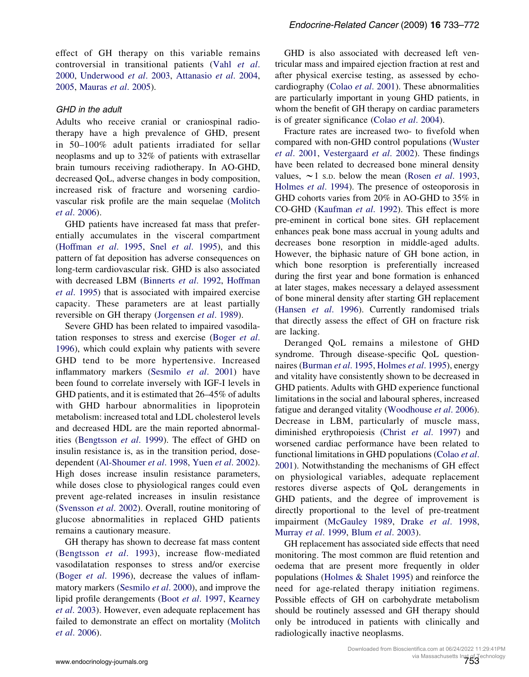effect of GH therapy on this variable remains controversial in transitional patients (Vahl [et al](#page-38-0). [2000,](#page-38-0) [Underwood](#page-38-0) et al. 2003, [Attanasio](#page-28-0) et al. 2004, [2005,](#page-28-0) [Mauras](#page-34-0) et al. 2005).

#### GHD in the adult

Adults who receive cranial or craniospinal radiotherapy have a high prevalence of GHD, present in 50–100% adult patients irradiated for sellar neoplasms and up to 32% of patients with extrasellar brain tumours receiving radiotherapy. In AO-GHD, decreased QoL, adverse changes in body composition, increased risk of fracture and worsening cardiovascular risk profile are the main sequelae [\(Molitch](#page-35-0) et al[. 2006](#page-35-0)).

GHD patients have increased fat mass that preferentially accumulates in the visceral compartment [\(Hoffman](#page-32-0) et al. 1995, Snel et al[. 1995](#page-37-0)), and this pattern of fat deposition has adverse consequences on long-term cardiovascular risk. GHD is also associated with decreased LBM ([Binnerts](#page-28-0) et al. 1992, [Hoffman](#page-32-0) et al[. 1995\)](#page-32-0) that is associated with impaired exercise capacity. These parameters are at least partially reversible on GH therapy ([Jorgensen](#page-32-0) et al. 1989).

Severe GHD has been related to impaired vasodilatation responses to stress and exercise [\(Boger](#page-28-0) et al. [1996\)](#page-28-0), which could explain why patients with severe GHD tend to be more hypertensive. Increased inflammatory markers ([Sesmilo](#page-37-0) et al. 2001) have been found to correlate inversely with IGF-I levels in GHD patients, and it is estimated that 26–45% of adults with GHD harbour abnormalities in lipoprotein metabolism: increased total and LDL cholesterol levels and decreased HDL are the main reported abnormalities ([Bengtsson](#page-28-0) et al. 1999). The effect of GHD on insulin resistance is, as in the transition period, dosedependent ([Al-Shoumer](#page-27-0) et al. 1998, Yuen et al[. 2002](#page-39-0)). High doses increase insulin resistance parameters, while doses close to physiological ranges could even prevent age-related increases in insulin resistance [\(Svensson](#page-38-0) et al. 2002). Overall, routine monitoring of glucose abnormalities in replaced GHD patients remains a cautionary measure.

GH therapy has shown to decrease fat mass content [\(Bengtsson](#page-28-0) et al. 1993), increase flow-mediated vasodilatation responses to stress and/or exercise (Boger et al[. 1996\)](#page-28-0), decrease the values of inflammatory markers ([Sesmilo](#page-37-0) et al. 2000), and improve the lipid profile derangements (Boot et al[. 1997](#page-29-0), [Kearney](#page-33-0) et al[. 2003\)](#page-33-0). However, even adequate replacement has failed to demonstrate an effect on mortality [\(Molitch](#page-35-0) et al[. 2006](#page-35-0)).

GHD is also associated with decreased left ventricular mass and impaired ejection fraction at rest and after physical exercise testing, as assessed by echocardiography (Colao et al[. 2001](#page-30-0)). These abnormalities are particularly important in young GHD patients, in whom the benefit of GH therapy on cardiac parameters is of greater significance (Colao et al[. 2004](#page-30-0)).

Fracture rates are increased two- to fivefold when compared with non-GHD control populations [\(Wuster](#page-39-0) et al[. 2001](#page-39-0), [Vestergaard](#page-39-0) et al. 2002). These findings have been related to decreased bone mineral density values,  $\sim$ 1 s.p. below the mean (Rosen *et al.* 1993, [Holmes](#page-32-0) et al. 1994). The presence of osteoporosis in GHD cohorts varies from 20% in AO-GHD to 35% in CO-GHD ([Kaufman](#page-33-0) et al. 1992). This effect is more pre-eminent in cortical bone sites. GH replacement enhances peak bone mass accrual in young adults and decreases bone resorption in middle-aged adults. However, the biphasic nature of GH bone action, in which bone resorption is preferentially increased during the first year and bone formation is enhanced at later stages, makes necessary a delayed assessment of bone mineral density after starting GH replacement [\(Hansen](#page-31-0) et al. 1996). Currently randomised trials that directly assess the effect of GH on fracture risk are lacking.

Deranged QoL remains a milestone of GHD syndrome. Through disease-specific QoL question-naires [\(Burman](#page-29-0) et al. 1995, [Holmes](#page-32-0) et al. 1995), energy and vitality have consistently shown to be decreased in GHD patients. Adults with GHD experience functional limitations in the social and laboural spheres, increased fatigue and deranged vitality ([Woodhouse](#page-39-0) et al. 2006). Decrease in LBM, particularly of muscle mass, diminished erythropoiesis (Christ et al[. 1997](#page-29-0)) and worsened cardiac performance have been related to functional limitations in GHD populations [\(Colao](#page-30-0) et al. [2001\)](#page-30-0). Notwithstanding the mechanisms of GH effect on physiological variables, adequate replacement restores diverse aspects of QoL derangements in GHD patients, and the degree of improvement is directly proportional to the level of pre-treatment impairment [\(McGauley 1989,](#page-34-0) Drake et al[. 1998,](#page-30-0) [Murray](#page-35-0) et al. 1999, Blum et al[. 2003\)](#page-28-0).

GH replacement has associated side effects that need monitoring. The most common are fluid retention and oedema that are present more frequently in older populations ([Holmes & Shalet 1995\)](#page-32-0) and reinforce the need for age-related therapy initiation regimens. Possible effects of GH on carbohydrate metabolism should be routinely assessed and GH therapy should only be introduced in patients with clinically and radiologically inactive neoplasms.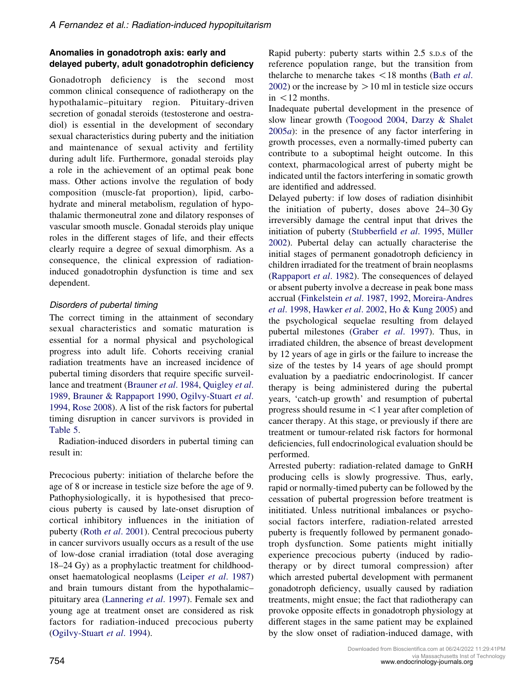## Anomalies in gonadotroph axis: early and delayed puberty, adult gonadotrophin deficiency

Gonadotroph deficiency is the second most common clinical consequence of radiotherapy on the hypothalamic–pituitary region. Pituitary-driven secretion of gonadal steroids (testosterone and oestradiol) is essential in the development of secondary sexual characteristics during puberty and the initiation and maintenance of sexual activity and fertility during adult life. Furthermore, gonadal steroids play a role in the achievement of an optimal peak bone mass. Other actions involve the regulation of body composition (muscle-fat proportion), lipid, carbohydrate and mineral metabolism, regulation of hypothalamic thermoneutral zone and dilatory responses of vascular smooth muscle. Gonadal steroids play unique roles in the different stages of life, and their effects clearly require a degree of sexual dimorphism. As a consequence, the clinical expression of radiationinduced gonadotrophin dysfunction is time and sex dependent.

## Disorders of pubertal timing

The correct timing in the attainment of secondary sexual characteristics and somatic maturation is essential for a normal physical and psychological progress into adult life. Cohorts receiving cranial radiation treatments have an increased incidence of pubertal timing disorders that require specific surveil-lance and treatment ([Brauner](#page-29-0) et al. 1984, [Quigley](#page-36-0) et al. [1989,](#page-36-0) [Brauner & Rappaport 1990](#page-29-0), [Ogilvy-Stuart](#page-35-0) et al. [1994,](#page-35-0) [Rose 2008](#page-36-0)). A list of the risk factors for pubertal timing disruption in cancer survivors is provided in [Table 5.](#page-22-0)

Radiation-induced disorders in pubertal timing can result in:

Precocious puberty: initiation of thelarche before the age of 8 or increase in testicle size before the age of 9. Pathophysiologically, it is hypothesised that precocious puberty is caused by late-onset disruption of cortical inhibitory influences in the initiation of puberty (Roth et al[. 2001\)](#page-36-0). Central precocious puberty in cancer survivors usually occurs as a result of the use of low-dose cranial irradiation (total dose averaging 18–24 Gy) as a prophylactic treatment for childhoodonset haematological neoplasms (Leiper et al[. 1987\)](#page-33-0) and brain tumours distant from the hypothalamic– pituitary area ([Lannering](#page-33-0) et al. 1997). Female sex and young age at treatment onset are considered as risk factors for radiation-induced precocious puberty [\(Ogilvy-Stuart](#page-35-0) et al. 1994).

Rapid puberty: puberty starts within 2.5 S.D.s of the reference population range, but the transition from thelarche to menarche takes  $\langle 18 \text{ months} (\text{Bath } et al. ) \rangle$ [2002\)](#page-28-0) or the increase by  $> 10$  ml in testicle size occurs  $in < 12$  months.

Inadequate pubertal development in the presence of slow linear growth [\(Toogood 2004,](#page-38-0) [Darzy & Shalet](#page-30-0) [2005](#page-30-0)a): in the presence of any factor interfering in growth processes, even a normally-timed puberty can contribute to a suboptimal height outcome. In this context, pharmacological arrest of puberty might be indicated until the factors interfering in somatic growth are identified and addressed.

Delayed puberty: if low doses of radiation disinhibit the initiation of puberty, doses above 24–30 Gy irreversibly damage the central input that drives the initiation of puberty [\(Stubberfield](#page-38-0) et al. 1995, Müller [2002\)](#page-35-0). Pubertal delay can actually characterise the initial stages of permanent gonadotroph deficiency in children irradiated for the treatment of brain neoplasms [\(Rappaport](#page-36-0) et al. 1982). The consequences of delayed or absent puberty involve a decrease in peak bone mass accrual ([Finkelstein](#page-31-0) et al. 1987, [1992,](#page-31-0) [Moreira-Andres](#page-35-0) et al[. 1998,](#page-35-0) [Hawker](#page-32-0) et al. 2002, [Ho & Kung 2005\)](#page-32-0) and the psychological sequelae resulting from delayed pubertal milestones (Graber et al[. 1997](#page-31-0)). Thus, in irradiated children, the absence of breast development by 12 years of age in girls or the failure to increase the size of the testes by 14 years of age should prompt evaluation by a paediatric endocrinologist. If cancer therapy is being administered during the pubertal years, 'catch-up growth' and resumption of pubertal progress should resume in  $\leq 1$  year after completion of cancer therapy. At this stage, or previously if there are treatment or tumour-related risk factors for hormonal deficiencies, full endocrinological evaluation should be performed.

Arrested puberty: radiation-related damage to GnRH producing cells is slowly progressive. Thus, early, rapid or normally-timed puberty can be followed by the cessation of pubertal progression before treatment is inititiated. Unless nutritional imbalances or psychosocial factors interfere, radiation-related arrested puberty is frequently followed by permanent gonadotroph dysfunction. Some patients might initially experience precocious puberty (induced by radiotherapy or by direct tumoral compression) after which arrested pubertal development with permanent gonadotroph deficiency, usually caused by radiation treatments, might ensue; the fact that radiotherapy can provoke opposite effects in gonadotroph physiology at different stages in the same patient may be explained by the slow onset of radiation-induced damage, with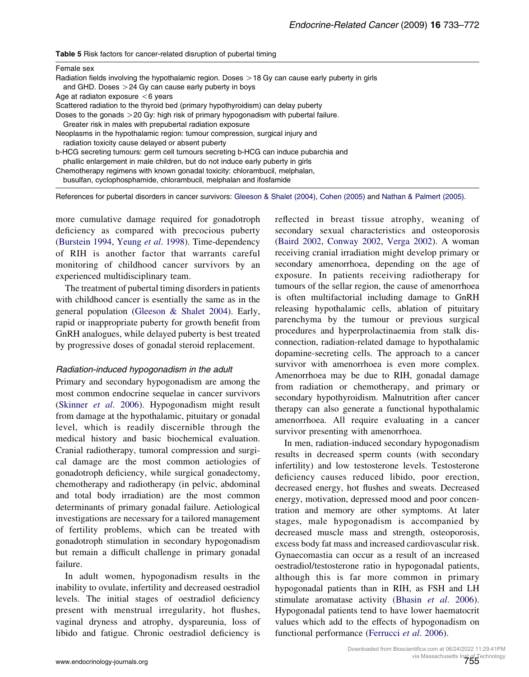<span id="page-22-0"></span>

| Table 5 Risk factors for cancer-related disruption of pubertal timing |  |  |  |
|-----------------------------------------------------------------------|--|--|--|
|-----------------------------------------------------------------------|--|--|--|

| Female sex                                                                                                                                                            |
|-----------------------------------------------------------------------------------------------------------------------------------------------------------------------|
| Radiation fields involving the hypothalamic region. Doses $>$ 18 Gy can cause early puberty in girls                                                                  |
| and GHD. Doses $>24$ Gy can cause early puberty in boys                                                                                                               |
| Age at radiaton exposure $<6$ years                                                                                                                                   |
| Scattered radiation to the thyroid bed (primary hypothyroidism) can delay puberty                                                                                     |
| Doses to the gonads $>$ 20 Gy: high risk of primary hypogonadism with pubertal failure.                                                                               |
| Greater risk in males with prepubertal radiation exposure                                                                                                             |
| Neoplasms in the hypothalamic region: tumour compression, surgical injury and<br>radiation toxicity cause delayed or absent puberty                                   |
| b-HCG secreting tumours: germ cell tumours secreting b-HCG can induce pubarchia and<br>phallic enlargement in male children, but do not induce early puberty in girls |
| Chemotherapy regimens with known gonadal toxicity: chlorambucil, melphalan,<br>busulfan, cyclophosphamide, chlorambucil, melphalan and ifosfamide                     |

References for pubertal disorders in cancer survivors: [Gleeson & Shalet \(2004\)](#page-31-0), [Cohen \(2005\)](#page-29-0) and [Nathan & Palmert \(2005\).](#page-35-0)

more cumulative damage required for gonadotroph deficiency as compared with precocious puberty [\(Burstein 1994,](#page-29-0) [Yeung](#page-39-0) et al. 1998). Time-dependency of RIH is another factor that warrants careful monitoring of childhood cancer survivors by an experienced multidisciplinary team.

The treatment of pubertal timing disorders in patients with childhood cancer is esentially the same as in the general population ([Gleeson & Shalet 2004](#page-31-0)). Early, rapid or inappropriate puberty for growth benefit from GnRH analogues, while delayed puberty is best treated by progressive doses of gonadal steroid replacement.

#### Radiation-induced hypogonadism in the adult

Primary and secondary hypogonadism are among the most common endocrine sequelae in cancer survivors [\(Skinner](#page-37-0) et al. 2006). Hypogonadism might result from damage at the hypothalamic, pituitary or gonadal level, which is readily discernible through the medical history and basic biochemical evaluation. Cranial radiotherapy, tumoral compression and surgical damage are the most common aetiologies of gonadotroph deficiency, while surgical gonadectomy, chemotherapy and radiotherapy (in pelvic, abdominal and total body irradiation) are the most common determinants of primary gonadal failure. Aetiological investigations are necessary for a tailored management of fertility problems, which can be treated with gonadotroph stimulation in secondary hypogonadism but remain a difficult challenge in primary gonadal failure.

In adult women, hypogonadism results in the inability to ovulate, infertility and decreased oestradiol levels. The initial stages of oestradiol deficiency present with menstrual irregularity, hot flushes, vaginal dryness and atrophy, dyspareunia, loss of libido and fatigue. Chronic oestradiol deficiency is

reflected in breast tissue atrophy, weaning of secondary sexual characteristics and osteoporosis [\(Baird 2002,](#page-28-0) [Conway 2002](#page-30-0), [Verga 2002](#page-39-0)). A woman receiving cranial irradiation might develop primary or secondary amenorrhoea, depending on the age of exposure. In patients receiving radiotherapy for tumours of the sellar region, the cause of amenorrhoea is often multifactorial including damage to GnRH releasing hypothalamic cells, ablation of pituitary parenchyma by the tumour or previous surgical procedures and hyperprolactinaemia from stalk disconnection, radiation-related damage to hypothalamic dopamine-secreting cells. The approach to a cancer survivor with amenorrhoea is even more complex. Amenorrhoea may be due to RIH, gonadal damage from radiation or chemotherapy, and primary or secondary hypothyroidism. Malnutrition after cancer therapy can also generate a functional hypothalamic amenorrhoea. All require evaluating in a cancer survivor presenting with amenorrhoea.

In men, radiation-induced secondary hypogonadism results in decreased sperm counts (with secondary infertility) and low testosterone levels. Testosterone deficiency causes reduced libido, poor erection, decreased energy, hot flushes and sweats. Decreased energy, motivation, depressed mood and poor concentration and memory are other symptoms. At later stages, male hypogonadism is accompanied by decreased muscle mass and strength, osteoporosis, excess body fat mass and increased cardiovascular risk. Gynaecomastia can occur as a result of an increased oestradiol/testosterone ratio in hypogonadal patients, although this is far more common in primary hypogonadal patients than in RIH, as FSH and LH stimulate aromatase activity (Bhasin et al[. 2006](#page-28-0)). Hypogonadal patients tend to have lower haematocrit values which add to the effects of hypogonadism on functional performance [\(Ferrucci](#page-31-0) et al. 2006).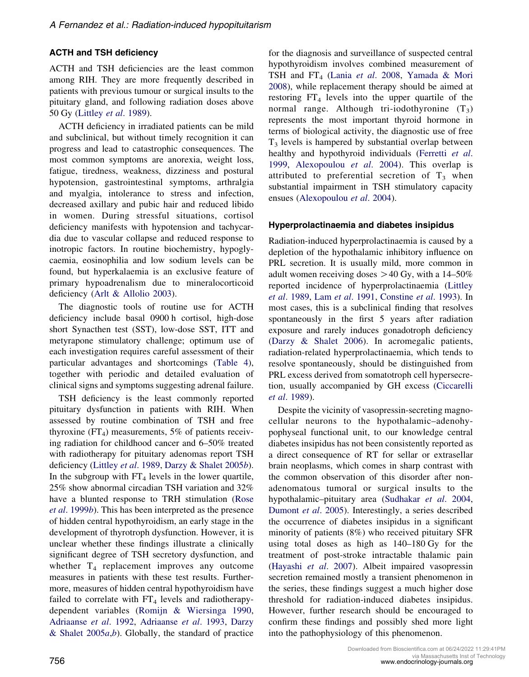## ACTH and TSH deficiency

ACTH and TSH deficiencies are the least common among RIH. They are more frequently described in patients with previous tumour or surgical insults to the pituitary gland, and following radiation doses above 50 Gy ([Littley](#page-33-0) et al. 1989).

ACTH deficiency in irradiated patients can be mild and subclinical, but without timely recognition it can progress and lead to catastrophic consequences. The most common symptoms are anorexia, weight loss, fatigue, tiredness, weakness, dizziness and postural hypotension, gastrointestinal symptoms, arthralgia and myalgia, intolerance to stress and infection, decreased axillary and pubic hair and reduced libido in women. During stressful situations, cortisol deficiency manifests with hypotension and tachycardia due to vascular collapse and reduced response to inotropic factors. In routine biochemistry, hypoglycaemia, eosinophilia and low sodium levels can be found, but hyperkalaemia is an exclusive feature of primary hypoadrenalism due to mineralocorticoid deficiency ([Arlt & Allolio 2003](#page-27-0)).

The diagnostic tools of routine use for ACTH deficiency include basal 0900 h cortisol, high-dose short Synacthen test (SST), low-dose SST, ITT and metyrapone stimulatory challenge; optimum use of each investigation requires careful assessment of their particular advantages and shortcomings [\(Table 4](#page-12-0)), together with periodic and detailed evaluation of clinical signs and symptoms suggesting adrenal failure.

TSH deficiency is the least commonly reported pituitary dysfunction in patients with RIH. When assessed by routine combination of TSH and free thyroxine  $(FT<sub>4</sub>)$  measurements, 5% of patients receiving radiation for childhood cancer and 6–50% treated with radiotherapy for pituitary adenomas report TSH deficiency ([Littley](#page-33-0) et al. 1989, [Darzy & Shalet 2005](#page-30-0)b). In the subgroup with  $FT_4$  levels in the lower quartile, 25% show abnormal circadian TSH variation and 32% have a blunted response to TRH stimulation [\(Rose](#page-36-0) et al[. 1999](#page-36-0)b). This has been interpreted as the presence of hidden central hypothyroidism, an early stage in the development of thyrotroph dysfunction. However, it is unclear whether these findings illustrate a clinically significant degree of TSH secretory dysfunction, and whether  $T_4$  replacement improves any outcome measures in patients with these test results. Furthermore, measures of hidden central hypothyroidism have failed to correlate with  $FT_4$  levels and radiotherapydependent variables ([Romijn & Wiersinga 1990,](#page-36-0) [Adriaanse](#page-27-0) et al. 1992, [Adriaanse](#page-27-0) et al. 1993, [Darzy](#page-30-0) & Shalet  $2005a,b$  $2005a,b$ . Globally, the standard of practice

for the diagnosis and surveillance of suspected central hypothyroidism involves combined measurement of TSH and FT<sub>4</sub> (Lania et al[. 2008](#page-33-0), [Yamada & Mori](#page-39-0) [2008\)](#page-39-0), while replacement therapy should be aimed at restoring  $FT_4$  levels into the upper quartile of the normal range. Although tri-iodothyronine  $(T_3)$ represents the most important thyroid hormone in terms of biological activity, the diagnostic use of free  $T<sub>3</sub>$  levels is hampered by substantial overlap between healthy and hypothyroid individuals ([Ferretti](#page-31-0) et al. [1999](#page-31-0), [Alexopoulou](#page-27-0) et al. 2004). This overlap is attributed to preferential secretion of  $T_3$  when substantial impairment in TSH stimulatory capacity ensues ([Alexopoulou](#page-27-0) et al. 2004).

#### Hyperprolactinaemia and diabetes insipidus

Radiation-induced hyperprolactinaemia is caused by a depletion of the hypothalamic inhibitory influence on PRL secretion. It is usually mild, more common in adult women receiving doses  $>$  40 Gy, with a 14–50% reported incidence of hyperprolactinaemia [\(Littley](#page-33-0) et al[. 1989,](#page-33-0) Lam et al[. 1991](#page-33-0), [Constine](#page-30-0) et al. 1993). In most cases, this is a subclinical finding that resolves spontaneously in the first 5 years after radiation exposure and rarely induces gonadotroph deficiency [\(Darzy & Shalet 2006](#page-30-0)). In acromegalic patients, radiation-related hyperprolactinaemia, which tends to resolve spontaneously, should be distinguished from PRL excess derived from somatotroph cell hypersecretion, usually accompanied by GH excess [\(Ciccarelli](#page-29-0) et al[. 1989\)](#page-29-0).

Despite the vicinity of vasopressin-secreting magnocellular neurons to the hypothalamic–adenohypophyseal functional unit, to our knowledge central diabetes insipidus has not been consistently reported as a direct consequence of RT for sellar or extrasellar brain neoplasms, which comes in sharp contrast with the common observation of this disorder after nonadenomatous tumoral or surgical insults to the hypothalamic–pituitary area ([Sudhakar](#page-38-0) et al. 2004, [Dumont](#page-31-0) et al. 2005). Interestingly, a series described the occurrence of diabetes insipidus in a significant minority of patients (8%) who received pituitary SFR using total doses as high as 140–180 Gy for the treatment of post-stroke intractable thalamic pain [\(Hayashi](#page-32-0) et al. 2007). Albeit impaired vasopressin secretion remained mostly a transient phenomenon in the series, these findings suggest a much higher dose threshold for radiation-induced diabetes insipidus. However, further research should be encouraged to confirm these findings and possibly shed more light into the pathophysiology of this phenomenon.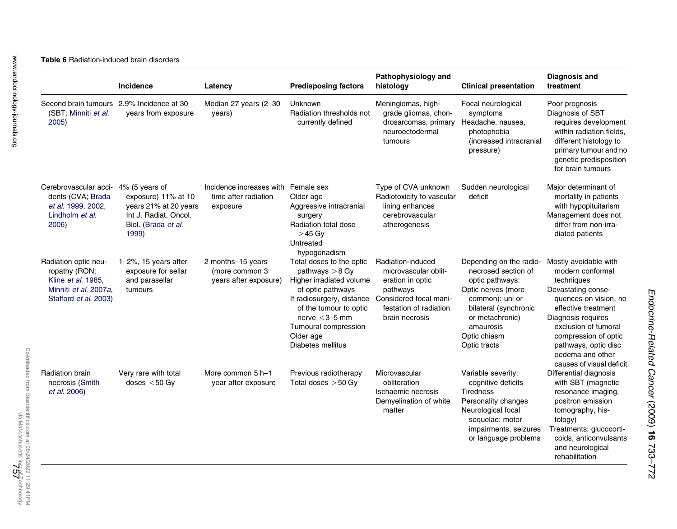<span id="page-24-0"></span>

| <b>Table 6 Radiation-induced brain disorders</b> |
|--------------------------------------------------|
|--------------------------------------------------|

|                                                                                                                      | Incidence                                                                                                               | Latency                                                      | <b>Predisposing factors</b>                                                                                                                                                                                                        | Pathophysiology and<br>histology                                                                                                                | <b>Clinical presentation</b>                                                                                                                                                                        | <b>Diagnosis and</b><br>treatment                                                                                                                                                                                                                                           |
|----------------------------------------------------------------------------------------------------------------------|-------------------------------------------------------------------------------------------------------------------------|--------------------------------------------------------------|------------------------------------------------------------------------------------------------------------------------------------------------------------------------------------------------------------------------------------|-------------------------------------------------------------------------------------------------------------------------------------------------|-----------------------------------------------------------------------------------------------------------------------------------------------------------------------------------------------------|-----------------------------------------------------------------------------------------------------------------------------------------------------------------------------------------------------------------------------------------------------------------------------|
| (SBT: Minniti et al.<br>2005)                                                                                        | Second brain tumours 2.9% Incidence at 30<br>years from exposure                                                        | Median 27 years (2-30<br>years)                              | Unknown<br>Radiation thresholds not<br>currently defined                                                                                                                                                                           | Meningiomas, high-<br>grade gliomas, chon-<br>drosarcomas, primary<br>neuroectodermal<br>tumours                                                | Focal neurological<br>symptoms<br>Headache, nausea,<br>photophobia<br>(increased intracranial<br>pressure)                                                                                          | Poor prognosis<br>Diagnosis of SBT<br>requires development<br>within radiation fields,<br>different histology to<br>primary tumour and no<br>genetic predisposition<br>for brain tumours                                                                                    |
| Cerebrovascular acci-<br>dents (CVA; Brada<br>et al. 1999, 2002,<br>Lindholm <i>et al.</i><br>2006)                  | 4% (5 years of<br>exposure) 11% at 10<br>years 21% at 20 years<br>Int J. Radiat, Oncol.<br>Biol. (Brada et al.<br>1999) | Incidence increases with<br>time after radiation<br>exposure | Female sex<br>Older age<br>Aggressive intracranial<br>surgery<br>Radiation total dose<br>$>45$ Gv<br>Untreated<br>hypogonadism                                                                                                     | Type of CVA unknown<br>Radiotoxicity to vascular<br>lining enhances<br>cerebrovascular<br>atherogenesis                                         | Sudden neurological<br>deficit                                                                                                                                                                      | Major determinant of<br>mortality in patients<br>with hypopituitarism<br>Management does not<br>differ from non-irra-<br>diated patients                                                                                                                                    |
| Radiation optic neu-<br>ropathy (RON;<br>Kline <i>et al.</i> 1985,<br>Minniti et al. 2007a.<br>Stafford et al. 2003) | $1-2\%$ , 15 years after<br>exposure for sellar<br>and parasellar<br>tumours                                            | 2 months-15 years<br>(more common 3<br>years after exposure) | Total doses to the optic<br>pathways $>8$ Gy<br>Higher irradiated volume<br>of optic pathways<br>If radiosurgery, distance<br>of the tumour to optic<br>nerve $<$ 3-5 mm<br>Tumoural compression<br>Older age<br>Diabetes mellitus | Radiation-induced<br>microvascular oblit-<br>eration in optic<br>pathways<br>Considered focal mani-<br>festation of radiation<br>brain necrosis | Depending on the radio-<br>necrosed section of<br>optic pathways:<br>Optic nerves (more<br>common): uni or<br>bilateral (synchronic<br>or metachronic)<br>amaurosis<br>Optic chiasm<br>Optic tracts | Mostly avoidable with<br>modern conformal<br>techniques<br>Devastating conse-<br>quences on vision, no<br>effective treatment<br>Diagnosis reguires<br>exclusion of tumoral<br>compression of optic<br>pathways, optic disc<br>oedema and other<br>causes of visual deficit |
| <b>Radiation brain</b><br>necrosis (Smith<br><i>et al.</i> 2006)                                                     | Very rare with total<br>doses $<$ 50 Gv                                                                                 | More common 5 h-1<br>year after exposure                     | Previous radiotherapy<br>Total doses $>50$ Gy                                                                                                                                                                                      | Microvascular<br>obliteration<br>Ischaemic necrosis<br>Demyelination of white<br>matter                                                         | Variable severity:<br>cognitive deficits<br><b>Tiredness</b><br>Personality changes<br>Neurological focal<br>sequelae: motor<br>impairments, seizures<br>or language problems                       | Differential diagnosis<br>with SBT (magnetic<br>resonance imaging,<br>positron emission<br>tomography, his-<br>tology)<br>Treatments: glucocorti-<br>coids, anticonvulsants<br>and neurological<br>rehabilitation                                                           |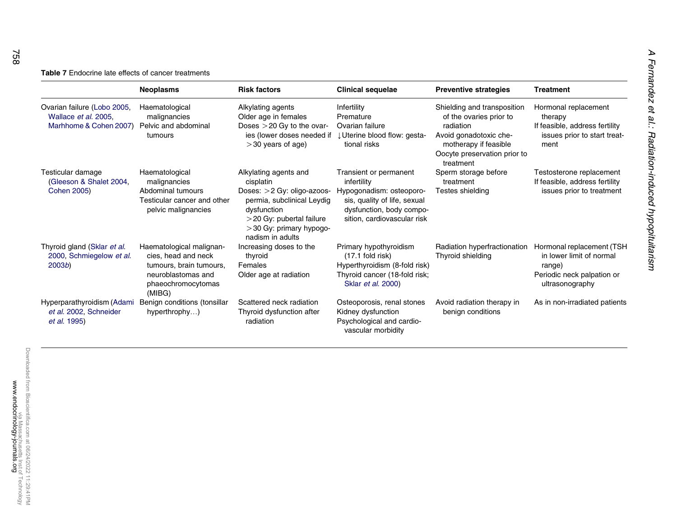#### <span id="page-25-0"></span>**Table 7** Endocrine late effects of cancer treatments

|                                                                               | <b>Neoplasms</b>                                                                                                                 | <b>Risk factors</b>                                                                                                                                                                             | <b>Clinical sequelae</b>                                                                                                                                     | <b>Preventive strategies</b>                                                                                                                                        | <b>Treatment</b>                                                                                                 |
|-------------------------------------------------------------------------------|----------------------------------------------------------------------------------------------------------------------------------|-------------------------------------------------------------------------------------------------------------------------------------------------------------------------------------------------|--------------------------------------------------------------------------------------------------------------------------------------------------------------|---------------------------------------------------------------------------------------------------------------------------------------------------------------------|------------------------------------------------------------------------------------------------------------------|
| Ovarian failure (Lobo 2005,<br>Wallace et al. 2005.<br>Marhhome & Cohen 2007) | Haematological<br>malignancies<br>Pelvic and abdominal<br>tumours                                                                | Alkylating agents<br>Older age in females<br>Doses $>$ 20 Gy to the ovar-<br>ies (lower doses needed if<br>$>$ 30 years of age)                                                                 | Infertility<br>Premature<br>Ovarian failure<br>↓ Uterine blood flow: gesta-<br>tional risks                                                                  | Shielding and transposition<br>of the ovaries prior to<br>radiation<br>Avoid gonadotoxic che-<br>motherapy if feasible<br>Oocyte preservation prior to<br>treatment | Hormonal replacement<br>therapy<br>If feasible, address fertility<br>issues prior to start treat-<br>ment        |
| Testicular damage<br>(Gleeson & Shalet 2004,<br><b>Cohen 2005)</b>            | Haematological<br>malignancies<br>Abdominal tumours<br>Testicular cancer and other<br>pelvic malignancies                        | Alkylating agents and<br>cisplatin<br>Doses: > 2 Gy: oligo-azoos-<br>permia, subclinical Leydig<br>dysfunction<br>$>$ 20 Gy: pubertal failure<br>$>$ 30 Gy: primary hypogo-<br>nadism in adults | Transient or permanent<br>infertility<br>Hypogonadism: osteoporo-<br>sis, quality of life, sexual<br>dysfunction, body compo-<br>sition, cardiovascular risk | Sperm storage before<br>treatment<br>Testes shielding                                                                                                               | Testosterone replacement<br>If feasible, address fertility<br>issues prior to treatment                          |
| Thyroid gland (Sklar et al.<br>2000, Schmiegelow et al.<br>2003 <sub>b</sub>  | Haematological malignan-<br>cies, head and neck<br>tumours, brain tumours,<br>neuroblastomas and<br>phaeochromocytomas<br>(MIBG) | Increasing doses to the<br>thyroid<br>Females<br>Older age at radiation                                                                                                                         | Primary hypothyroidism<br>$(17.1$ fold risk)<br>Hyperthyroidism (8-fold risk)<br>Thyroid cancer (18-fold risk;<br>Sklar et al. 2000)                         | Radiation hyperfractionation<br>Thyroid shielding                                                                                                                   | Hormonal replacement (TSH<br>in lower limit of normal<br>range)<br>Periodic neck palpation or<br>ultrasonography |
| Hyperparathyroidism (Adami<br>et al. 2002, Schneider<br>et al. 1995)          | Benign conditions (tonsillar<br>hyperthrophy)                                                                                    | Scattered neck radiation<br>Thyroid dysfunction after<br>radiation                                                                                                                              | Osteoporosis, renal stones<br>Kidney dysfunction<br>Psychological and cardio-<br>vascular morbidity                                                          | Avoid radiation therapy in<br>benign conditions                                                                                                                     | As in non-irradiated patients                                                                                    |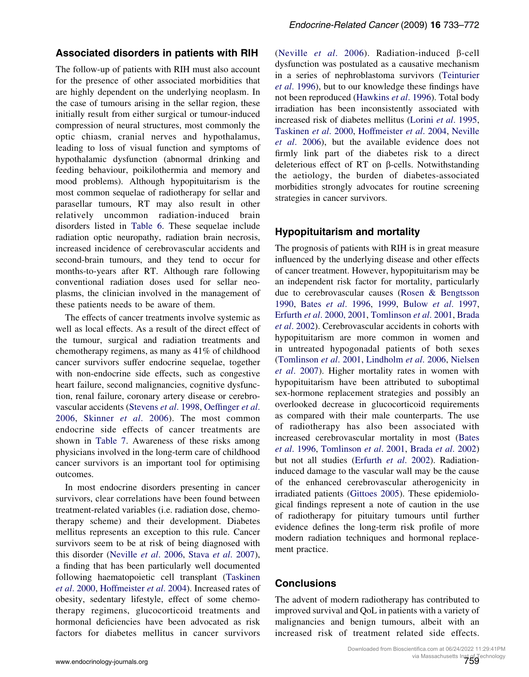## Associated disorders in patients with RIH

The follow-up of patients with RIH must also account for the presence of other associated morbidities that are highly dependent on the underlying neoplasm. In the case of tumours arising in the sellar region, these initially result from either surgical or tumour-induced compression of neural structures, most commonly the optic chiasm, cranial nerves and hypothalamus, leading to loss of visual function and symptoms of hypothalamic dysfunction (abnormal drinking and feeding behaviour, poikilothermia and memory and mood problems). Although hypopituitarism is the most common sequelae of radiotherapy for sellar and parasellar tumours, RT may also result in other relatively uncommon radiation-induced brain disorders listed in [Table 6.](#page-24-0) These sequelae include radiation optic neuropathy, radiation brain necrosis, increased incidence of cerebrovascular accidents and second-brain tumours, and they tend to occur for months-to-years after RT. Although rare following conventional radiation doses used for sellar neoplasms, the clinician involved in the management of these patients needs to be aware of them.

The effects of cancer treatments involve systemic as well as local effects. As a result of the direct effect of the tumour, surgical and radiation treatments and chemotherapy regimens, as many as 41% of childhood cancer survivors suffer endocrine sequelae, together with non-endocrine side effects, such as congestive heart failure, second malignancies, cognitive dysfunction, renal failure, coronary artery disease or cerebrovascular accidents ([Stevens](#page-38-0) et al. 1998, [Oeffinger](#page-35-0) et al. [2006,](#page-35-0) [Skinner](#page-37-0) et al. 2006). The most common endocrine side effects of cancer treatments are shown in [Table 7](#page-25-0). Awareness of these risks among physicians involved in the long-term care of childhood cancer survivors is an important tool for optimising outcomes.

In most endocrine disorders presenting in cancer survivors, clear correlations have been found between treatment-related variables (i.e. radiation dose, chemotherapy scheme) and their development. Diabetes mellitus represents an exception to this rule. Cancer survivors seem to be at risk of being diagnosed with this disorder ([Neville](#page-35-0) et al. 2006, Stava et al[. 2007](#page-37-0)), a finding that has been particularly well documented following haematopoietic cell transplant [\(Taskinen](#page-38-0) et al[. 2000](#page-38-0), [Hoffmeister](#page-32-0) et al. 2004). Increased rates of obesity, sedentary lifestyle, effect of some chemotherapy regimens, glucocorticoid treatments and hormonal deficiencies have been advocated as risk factors for diabetes mellitus in cancer survivors

([Neville](#page-35-0) *et al.* 2006). Radiation-induced  $\beta$ -cell dysfunction was postulated as a causative mechanism in a series of nephroblastoma survivors ([Teinturier](#page-38-0) et al[. 1996](#page-38-0)), but to our knowledge these findings have not been reproduced [\(Hawkins](#page-32-0) et al. 1996). Total body irradiation has been inconsistently associated with increased risk of diabetes mellitus (Lorini et al[. 1995,](#page-33-0) [Taskinen](#page-38-0) et al. 2000, [Hoffmeister](#page-32-0) et al. 2004, [Neville](#page-35-0) et al[. 2006](#page-35-0)), but the available evidence does not firmly link part of the diabetes risk to a direct deleterious effect of RT on  $\beta$ -cells. Notwithstanding the aetiology, the burden of diabetes-associated morbidities strongly advocates for routine screening strategies in cancer survivors.

## Hypopituitarism and mortality

The prognosis of patients with RIH is in great measure influenced by the underlying disease and other effects of cancer treatment. However, hypopituitarism may be an independent risk factor for mortality, particularly due to cerebrovascular causes ([Rosen & Bengtsson](#page-36-0) [1990,](#page-36-0) Bates et al[. 1996](#page-28-0), [1999,](#page-28-0) Bulow et al[. 1997,](#page-29-0) Erfurth et al[. 2000, 2001,](#page-31-0) [Tomlinson](#page-38-0) et al. 2001, [Brada](#page-29-0) et al[. 2002\)](#page-29-0). Cerebrovascular accidents in cohorts with hypopituitarism are more common in women and in untreated hypogonadal patients of both sexes [\(Tomlinson](#page-38-0) et al. 2001, [Lindholm](#page-33-0) et al. 2006, [Nielsen](#page-35-0) et al[. 2007\)](#page-35-0). Higher mortality rates in women with hypopituitarism have been attributed to suboptimal sex-hormone replacement strategies and possibly an overlooked decrease in glucocorticoid requirements as compared with their male counterparts. The use of radiotherapy has also been associated with increased cerebrovascular mortality in most ([Bates](#page-28-0) et al[. 1996,](#page-28-0) [Tomlinson](#page-38-0) et al. 2001, Brada et al[. 2002\)](#page-29-0) but not all studies ([Erfurth](#page-31-0) et al. 2002). Radiationinduced damage to the vascular wall may be the cause of the enhanced cerebrovascular atherogenicity in irradiated patients ([Gittoes 2005](#page-31-0)). These epidemiological findings represent a note of caution in the use of radiotherapy for pituitary tumours until further evidence defines the long-term risk profile of more modern radiation techniques and hormonal replacement practice.

## **Conclusions**

The advent of modern radiotherapy has contributed to improved survival and QoL in patients with a variety of malignancies and benign tumours, albeit with an increased risk of treatment related side effects.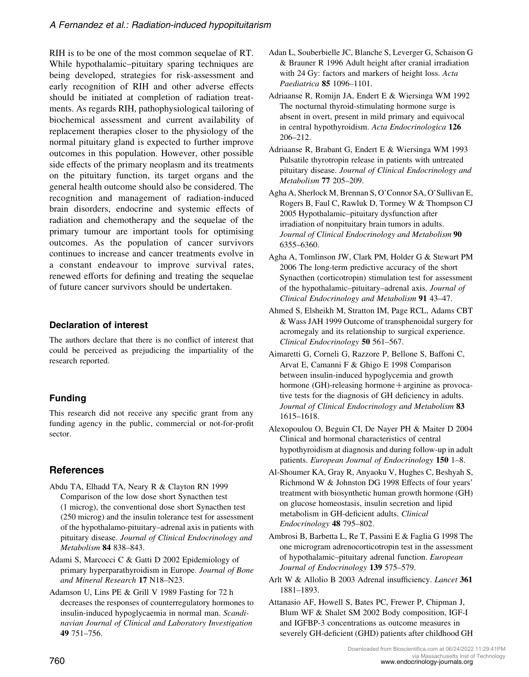<span id="page-27-0"></span>RIH is to be one of the most common sequelae of RT. While hypothalamic–pituitary sparing techniques are being developed, strategies for risk-assessment and early recognition of RIH and other adverse effects should be initiated at completion of radiation treatments. As regards RIH, pathophysiological tailoring of biochemical assessment and current availability of replacement therapies closer to the physiology of the normal pituitary gland is expected to further improve outcomes in this population. However, other possible side effects of the primary neoplasm and its treatments on the pituitary function, its target organs and the general health outcome should also be considered. The recognition and management of radiation-induced brain disorders, endocrine and systemic effects of radiation and chemotherapy and the sequelae of the primary tumour are important tools for optimising outcomes. As the population of cancer survivors continues to increase and cancer treatments evolve in a constant endeavour to improve survival rates, renewed efforts for defining and treating the sequelae of future cancer survivors should be undertaken.

# Declaration of interest

The authors declare that there is no conflict of interest that could be perceived as prejudicing the impartiality of the research reported.

# Funding

This research did not receive any specific grant from any funding agency in the public, commercial or not-for-profit sector.

# **References**

- Abdu TA, Elhadd TA, Neary R & Clayton RN 1999 Comparison of the low dose short Synacthen test (1 microg), the conventional dose short Synacthen test (250 microg) and the insulin tolerance test for assessment of the hypothalamo-pituitary–adrenal axis in patients with pituitary disease. Journal of Clinical Endocrinology and Metabolism 84 838–843.
- Adami S, Marcocci C & Gatti D 2002 Epidemiology of primary hyperparathyroidism in Europe. Journal of Bone and Mineral Research 17 N18–N23.
- Adamson U, Lins PE & Grill V 1989 Fasting for 72 h decreases the responses of counterregulatory hormones to insulin-induced hypoglycaemia in normal man. Scandinavian Journal of Clinical and Laboratory Investigation 49 751–756.
- Adan L, Souberbielle JC, Blanche S, Leverger G, Schaison G & Brauner R 1996 Adult height after cranial irradiation with 24 Gy: factors and markers of height loss. Acta Paediatrica 85 1096–1101.
- Adriaanse R, Romijn JA, Endert E & Wiersinga WM 1992 The nocturnal thyroid-stimulating hormone surge is absent in overt, present in mild primary and equivocal in central hypothyroidism. Acta Endocrinologica 126 206–212.
- Adriaanse R, Brabant G, Endert E & Wiersinga WM 1993 Pulsatile thyrotropin release in patients with untreated pituitary disease. Journal of Clinical Endocrinology and Metabolism 77 205–209.
- Agha A, Sherlock M, Brennan S, O'Connor SA, O'Sullivan E, Rogers B, Faul C, Rawluk D, Tormey W & Thompson CJ 2005 Hypothalamic–pituitary dysfunction after irradiation of nonpituitary brain tumors in adults. Journal of Clinical Endocrinology and Metabolism 90 6355–6360.
- Agha A, Tomlinson JW, Clark PM, Holder G & Stewart PM 2006 The long-term predictive accuracy of the short Synacthen (corticotropin) stimulation test for assessment of the hypothalamic–pituitary–adrenal axis. Journal of Clinical Endocrinology and Metabolism 91 43–47.
- Ahmed S, Elsheikh M, Stratton IM, Page RCL, Adams CBT & Wass JAH 1999 Outcome of transphenoidal surgery for acromegaly and its relationship to surgical experience. Clinical Endocrinology 50 561–567.
- Aimaretti G, Corneli G, Razzore P, Bellone S, Baffoni C, Arvat E, Camanni F & Ghigo E 1998 Comparison between insulin-induced hypoglycemia and growth hormone (GH)-releasing hormone  $+$  arginine as provocative tests for the diagnosis of GH deficiency in adults. Journal of Clinical Endocrinology and Metabolism 83 1615–1618.
- Alexopoulou O, Beguin CI, De Nayer PH & Maiter D 2004 Clinical and hormonal characteristics of central hypothyroidism at diagnosis and during follow-up in adult patients. European Journal of Endocrinology 150 1–8.
- Al-Shoumer KA, Gray R, Anyaoku V, Hughes C, Beshyah S, Richmond W & Johnston DG 1998 Effects of four years' treatment with biosynthetic human growth hormone (GH) on glucose homeostasis, insulin secretion and lipid metabolism in GH-deficient adults. Clinical Endocrinology 48 795–802.
- Ambrosi B, Barbetta L, Re T, Passini E & Faglia G 1998 The one microgram adrenocorticotropin test in the assessment of hypothalamic–pituitary adrenal function. European Journal of Endocrinology 139 575–579.
- Arlt W & Allolio B 2003 Adrenal insufficiency. Lancet 361 1881–1893.
- Attanasio AF, Howell S, Bates PC, Frewer P, Chipman J, Blum WF & Shalet SM 2002 Body composition, IGF-I and IGFBP-3 concentrations as outcome measures in severely GH-deficient (GHD) patients after childhood GH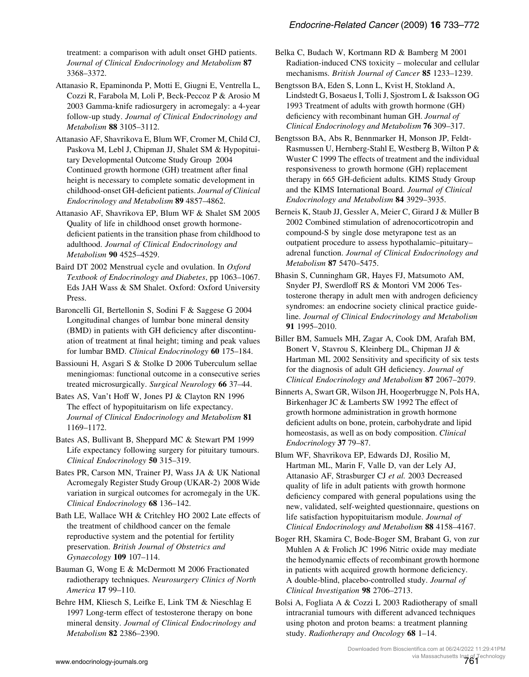<span id="page-28-0"></span>treatment: a comparison with adult onset GHD patients. Journal of Clinical Endocrinology and Metabolism 87 3368–3372.

Attanasio R, Epaminonda P, Motti E, Giugni E, Ventrella L, Cozzi R, Farabola M, Loli P, Beck-Peccoz P & Arosio M 2003 Gamma-knife radiosurgery in acromegaly: a 4-year follow-up study. Journal of Clinical Endocrinology and Metabolism 88 3105–3112.

Attanasio AF, Shavrikova E, Blum WF, Cromer M, Child CJ, Paskova M, Lebl J, Chipman JJ, Shalet SM & Hypopituitary Developmental Outcome Study Group 2004 Continued growth hormone (GH) treatment after final height is necessary to complete somatic development in childhood-onset GH-deficient patients. Journal of Clinical Endocrinology and Metabolism 89 4857–4862.

Attanasio AF, Shavrikova EP, Blum WF & Shalet SM 2005 Quality of life in childhood onset growth hormonedeficient patients in the transition phase from childhood to adulthood. Journal of Clinical Endocrinology and Metabolism 90 4525–4529.

Baird DT 2002 Menstrual cycle and ovulation. In Oxford Textbook of Endocrinology and Diabetes, pp 1063–1067. Eds JAH Wass & SM Shalet. Oxford: Oxford University Press.

Baroncelli GI, Bertellonin S, Sodini F & Saggese G 2004 Longitudinal changes of lumbar bone mineral density (BMD) in patients with GH deficiency after discontinuation of treatment at final height; timing and peak values for lumbar BMD. Clinical Endocrinology 60 175-184.

Bassiouni H, Asgari S & Stolke D 2006 Tuberculum sellae meningiomas: functional outcome in a consecutive series treated microsurgically. Surgical Neurology 66 37–44.

Bates AS, Van't Hoff W, Jones PJ & Clayton RN 1996 The effect of hypopituitarism on life expectancy. Journal of Clinical Endocrinology and Metabolism 81 1169–1172.

Bates AS, Bullivant B, Sheppard MC & Stewart PM 1999 Life expectancy following surgery for pituitary tumours. Clinical Endocrinology 50 315–319.

Bates PR, Carson MN, Trainer PJ, Wass JA & UK National Acromegaly Register Study Group (UKAR-2) 2008 Wide variation in surgical outcomes for acromegaly in the UK. Clinical Endocrinology 68 136–142.

Bath LE, Wallace WH & Critchley HO 2002 Late effects of the treatment of childhood cancer on the female reproductive system and the potential for fertility preservation. British Journal of Obstetrics and Gynaecology 109 107–114.

Bauman G, Wong E & McDermott M 2006 Fractionated radiotherapy techniques. Neurosurgery Clinics of North America 17 99–110.

Behre HM, Kliesch S, Leifke E, Link TM & Nieschlag E 1997 Long-term effect of testosterone therapy on bone mineral density. Journal of Clinical Endocrinology and Metabolism 82 2386–2390.

Belka C, Budach W, Kortmann RD & Bamberg M 2001 Radiation-induced CNS toxicity – molecular and cellular mechanisms. British Journal of Cancer 85 1233–1239.

Bengtsson BA, Eden S, Lonn L, Kvist H, Stokland A, Lindstedt G, Bosaeus I, Tolli J, Sjostrom L & Isaksson OG 1993 Treatment of adults with growth hormone (GH) deficiency with recombinant human GH. Journal of Clinical Endocrinology and Metabolism 76 309–317.

Bengtsson BA, Abs R, Bennmarker H, Monson JP, Feldt-Rasmussen U, Hernberg-Stahl E, Westberg B, Wilton P & Wuster C 1999 The effects of treatment and the individual responsiveness to growth hormone (GH) replacement therapy in 665 GH-deficient adults. KIMS Study Group and the KIMS International Board. Journal of Clinical Endocrinology and Metabolism 84 3929–3935.

Berneis K, Staub JJ, Gessler A, Meier C, Girard J & Müller B 2002 Combined stimulation of adrenocorticotropin and compound-S by single dose metyrapone test as an outpatient procedure to assess hypothalamic–pituitary– adrenal function. Journal of Clinical Endocrinology and Metabolism 87 5470–5475.

Bhasin S, Cunningham GR, Hayes FJ, Matsumoto AM, Snyder PJ, Swerdloff RS & Montori VM 2006 Testosterone therapy in adult men with androgen deficiency syndromes: an endocrine society clinical practice guideline. Journal of Clinical Endocrinology and Metabolism 91 1995–2010.

Biller BM, Samuels MH, Zagar A, Cook DM, Arafah BM, Bonert V, Stavrou S, Kleinberg DL, Chipman JJ & Hartman ML 2002 Sensitivity and specificity of six tests for the diagnosis of adult GH deficiency. Journal of Clinical Endocrinology and Metabolism 87 2067–2079.

Binnerts A, Swart GR, Wilson JH, Hoogerbrugge N, Pols HA, Birkenhager JC & Lamberts SW 1992 The effect of growth hormone administration in growth hormone deficient adults on bone, protein, carbohydrate and lipid homeostasis, as well as on body composition. Clinical Endocrinology 37 79–87.

Blum WF, Shavrikova EP, Edwards DJ, Rosilio M, Hartman ML, Marin F, Valle D, van der Lely AJ, Attanasio AF, Strasburger CJ et al. 2003 Decreased quality of life in adult patients with growth hormone deficiency compared with general populations using the new, validated, self-weighted questionnaire, questions on life satisfaction hypopituitarism module. Journal of Clinical Endocrinology and Metabolism 88 4158–4167.

Boger RH, Skamira C, Bode-Boger SM, Brabant G, von zur Muhlen A & Frolich JC 1996 Nitric oxide may mediate the hemodynamic effects of recombinant growth hormone in patients with acquired growth hormone deficiency. A double-blind, placebo-controlled study. Journal of Clinical Investigation 98 2706–2713.

Bolsi A, Fogliata A & Cozzi L 2003 Radiotherapy of small intracranial tumours with different advanced techniques using photon and proton beams: a treatment planning study. Radiotherapy and Oncology 68 1–14.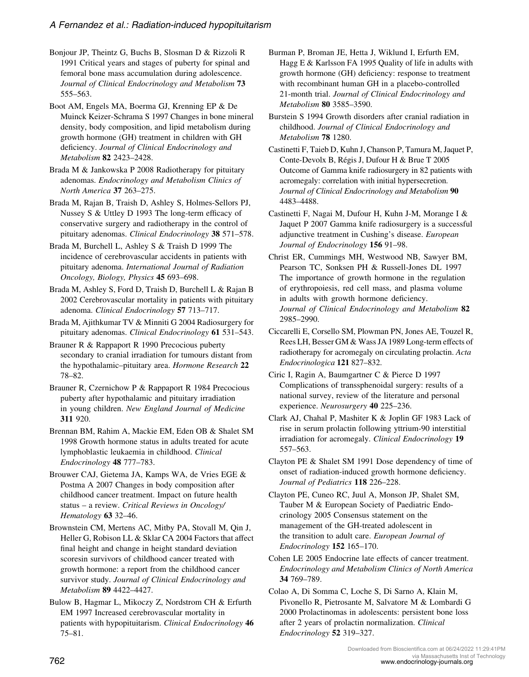<span id="page-29-0"></span>Bonjour JP, Theintz G, Buchs B, Slosman D & Rizzoli R 1991 Critical years and stages of puberty for spinal and femoral bone mass accumulation during adolescence. Journal of Clinical Endocrinology and Metabolism 73 555–563.

Boot AM, Engels MA, Boerma GJ, Krenning EP & De Muinck Keizer-Schrama S 1997 Changes in bone mineral density, body composition, and lipid metabolism during growth hormone (GH) treatment in children with GH deficiency. Journal of Clinical Endocrinology and Metabolism 82 2423–2428.

Brada M & Jankowska P 2008 Radiotherapy for pituitary adenomas. Endocrinology and Metabolism Clinics of North America 37 263–275.

Brada M, Rajan B, Traish D, Ashley S, Holmes-Sellors PJ, Nussey S & Uttley D 1993 The long-term efficacy of conservative surgery and radiotherapy in the control of pituitary adenomas. Clinical Endocrinology 38 571–578.

Brada M, Burchell L, Ashley S & Traish D 1999 The incidence of cerebrovascular accidents in patients with pituitary adenoma. International Journal of Radiation Oncology, Biology, Physics 45 693–698.

Brada M, Ashley S, Ford D, Traish D, Burchell L & Rajan B 2002 Cerebrovascular mortality in patients with pituitary adenoma. Clinical Endocrinology 57 713–717.

Brada M, Ajithkumar TV & Minniti G 2004 Radiosurgery for pituitary adenomas. Clinical Endocrinology 61 531–543.

Brauner R & Rappaport R 1990 Precocious puberty secondary to cranial irradiation for tumours distant from the hypothalamic–pituitary area. Hormone Research 22 78–82.

Brauner R, Czernichow P & Rappaport R 1984 Precocious puberty after hypothalamic and pituitary irradiation in young children. New England Journal of Medicine 311 920.

Brennan BM, Rahim A, Mackie EM, Eden OB & Shalet SM 1998 Growth hormone status in adults treated for acute lymphoblastic leukaemia in childhood. Clinical Endocrinology 48 777–783.

Brouwer CAJ, Gietema JA, Kamps WA, de Vries EGE & Postma A 2007 Changes in body composition after childhood cancer treatment. Impact on future health status – a review. Critical Reviews in Oncology/ Hematology 63 32–46.

Brownstein CM, Mertens AC, Mitby PA, Stovall M, Qin J, Heller G, Robison LL & Sklar CA 2004 Factors that affect final height and change in height standard deviation scoresin survivors of childhood cancer treated with growth hormone: a report from the childhood cancer survivor study. Journal of Clinical Endocrinology and Metabolism 89 4422–4427.

Bulow B, Hagmar L, Mikoczy Z, Nordstrom CH & Erfurth EM 1997 Increased cerebrovascular mortality in patients with hypopituitarism. Clinical Endocrinology 46 75–81.

Burman P, Broman JE, Hetta J, Wiklund I, Erfurth EM, Hagg E & Karlsson FA 1995 Quality of life in adults with growth hormone (GH) deficiency: response to treatment with recombinant human GH in a placebo-controlled 21-month trial. Journal of Clinical Endocrinology and Metabolism 80 3585–3590.

Burstein S 1994 Growth disorders after cranial radiation in childhood. Journal of Clinical Endocrinology and Metabolism 78 1280.

Castinetti F, Taieb D, Kuhn J, Chanson P, Tamura M, Jaquet P, Conte-Devolx B, Régis J, Dufour H & Brue T 2005 Outcome of Gamma knife radiosurgery in 82 patients with acromegaly: correlation with initial hypersecretion. Journal of Clinical Endocrinology and Metabolism 90 4483–4488.

Castinetti F, Nagai M, Dufour H, Kuhn J-M, Morange I & Jaquet P 2007 Gamma knife radiosurgery is a successful adjunctive treatment in Cushing's disease. European Journal of Endocrinology 156 91–98.

Christ ER, Cummings MH, Westwood NB, Sawyer BM, Pearson TC, Sonksen PH & Russell-Jones DL 1997 The importance of growth hormone in the regulation of erythropoiesis, red cell mass, and plasma volume in adults with growth hormone deficiency. Journal of Clinical Endocrinology and Metabolism 82 2985–2990.

Ciccarelli E, Corsello SM, Plowman PN, Jones AE, Touzel R, Rees LH, Besser GM & Wass JA 1989 Long-term effects of radiotherapy for acromegaly on circulating prolactin. Acta Endocrinologica 121 827–832.

Ciric I, Ragin A, Baumgartner C & Pierce D 1997 Complications of transsphenoidal surgery: results of a national survey, review of the literature and personal experience. Neurosurgery 40 225–236.

Clark AJ, Chahal P, Mashiter K & Joplin GF 1983 Lack of rise in serum prolactin following yttrium-90 interstitial irradiation for acromegaly. Clinical Endocrinology 19 557–563.

Clayton PE & Shalet SM 1991 Dose dependency of time of onset of radiation-induced growth hormone deficiency. Journal of Pediatrics 118 226–228.

Clayton PE, Cuneo RC, Juul A, Monson JP, Shalet SM, Tauber M & European Society of Paediatric Endocrinology 2005 Consensus statement on the management of the GH-treated adolescent in the transition to adult care. European Journal of Endocrinology 152 165–170.

Cohen LE 2005 Endocrine late effects of cancer treatment. Endocrinology and Metabolism Clinics of North America 34 769–789.

Colao A, Di Somma C, Loche S, Di Sarno A, Klain M, Pivonello R, Pietrosante M, Salvatore M & Lombardi G 2000 Prolactinomas in adolescents: persistent bone loss after 2 years of prolactin normalization. Clinical Endocrinology 52 319–327.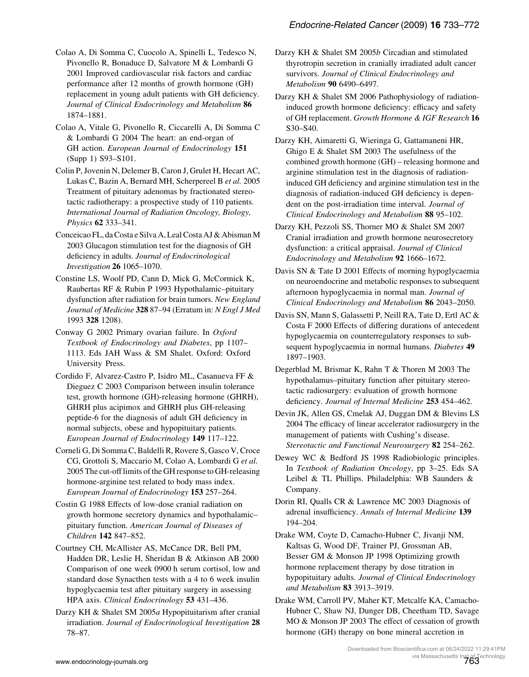<span id="page-30-0"></span>Colao A, Di Somma C, Cuocolo A, Spinelli L, Tedesco N, Pivonello R, Bonaduce D, Salvatore M & Lombardi G 2001 Improved cardiovascular risk factors and cardiac performance after 12 months of growth hormone (GH) replacement in young adult patients with GH deficiency. Journal of Clinical Endocrinology and Metabolism 86 1874–1881.

Colao A, Vitale G, Pivonello R, Ciccarelli A, Di Somma C & Lombardi G 2004 The heart: an end-organ of GH action. *European Journal of Endocrinology* 151 (Supp 1) S93–S101.

Colin P, Jovenin N, Delemer B, Caron J, Grulet H, Hecart AC, Lukas C, Bazin A, Bernard MH, Scherpereel B et al. 2005 Treatment of pituitary adenomas by fractionated stereotactic radiotherapy: a prospective study of 110 patients. International Journal of Radiation Oncology, Biology, Physics 62 333–341.

Conceicao FL, da Costa e Silva A, Leal Costa AJ & Abisman M 2003 Glucagon stimulation test for the diagnosis of GH deficiency in adults. Journal of Endocrinological Investigation 26 1065–1070.

Constine LS, Woolf PD, Cann D, Mick G, McCormick K, Raubertas RF & Rubin P 1993 Hypothalamic–pituitary dysfunction after radiation for brain tumors. New England Journal of Medicine 328 87-94 (Erratum in: N Engl J Med 1993 328 1208).

Conway G 2002 Primary ovarian failure. In Oxford Textbook of Endocrinology and Diabetes, pp 1107– 1113. Eds JAH Wass & SM Shalet. Oxford: Oxford University Press.

Cordido F, Alvarez-Castro P, Isidro ML, Casanueva FF & Dieguez C 2003 Comparison between insulin tolerance test, growth hormone (GH)-releasing hormone (GHRH), GHRH plus acipimox and GHRH plus GH-releasing peptide-6 for the diagnosis of adult GH deficiency in normal subjects, obese and hypopituitary patients. European Journal of Endocrinology 149 117–122.

Corneli G, Di Somma C, Baldelli R, Rovere S, Gasco V, Croce CG, Grottoli S, Maccario M, Colao A, Lombardi G et al. 2005 The cut-off limits of the GH response to GH-releasing hormone-arginine test related to body mass index. European Journal of Endocrinology 153 257–264.

Costin G 1988 Effects of low-dose cranial radiation on growth hormone secretory dynamics and hypothalamic– pituitary function. American Journal of Diseases of Children 142 847–852.

Courtney CH, McAllister AS, McCance DR, Bell PM, Hadden DR, Leslie H, Sheridan B & Atkinson AB 2000 Comparison of one week 0900 h serum cortisol, low and standard dose Synacthen tests with a 4 to 6 week insulin hypoglycaemia test after pituitary surgery in assessing HPA axis. Clinical Endocrinology 53 431–436.

Darzy KH & Shalet SM 2005a Hypopituitarism after cranial irradiation. Journal of Endocrinological Investigation 28 78–87.

Darzy KH & Shalet SM 2005b Circadian and stimulated thyrotropin secretion in cranially irradiated adult cancer survivors. Journal of Clinical Endocrinology and Metabolism 90 6490–6497.

Darzy KH & Shalet SM 2006 Pathophysiology of radiationinduced growth hormone deficiency: efficacy and safety of GH replacement. Growth Hormone & IGF Research 16 S30–S40.

Darzy KH, Aimaretti G, Wieringa G, Gattamaneni HR, Ghigo E & Shalet SM 2003 The usefulness of the combined growth hormone (GH) – releasing hormone and arginine stimulation test in the diagnosis of radiationinduced GH deficiency and arginine stimulation test in the diagnosis of radiation-induced GH deficiency is dependent on the post-irradiation time interval. Journal of Clinical Endocrinology and Metabolism 88 95–102.

Darzy KH, Pezzoli SS, Thorner MO & Shalet SM 2007 Cranial irradiation and growth hormone neurosecretory dysfunction: a critical appraisal. Journal of Clinical Endocrinology and Metabolism 92 1666–1672.

Davis SN & Tate D 2001 Effects of morning hypoglycaemia on neuroendocrine and metabolic responses to subsequent afternoon hypoglycaemia in normal man. Journal of Clinical Endocrinology and Metabolism 86 2043–2050.

Davis SN, Mann S, Galassetti P, Neill RA, Tate D, Ertl AC & Costa F 2000 Effects of differing durations of antecedent hypoglycaemia on counterregulatory responses to subsequent hypoglycaemia in normal humans. Diabetes 49 1897–1903.

Degerblad M, Brismar K, Rahn T & Thoren M 2003 The hypothalamus–pituitary function after pituitary stereotactic radiosurgery: evaluation of growth hormone deficiency. Journal of Internal Medicine 253 454–462.

Devin JK, Allen GS, Cmelak AJ, Duggan DM & Blevins LS 2004 The efficacy of linear accelerator radiosurgery in the management of patients with Cushing's disease. Stereotactic and Functional Neurosurgery 82 254–262.

Dewey WC & Bedford JS 1998 Radiobiologic principles. In Textbook of Radiation Oncology, pp 3–25. Eds SA Leibel & TL Phillips. Philadelphia: WB Saunders & Company.

Dorin RI, Qualls CR & Lawrence MC 2003 Diagnosis of adrenal insufficiency. Annals of Internal Medicine 139 194–204.

Drake WM, Coyte D, Camacho-Hubner C, Jivanji NM, Kaltsas G, Wood DF, Trainer PJ, Grossman AB, Besser GM & Monson JP 1998 Optimizing growth hormone replacement therapy by dose titration in hypopituitary adults. Journal of Clinical Endocrinology and Metabolism 83 3913–3919.

Drake WM, Carroll PV, Maher KT, Metcalfe KA, Camacho-Hubner C, Shaw NJ, Dunger DB, Cheetham TD, Savage MO & Monson JP 2003 The effect of cessation of growth hormone (GH) therapy on bone mineral accretion in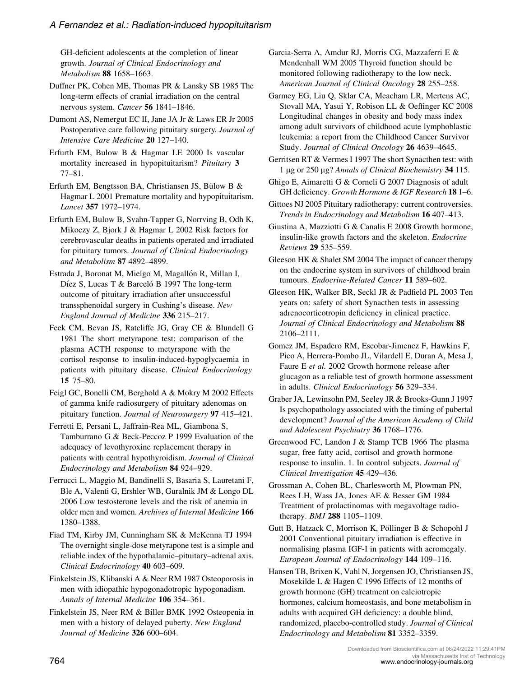<span id="page-31-0"></span>GH-deficient adolescents at the completion of linear growth. Journal of Clinical Endocrinology and Metabolism 88 1658–1663.

Duffner PK, Cohen ME, Thomas PR & Lansky SB 1985 The long-term effects of cranial irradiation on the central nervous system. Cancer 56 1841–1846.

Dumont AS, Nemergut EC II, Jane JA Jr & Laws ER Jr 2005 Postoperative care following pituitary surgery. Journal of Intensive Care Medicine 20 127–140.

Erfurth EM, Bulow B & Hagmar LE 2000 Is vascular mortality increased in hypopituitarism? Pituitary 3 77–81.

Erfurth EM, Bengtsson BA, Christiansen JS, Bülow B  $\&$ Hagmar L 2001 Premature mortality and hypopituitarism. Lancet 357 1972–1974.

Erfurth EM, Bulow B, Svahn-Tapper G, Norrving B, Odh K, Mikoczy Z, Bjork J & Hagmar L 2002 Risk factors for cerebrovascular deaths in patients operated and irradiated for pituitary tumors. Journal of Clinical Endocrinology and Metabolism 87 4892–4899.

Estrada J, Boronat M, Mielgo M, Magallón R, Millan I, Díez S, Lucas T & Barceló B 1997 The long-term outcome of pituitary irradiation after unsuccessful transsphenoidal surgery in Cushing's disease. New England Journal of Medicine 336 215–217.

Feek CM, Bevan JS, Ratcliffe JG, Gray CE & Blundell G 1981 The short metyrapone test: comparison of the plasma ACTH response to metyrapone with the cortisol response to insulin-induced-hypoglycaemia in patients with pituitary disease. Clinical Endocrinology 15 75–80.

Feigl GC, Bonelli CM, Berghold A & Mokry M 2002 Effects of gamma knife radiosurgery of pituitary adenomas on pituitary function. Journal of Neurosurgery 97 415–421.

Ferretti E, Persani L, Jaffrain-Rea ML, Giambona S, Tamburrano G & Beck-Peccoz P 1999 Evaluation of the adequacy of levothyroxine replacement therapy in patients with central hypothyroidism. Journal of Clinical Endocrinology and Metabolism 84 924–929.

Ferrucci L, Maggio M, Bandinelli S, Basaria S, Lauretani F, Ble A, Valenti G, Ershler WB, Guralnik JM & Longo DL 2006 Low testosterone levels and the risk of anemia in older men and women. Archives of Internal Medicine 166 1380–1388.

Fiad TM, Kirby JM, Cunningham SK & McKenna TJ 1994 The overnight single-dose metyrapone test is a simple and reliable index of the hypothalamic–pituitary–adrenal axis. Clinical Endocrinology 40 603–609.

Finkelstein JS, Klibanski A & Neer RM 1987 Osteoporosis in men with idiopathic hypogonadotropic hypogonadism. Annals of Internal Medicine 106 354-361.

Finkelstein JS, Neer RM & Biller BMK 1992 Osteopenia in men with a history of delayed puberty. New England Journal of Medicine 326 600–604.

Garcia-Serra A, Amdur RJ, Morris CG, Mazzaferri E & Mendenhall WM 2005 Thyroid function should be monitored following radiotherapy to the low neck. American Journal of Clinical Oncology 28 255–258.

Garmey EG, Liu Q, Sklar CA, Meacham LR, Mertens AC, Stovall MA, Yasui Y, Robison LL & Oeffinger KC 2008 Longitudinal changes in obesity and body mass index among adult survivors of childhood acute lymphoblastic leukemia: a report from the Childhood Cancer Survivor Study. Journal of Clinical Oncology 26 4639–4645.

Gerritsen RT & Vermes I 1997 The short Synacthen test: with 1 µg or 250 µg? Annals of Clinical Biochemistry 34 115.

Ghigo E, Aimaretti G & Corneli G 2007 Diagnosis of adult GH deficiency. Growth Hormone & IGF Research 18 1–6.

Gittoes NJ 2005 Pituitary radiotherapy: current controversies. Trends in Endocrinology and Metabolism 16 407–413.

Giustina A, Mazziotti G & Canalis E 2008 Growth hormone, insulin-like growth factors and the skeleton. Endocrine Reviews 29 535–559.

Gleeson HK & Shalet SM 2004 The impact of cancer therapy on the endocrine system in survivors of childhood brain tumours. Endocrine-Related Cancer 11 589–602.

Gleeson HK, Walker BR, Seckl JR & Padfield PL 2003 Ten years on: safety of short Synacthen tests in assessing adrenocorticotropin deficiency in clinical practice. Journal of Clinical Endocrinology and Metabolism 88 2106–2111.

Gomez JM, Espadero RM, Escobar-Jimenez F, Hawkins F, Pico A, Herrera-Pombo JL, Vilardell E, Duran A, Mesa J, Faure E et al. 2002 Growth hormone release after glucagon as a reliable test of growth hormone assessment in adults. Clinical Endocrinology 56 329–334.

Graber JA, Lewinsohn PM, Seeley JR & Brooks-Gunn J 1997 Is psychopathology associated with the timing of pubertal development? Journal of the American Academy of Child and Adolescent Psychiatry 36 1768–1776.

Greenwood FC, Landon J & Stamp TCB 1966 The plasma sugar, free fatty acid, cortisol and growth hormone response to insulin. 1. In control subjects. Journal of Clinical Investigation 45 429–436.

Grossman A, Cohen BL, Charlesworth M, Plowman PN, Rees LH, Wass JA, Jones AE & Besser GM 1984 Treatment of prolactinomas with megavoltage radiotherapy. BMJ 288 1105–1109.

Gutt B, Hatzack C, Morrison K, Pöllinger B & Schopohl J 2001 Conventional pituitary irradiation is effective in normalising plasma IGF-I in patients with acromegaly. European Journal of Endocrinology 144 109–116.

Hansen TB, Brixen K, Vahl N, Jorgensen JO, Christiansen JS, Mosekilde L & Hagen C 1996 Effects of 12 months of growth hormone (GH) treatment on calciotropic hormones, calcium homeostasis, and bone metabolism in adults with acquired GH deficiency: a double blind, randomized, placebo-controlled study. Journal of Clinical Endocrinology and Metabolism 81 3352–3359.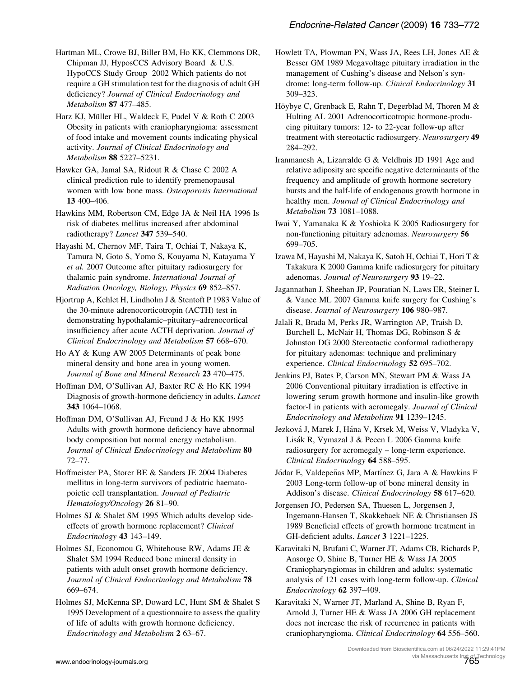<span id="page-32-0"></span>Hartman ML, Crowe BJ, Biller BM, Ho KK, Clemmons DR, Chipman JJ, HyposCCS Advisory Board & U.S. HypoCCS Study Group 2002 Which patients do not require a GH stimulation test for the diagnosis of adult GH deficiency? Journal of Clinical Endocrinology and Metabolism 87 477–485.

Harz KJ, Müller HL, Waldeck E, Pudel V & Roth C 2003 Obesity in patients with craniopharyngioma: assessment of food intake and movement counts indicating physical activity. Journal of Clinical Endocrinology and Metabolism 88 5227–5231.

Hawker GA, Jamal SA, Ridout R & Chase C 2002 A clinical prediction rule to identify premenopausal women with low bone mass. Osteoporosis International 13 400–406.

Hawkins MM, Robertson CM, Edge JA & Neil HA 1996 Is risk of diabetes mellitus increased after abdominal radiotherapy? Lancet 347 539-540.

Hayashi M, Chernov MF, Taira T, Ochiai T, Nakaya K, Tamura N, Goto S, Yomo S, Kouyama N, Katayama Y et al. 2007 Outcome after pituitary radiosurgery for thalamic pain syndrome. International Journal of Radiation Oncology, Biology, Physics 69 852-857.

Hjortrup A, Kehlet H, Lindholm J & Stentoft P 1983 Value of the 30-minute adrenocorticotropin (ACTH) test in demonstrating hypothalamic–pituitary–adrenocortical insufficiency after acute ACTH deprivation. Journal of Clinical Endocrinology and Metabolism 57 668–670.

Ho AY & Kung AW 2005 Determinants of peak bone mineral density and bone area in young women. Journal of Bone and Mineral Research 23 470–475.

Hoffman DM, O'Sullivan AJ, Baxter RC & Ho KK 1994 Diagnosis of growth-hormone deficiency in adults. *Lancet* 343 1064–1068.

Hoffman DM, O'Sullivan AJ, Freund J & Ho KK 1995 Adults with growth hormone deficiency have abnormal body composition but normal energy metabolism. Journal of Clinical Endocrinology and Metabolism 80 72–77.

Hoffmeister PA, Storer BE & Sanders JE 2004 Diabetes mellitus in long-term survivors of pediatric haematopoietic cell transplantation. Journal of Pediatric Hematology/Oncology 26 81–90.

Holmes SJ & Shalet SM 1995 Which adults develop sideeffects of growth hormone replacement? Clinical Endocrinology 43 143–149.

Holmes SJ, Economou G, Whitehouse RW, Adams JE & Shalet SM 1994 Reduced bone mineral density in patients with adult onset growth hormone deficiency. Journal of Clinical Endocrinology and Metabolism 78 669–674.

Holmes SJ, McKenna SP, Doward LC, Hunt SM & Shalet S 1995 Development of a questionnaire to assess the quality of life of adults with growth hormone deficiency. Endocrinology and Metabolism 2 63–67.

Howlett TA, Plowman PN, Wass JA, Rees LH, Jones AE & Besser GM 1989 Megavoltage pituitary irradiation in the management of Cushing's disease and Nelson's syndrome: long-term follow-up. Clinical Endocrinology 31 309–323.

Höybye C, Grenback E, Rahn T, Degerblad M, Thoren M & Hulting AL 2001 Adrenocorticotropic hormone-producing pituitary tumors: 12- to 22-year follow-up after treatment with stereotactic radiosurgery. Neurosurgery 49 284–292.

Iranmanesh A, Lizarralde G & Veldhuis JD 1991 Age and relative adiposity are specific negative determinants of the frequency and amplitude of growth hormone secretory bursts and the half-life of endogenous growth hormone in healthy men. Journal of Clinical Endocrinology and Metabolism 73 1081–1088.

Iwai Y, Yamanaka K & Yoshioka K 2005 Radiosurgery for non-functioning pituitary adenomas. Neurosurgery 56 699–705.

Izawa M, Hayashi M, Nakaya K, Satoh H, Ochiai T, Hori T & Takakura K 2000 Gamma knife radiosurgery for pituitary adenomas. Journal of Neurosurgery 93 19–22.

Jagannathan J, Sheehan JP, Pouratian N, Laws ER, Steiner L & Vance ML 2007 Gamma knife surgery for Cushing's disease. Journal of Neurosurgery 106 980–987.

Jalali R, Brada M, Perks JR, Warrington AP, Traish D, Burchell L, McNair H, Thomas DG, Robinson S & Johnston DG 2000 Stereotactic conformal radiotherapy for pituitary adenomas: technique and preliminary experience. Clinical Endocrinology 52 695–702.

Jenkins PJ, Bates P, Carson MN, Stewart PM & Wass JA 2006 Conventional pituitary irradiation is effective in lowering serum growth hormone and insulin-like growth factor-I in patients with acromegaly. Journal of Clinical Endocrinology and Metabolism 91 1239–1245.

Jezková J, Marek J, Hána V, Krsek M, Weiss V, Vladyka V, Lisák R, Vymazal J & Pecen L 2006 Gamma knife radiosurgery for acromegaly – long-term experience. Clinical Endocrinology 64 588–595.

Jódar E, Valdepeñas MP, Martínez G, Jara A & Hawkins F 2003 Long-term follow-up of bone mineral density in Addison's disease. Clinical Endocrinology 58 617–620.

Jorgensen JO, Pedersen SA, Thuesen L, Jorgensen J, Ingemann-Hansen T, Skakkebaek NE & Christiansen JS 1989 Beneficial effects of growth hormone treatment in GH-deficient adults. Lancet 3 1221–1225.

Karavitaki N, Brufani C, Warner JT, Adams CB, Richards P, Ansorge O, Shine B, Turner HE & Wass JA 2005 Craniopharyngiomas in children and adults: systematic analysis of 121 cases with long-term follow-up. Clinical Endocrinology 62 397–409.

Karavitaki N, Warner JT, Marland A, Shine B, Ryan F, Arnold J, Turner HE & Wass JA 2006 GH replacement does not increase the risk of recurrence in patients with craniopharyngioma. Clinical Endocrinology 64 556–560.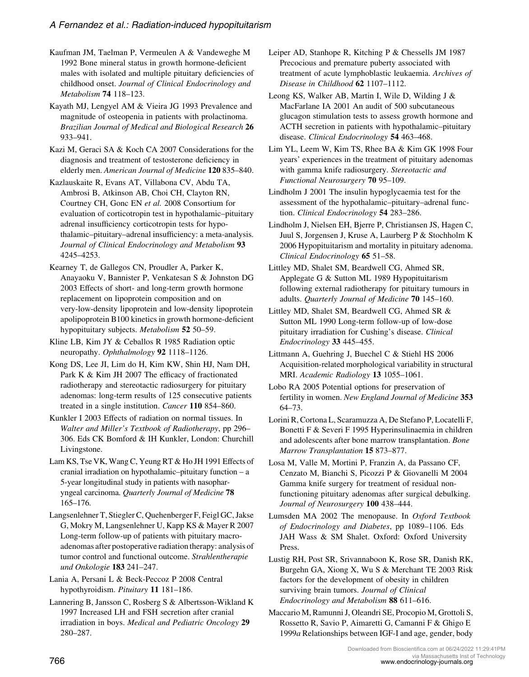<span id="page-33-0"></span>Kaufman JM, Taelman P, Vermeulen A & Vandeweghe M 1992 Bone mineral status in growth hormone-deficient males with isolated and multiple pituitary deficiencies of childhood onset. Journal of Clinical Endocrinology and Metabolism 74 118–123.

Kayath MJ, Lengyel AM & Vieira JG 1993 Prevalence and magnitude of osteopenia in patients with prolactinoma. Brazilian Journal of Medical and Biological Research 26 933–941.

Kazi M, Geraci SA & Koch CA 2007 Considerations for the diagnosis and treatment of testosterone deficiency in elderly men. American Journal of Medicine 120 835–840.

Kazlauskaite R, Evans AT, Villabona CV, Abdu TA, Ambrosi B, Atkinson AB, Choi CH, Clayton RN, Courtney CH, Gonc EN et al. 2008 Consortium for evaluation of corticotropin test in hypothalamic–pituitary adrenal insufficiency corticotropin tests for hypothalamic–pituitary–adrenal insufficiency: a meta-analysis. Journal of Clinical Endocrinology and Metabolism 93 4245–4253.

Kearney T, de Gallegos CN, Proudler A, Parker K, Anayaoku V, Bannister P, Venkatesan S & Johnston DG 2003 Effects of short- and long-term growth hormone replacement on lipoprotein composition and on very-low-density lipoprotein and low-density lipoprotein apolipoprotein B100 kinetics in growth hormone-deficient hypopituitary subjects. Metabolism 52 50-59.

Kline LB, Kim JY & Ceballos R 1985 Radiation optic neuropathy. Ophthalmology 92 1118–1126.

Kong DS, Lee JI, Lim do H, Kim KW, Shin HJ, Nam DH, Park K & Kim JH 2007 The efficacy of fractionated radiotherapy and stereotactic radiosurgery for pituitary adenomas: long-term results of 125 consecutive patients treated in a single institution. Cancer 110 854–860.

Kunkler I 2003 Effects of radiation on normal tissues. In Walter and Miller's Textbook of Radiotherapy, pp 296– 306. Eds CK Bomford & IH Kunkler, London: Churchill Livingstone.

Lam KS, Tse VK, Wang C, Yeung RT & Ho JH 1991 Effects of cranial irradiation on hypothalamic–pituitary function – a 5-year longitudinal study in patients with nasopharyngeal carcinoma. Quarterly Journal of Medicine 78 165–176.

Langsenlehner T, Stiegler C, Quehenberger F, Feigl GC, Jakse G, Mokry M, Langsenlehner U, Kapp KS & Mayer R 2007 Long-term follow-up of patients with pituitary macroadenomas after postoperative radiation therapy: analysis of tumor control and functional outcome. Strahlentherapie und Onkologie 183 241–247.

Lania A, Persani L & Beck-Peccoz P 2008 Central hypothyroidism. Pituitary 11 181–186.

Lannering B, Jansson C, Rosberg S & Albertsson-Wikland K 1997 Increased LH and FSH secretion after cranial irradiation in boys. Medical and Pediatric Oncology 29 280–287.

Leiper AD, Stanhope R, Kitching P & Chessells JM 1987 Precocious and premature puberty associated with treatment of acute lymphoblastic leukaemia. Archives of Disease in Childhood 62 1107–1112.

Leong KS, Walker AB, Martin I, Wile D, Wilding J & MacFarlane IA 2001 An audit of 500 subcutaneous glucagon stimulation tests to assess growth hormone and ACTH secretion in patients with hypothalamic–pituitary disease. Clinical Endocrinology 54 463–468.

Lim YL, Leem W, Kim TS, Rhee BA & Kim GK 1998 Four years' experiences in the treatment of pituitary adenomas with gamma knife radiosurgery. Stereotactic and Functional Neurosurgery 70 95–109.

Lindholm J 2001 The insulin hypoglycaemia test for the assessment of the hypothalamic–pituitary–adrenal function. Clinical Endocrinology 54 283–286.

Lindholm J, Nielsen EH, Bjerre P, Christiansen JS, Hagen C, Juul S, Jorgensen J, Kruse A, Laurberg P & Stochholm K 2006 Hypopituitarism and mortality in pituitary adenoma. Clinical Endocrinology 65 51–58.

Littley MD, Shalet SM, Beardwell CG, Ahmed SR, Applegate G & Sutton ML 1989 Hypopituitarism following external radiotherapy for pituitary tumours in adults. Quarterly Journal of Medicine 70 145–160.

Littley MD, Shalet SM, Beardwell CG, Ahmed SR & Sutton ML 1990 Long-term follow-up of low-dose pituitary irradiation for Cushing's disease. Clinical Endocrinology 33 445–455.

Littmann A, Guehring J, Buechel C & Stiehl HS 2006 Acquisition-related morphological variability in structural MRI. Academic Radiology 13 1055–1061.

Lobo RA 2005 Potential options for preservation of fertility in women. New England Journal of Medicine 353 64–73.

Lorini R, Cortona L, Scaramuzza A, De Stefano P, Locatelli F, Bonetti F & Severi F 1995 Hyperinsulinaemia in children and adolescents after bone marrow transplantation. Bone Marrow Transplantation 15 873–877.

Losa M, Valle M, Mortini P, Franzin A, da Passano CF, Cenzato M, Bianchi S, Picozzi P & Giovanelli M 2004 Gamma knife surgery for treatment of residual nonfunctioning pituitary adenomas after surgical debulking. Journal of Neurosurgery 100 438–444.

Lumsden MA 2002 The menopause. In Oxford Textbook of Endocrinology and Diabetes, pp 1089–1106. Eds JAH Wass & SM Shalet. Oxford: Oxford University Press.

Lustig RH, Post SR, Srivannaboon K, Rose SR, Danish RK, Burgehn GA, Xiong X, Wu S & Merchant TE 2003 Risk factors for the development of obesity in children surviving brain tumors. Journal of Clinical Endocrinology and Metabolism 88 611–616.

Maccario M, Ramunni J, Oleandri SE, Procopio M, Grottoli S, Rossetto R, Savio P, Aimaretti G, Camanni F & Ghigo E 1999a Relationships between IGF-I and age, gender, body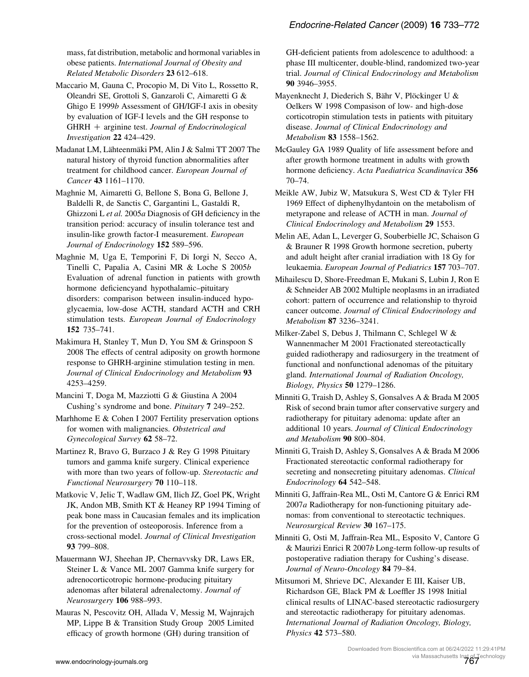<span id="page-34-0"></span>mass, fat distribution, metabolic and hormonal variables in obese patients. International Journal of Obesity and Related Metabolic Disorders 23 612–618.

Maccario M, Gauna C, Procopio M, Di Vito L, Rossetto R, Oleandri SE, Grottoli S, Ganzaroli C, Aimaretti G & Ghigo E 1999b Assessment of GH/IGF-I axis in obesity by evaluation of IGF-I levels and the GH response to  $GHRH$  + arginine test. Journal of Endocrinological Investigation 22 424–429.

Madanat LM, Lähteenmäki PM, Alin J & Salmi TT 2007 The natural history of thyroid function abnormalities after treatment for childhood cancer. European Journal of Cancer 43 1161–1170.

Maghnie M, Aimaretti G, Bellone S, Bona G, Bellone J, Baldelli R, de Sanctis C, Gargantini L, Gastaldi R, Ghizzoni L et al. 2005a Diagnosis of GH deficiency in the transition period: accuracy of insulin tolerance test and insulin-like growth factor-I measurement. European Journal of Endocrinology 152 589-596.

Maghnie M, Uga E, Temporini F, Di Iorgi N, Secco A, Tinelli C, Papalia A, Casini MR & Loche S 2005b Evaluation of adrenal function in patients with growth hormone deficiencyand hypothalamic–pituitary disorders: comparison between insulin-induced hypoglycaemia, low-dose ACTH, standard ACTH and CRH stimulation tests. European Journal of Endocrinology 152 735–741.

Makimura H, Stanley T, Mun D, You SM & Grinspoon S 2008 The effects of central adiposity on growth hormone response to GHRH-arginine stimulation testing in men. Journal of Clinical Endocrinology and Metabolism 93 4253–4259.

Mancini T, Doga M, Mazziotti G & Giustina A 2004 Cushing's syndrome and bone. Pituitary 7 249–252.

Marhhome E & Cohen I 2007 Fertility preservation options for women with malignancies. Obstetrical and Gynecological Survey 62 58–72.

Martinez R, Bravo G, Burzaco J & Rey G 1998 Pituitary tumors and gamma knife surgery. Clinical experience with more than two years of follow-up. Stereotactic and Functional Neurosurgery 70 110–118.

Matkovic V, Jelic T, Wadlaw GM, Ilich JZ, Goel PK, Wright JK, Andon MB, Smith KT & Heaney RP 1994 Timing of peak bone mass in Caucasian females and its implication for the prevention of osteoporosis. Inference from a cross-sectional model. Journal of Clinical Investigation 93 799–808.

Mauermann WJ, Sheehan JP, Chernavvsky DR, Laws ER, Steiner L & Vance ML 2007 Gamma knife surgery for adrenocorticotropic hormone-producing pituitary adenomas after bilateral adrenalectomy. Journal of Neurosurgery 106 988–993.

Mauras N, Pescovitz OH, Allada V, Messig M, Wajnrajch MP, Lippe B & Transition Study Group 2005 Limited efficacy of growth hormone (GH) during transition of

GH-deficient patients from adolescence to adulthood: a phase III multicenter, double-blind, randomized two-year trial. Journal of Clinical Endocrinology and Metabolism 90 3946–3955.

Mayenknecht J, Diederich S, Bähr V, Plöckinger U  $&$ Oelkers W 1998 Compasison of low- and high-dose corticotropin stimulation tests in patients with pituitary disease. Journal of Clinical Endocrinology and Metabolism 83 1558–1562.

McGauley GA 1989 Quality of life assessment before and after growth hormone treatment in adults with growth hormone deficiency. Acta Paediatrica Scandinavica 356 70–74.

Meikle AW, Jubiz W, Matsukura S, West CD & Tyler FH 1969 Effect of diphenylhydantoin on the metabolism of metyrapone and release of ACTH in man. Journal of Clinical Endocrinology and Metabolism 29 1553.

Melin AE, Adan L, Leverger G, Souberbielle JC, Schaison G & Brauner R 1998 Growth hormone secretion, puberty and adult height after cranial irradiation with 18 Gy for leukaemia. European Journal of Pediatrics 157 703–707.

Mihailescu D, Shore-Freedman E, Mukani S, Lubin J, Ron E & Schneider AB 2002 Multiple neoplasms in an irradiated cohort: pattern of occurrence and relationship to thyroid cancer outcome. Journal of Clinical Endocrinology and Metabolism 87 3236–3241.

Milker-Zabel S, Debus J, Thilmann C, Schlegel W & Wannenmacher M 2001 Fractionated stereotactically guided radiotherapy and radiosurgery in the treatment of functional and nonfunctional adenomas of the pituitary gland. International Journal of Radiation Oncology, Biology, Physics 50 1279–1286.

Minniti G, Traish D, Ashley S, Gonsalves A & Brada M 2005 Risk of second brain tumor after conservative surgery and radiotherapy for pituitary adenoma: update after an additional 10 years. Journal of Clinical Endocrinology and Metabolism 90 800–804.

Minniti G, Traish D, Ashley S, Gonsalves A & Brada M 2006 Fractionated stereotactic conformal radiotherapy for secreting and nonsecreting pituitary adenomas. Clinical Endocrinology 64 542–548.

Minniti G, Jaffrain-Rea ML, Osti M, Cantore G & Enrici RM 2007a Radiotherapy for non-functioning pituitary adenomas: from conventional to stereotactic techniques. Neurosurgical Review 30 167–175.

Minniti G, Osti M, Jaffrain-Rea ML, Esposito V, Cantore G & Maurizi Enrici R 2007b Long-term follow-up results of postoperative radiation therapy for Cushing's disease. Journal of Neuro-Oncology 84 79–84.

Mitsumori M, Shrieve DC, Alexander E III, Kaiser UB, Richardson GE, Black PM & Loeffler JS 1998 Initial clinical results of LINAC-based stereotactic radiosurgery and stereotactic radiotherapy for pituitary adenomas. International Journal of Radiation Oncology, Biology, Physics 42 573–580.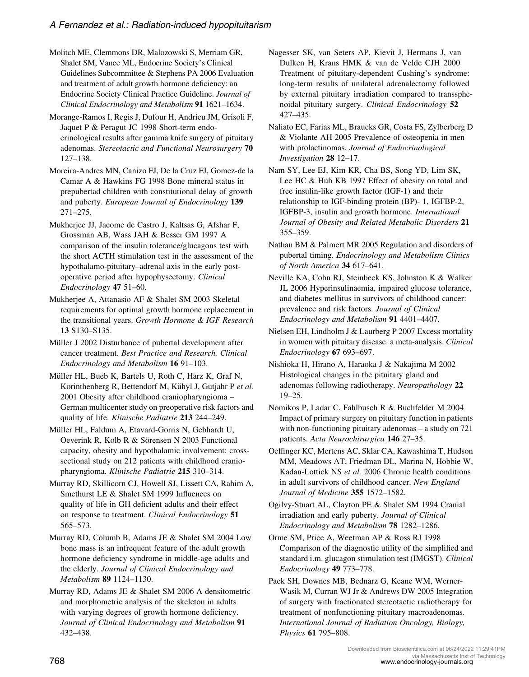<span id="page-35-0"></span>Molitch ME, Clemmons DR, Malozowski S, Merriam GR, Shalet SM, Vance ML, Endocrine Society's Clinical Guidelines Subcommittee & Stephens PA 2006 Evaluation and treatment of adult growth hormone deficiency: an Endocrine Society Clinical Practice Guideline. Journal of Clinical Endocrinology and Metabolism 91 1621–1634.

Morange-Ramos I, Regis J, Dufour H, Andrieu JM, Grisoli F, Jaquet P & Peragut JC 1998 Short-term endocrinological results after gamma knife surgery of pituitary adenomas. Stereotactic and Functional Neurosurgery 70 127–138.

Moreira-Andres MN, Canizo FJ, De la Cruz FJ, Gomez-de la Camar A & Hawkins FG 1998 Bone mineral status in prepubertad children with constitutional delay of growth and puberty. European Journal of Endocrinology 139 271–275.

Mukherjee JJ, Jacome de Castro J, Kaltsas G, Afshar F, Grossman AB, Wass JAH & Besser GM 1997 A comparison of the insulin tolerance/glucagons test with the short ACTH stimulation test in the assessment of the hypothalamo-pituitary–adrenal axis in the early postoperative period after hypophysectomy. Clinical Endocrinology 47 51–60.

Mukherjee A, Attanasio AF & Shalet SM 2003 Skeletal requirements for optimal growth hormone replacement in the transitional years. Growth Hormone & IGF Research 13 S130–S135.

Müller J 2002 Disturbance of pubertal development after cancer treatment. Best Practice and Research. Clinical Endocrinology and Metabolism 16 91–103.

Müller HL, Bueb K, Bartels U, Roth C, Harz K, Graf N, Korinthenberg R, Bettendorf M, Kühyl J, Gutjahr P et al. 2001 Obesity after childhood craniopharyngioma – German multicenter study on preoperative risk factors and quality of life. Klinische Padiatrie 213 244–249.

Müller HL, Faldum A, Etavard-Gorris N, Gebhardt U, Oeverink R, Kolb R & Sörensen N 2003 Functional capacity, obesity and hypothalamic involvement: crosssectional study on 212 patients with childhood craniopharyngioma. Klinische Padiatrie 215 310–314.

Murray RD, Skillicorn CJ, Howell SJ, Lissett CA, Rahim A, Smethurst LE & Shalet SM 1999 Influences on quality of life in GH deficient adults and their effect on response to treatment. Clinical Endocrinology 51 565–573.

Murray RD, Columb B, Adams JE & Shalet SM 2004 Low bone mass is an infrequent feature of the adult growth hormone deficiency syndrome in middle-age adults and the elderly. Journal of Clinical Endocrinology and Metabolism 89 1124–1130.

Murray RD, Adams JE & Shalet SM 2006 A densitometric and morphometric analysis of the skeleton in adults with varying degrees of growth hormone deficiency. Journal of Clinical Endocrinology and Metabolism 91 432–438.

Nagesser SK, van Seters AP, Kievit J, Hermans J, van Dulken H, Krans HMK & van de Velde CJH 2000 Treatment of pituitary-dependent Cushing's syndrome: long-term results of unilateral adrenalectomy followed by external pituitary irradiation compared to transsphenoidal pituitary surgery. Clinical Endocrinology 52 427–435.

Naliato EC, Farias ML, Braucks GR, Costa FS, Zylberberg D & Violante AH 2005 Prevalence of osteopenia in men with prolactinomas. Journal of Endocrinological Investigation 28 12–17.

Nam SY, Lee EJ, Kim KR, Cha BS, Song YD, Lim SK, Lee HC & Huh KB 1997 Effect of obesity on total and free insulin-like growth factor (IGF-1) and their relationship to IGF-binding protein (BP)- 1, IGFBP-2, IGFBP-3, insulin and growth hormone. International Journal of Obesity and Related Metabolic Disorders 21 355–359.

Nathan BM & Palmert MR 2005 Regulation and disorders of pubertal timing. Endocrinology and Metabolism Clinics of North America 34 617–641.

Neville KA, Cohn RJ, Steinbeck KS, Johnston K & Walker JL 2006 Hyperinsulinaemia, impaired glucose tolerance, and diabetes mellitus in survivors of childhood cancer: prevalence and risk factors. Journal of Clinical Endocrinology and Metabolism 91 4401–4407.

Nielsen EH, Lindholm J & Laurberg P 2007 Excess mortality in women with pituitary disease: a meta-analysis. Clinical Endocrinology 67 693–697.

Nishioka H, Hirano A, Haraoka J & Nakajima M 2002 Histological changes in the pituitary gland and adenomas following radiotherapy. Neuropathology 22 19–25.

Nomikos P, Ladar C, Fahlbusch R & Buchfelder M 2004 Impact of primary surgery on pituitary function in patients with non-functioning pituitary adenomas – a study on 721 patients. Acta Neurochirurgica 146 27–35.

Oeffinger KC, Mertens AC, Sklar CA, Kawashima T, Hudson MM, Meadows AT, Friedman DL, Marina N, Hobbie W, Kadan-Lottick NS et al. 2006 Chronic health conditions in adult survivors of childhood cancer. New England Journal of Medicine 355 1572–1582.

Ogilvy-Stuart AL, Clayton PE & Shalet SM 1994 Cranial irradiation and early puberty. Journal of Clinical Endocrinology and Metabolism 78 1282–1286.

Orme SM, Price A, Weetman AP & Ross RJ 1998 Comparison of the diagnostic utility of the simplified and standard i.m. glucagon stimulation test (IMGST). Clinical Endocrinology 49 773–778.

Paek SH, Downes MB, Bednarz G, Keane WM, Werner-Wasik M, Curran WJ Jr & Andrews DW 2005 Integration of surgery with fractionated stereotactic radiotherapy for treatment of nonfunctioning pituitary macroadenomas. International Journal of Radiation Oncology, Biology, Physics 61 795–808.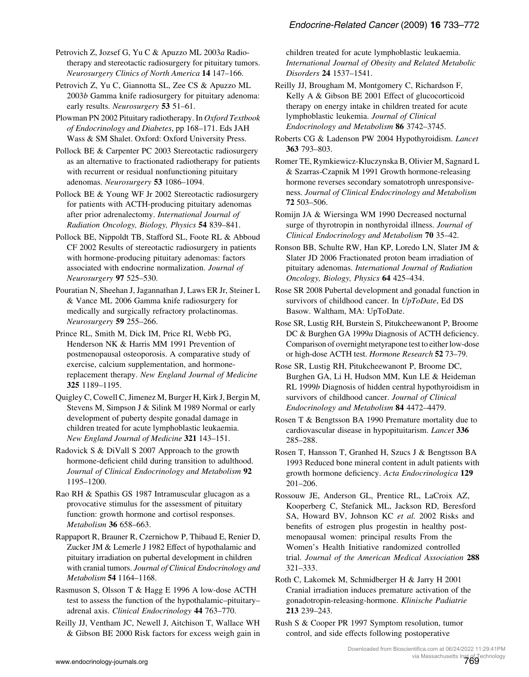<span id="page-36-0"></span>Petrovich Z, Jozsef G, Yu C & Apuzzo ML 2003a Radiotherapy and stereotactic radiosurgery for pituitary tumors. Neurosurgery Clinics of North America 14 147–166.

Petrovich Z, Yu C, Giannotta SL, Zee CS & Apuzzo ML 2003b Gamma knife radiosurgery for pituitary adenoma: early results. Neurosurgery 53 51-61.

Plowman PN 2002 Pituitary radiotherapy. In Oxford Textbook of Endocrinology and Diabetes, pp 168–171. Eds JAH Wass & SM Shalet. Oxford: Oxford University Press.

Pollock BE & Carpenter PC 2003 Stereotactic radiosurgery as an alternative to fractionated radiotherapy for patients with recurrent or residual nonfunctioning pituitary adenomas. Neurosurgery 53 1086-1094.

Pollock BE & Young WF Jr 2002 Stereotactic radiosurgery for patients with ACTH-producing pituitary adenomas after prior adrenalectomy. International Journal of Radiation Oncology, Biology, Physics 54 839-841.

Pollock BE, Nippoldt TB, Stafford SL, Foote RL & Abboud CF 2002 Results of stereotactic radiosurgery in patients with hormone-producing pituitary adenomas: factors associated with endocrine normalization. Journal of Neurosurgery 97 525–530.

Pouratian N, Sheehan J, Jagannathan J, Laws ER Jr, Steiner L & Vance ML 2006 Gamma knife radiosurgery for medically and surgically refractory prolactinomas. Neurosurgery 59 255–266.

Prince RL, Smith M, Dick IM, Price RI, Webb PG, Henderson NK & Harris MM 1991 Prevention of postmenopausal osteoporosis. A comparative study of exercise, calcium supplementation, and hormonereplacement therapy. New England Journal of Medicine 325 1189–1195.

Quigley C, Cowell C, Jimenez M, Burger H, Kirk J, Bergin M, Stevens M, Simpson J & Silink M 1989 Normal or early development of puberty despite gonadal damage in children treated for acute lymphoblastic leukaemia. New England Journal of Medicine 321 143–151.

Radovick S & DiVall S 2007 Approach to the growth hormone-deficient child during transition to adulthood. Journal of Clinical Endocrinology and Metabolism 92 1195–1200.

Rao RH & Spathis GS 1987 Intramuscular glucagon as a provocative stimulus for the assessment of pituitary function: growth hormone and cortisol responses. Metabolism 36 658–663.

Rappaport R, Brauner R, Czernichow P, Thibaud E, Renier D, Zucker JM & Lemerle J 1982 Effect of hypothalamic and pituitary irradiation on pubertal development in children with cranial tumors. Journal of Clinical Endocrinology and Metabolism 54 1164–1168.

Rasmuson S, Olsson T & Hagg E 1996 A low-dose ACTH test to assess the function of the hypothalamic–pituitary– adrenal axis. Clinical Endocrinology 44 763–770.

Reilly JJ, Ventham JC, Newell J, Aitchison T, Wallace WH & Gibson BE 2000 Risk factors for excess weigh gain in children treated for acute lymphoblastic leukaemia. International Journal of Obesity and Related Metabolic Disorders 24 1537–1541.

Reilly JJ, Brougham M, Montgomery C, Richardson F, Kelly A & Gibson BE 2001 Effect of glucocorticoid therapy on energy intake in children treated for acute lymphoblastic leukemia. Journal of Clinical Endocrinology and Metabolism 86 3742–3745.

Roberts CG & Ladenson PW 2004 Hypothyroidism. Lancet 363 793–803.

Romer TE, Rymkiewicz-Kluczynska B, Olivier M, Sagnard L & Szarras-Czapnik M 1991 Growth hormone-releasing hormone reverses secondary somatotroph unresponsiveness. Journal of Clinical Endocrinology and Metabolism 72 503–506.

Romijn JA & Wiersinga WM 1990 Decreased nocturnal surge of thyrotropin in nonthyroidal illness. Journal of Clinical Endocrinology and Metabolism 70 35–42.

Ronson BB, Schulte RW, Han KP, Loredo LN, Slater JM & Slater JD 2006 Fractionated proton beam irradiation of pituitary adenomas. International Journal of Radiation Oncology, Biology, Physics 64 425–434.

Rose SR 2008 Pubertal development and gonadal function in survivors of childhood cancer. In UpToDate, Ed DS Basow. Waltham, MA: UpToDate.

Rose SR, Lustig RH, Burstein S, Pitukcheewanont P, Broome DC & Burghen GA 1999a Diagnosis of ACTH deficiency. Comparison of overnight metyrapone test to either low-dose or high-dose ACTH test. Hormone Research 52 73–79.

Rose SR, Lustig RH, Pitukcheewanont P, Broome DC, Burghen GA, Li H, Hudson MM, Kun LE & Heideman RL 1999b Diagnosis of hidden central hypothyroidism in survivors of childhood cancer. Journal of Clinical Endocrinology and Metabolism 84 4472–4479.

Rosen T & Bengtsson BA 1990 Premature mortality due to cardiovascular disease in hypopituitarism. Lancet 336 285–288.

Rosen T, Hansson T, Granhed H, Szucs J & Bengtsson BA 1993 Reduced bone mineral content in adult patients with growth hormone deficiency. Acta Endocrinologica 129 201–206.

Rossouw JE, Anderson GL, Prentice RL, LaCroix AZ, Kooperberg C, Stefanick ML, Jackson RD, Beresford SA, Howard BV, Johnson KC et al. 2002 Risks and benefits of estrogen plus progestin in healthy postmenopausal women: principal results From the Women's Health Initiative randomized controlled trial. Journal of the American Medical Association 288 321–333.

Roth C, Lakomek M, Schmidberger H & Jarry H 2001 Cranial irradiation induces premature activation of the gonadotropin-releasing-hormone. Klinische Padiatrie 213 239–243.

Rush S & Cooper PR 1997 Symptom resolution, tumor control, and side effects following postoperative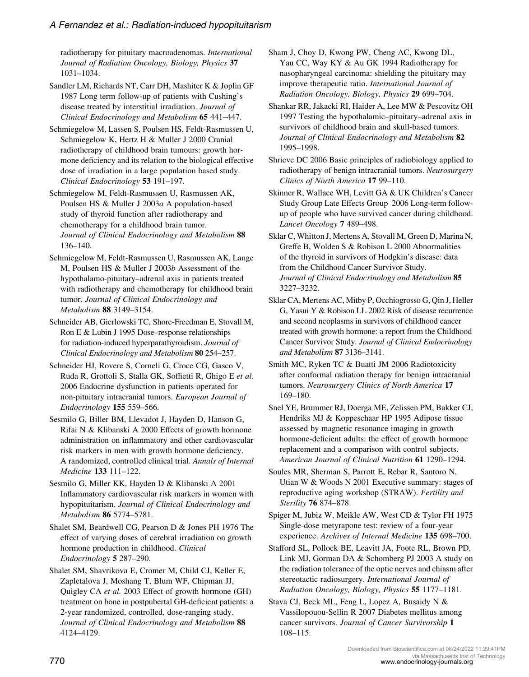<span id="page-37-0"></span>radiotherapy for pituitary macroadenomas. International Journal of Radiation Oncology, Biology, Physics 37 1031–1034.

Sandler LM, Richards NT, Carr DH, Mashiter K & Joplin GF 1987 Long term follow-up of patients with Cushing's disease treated by interstitial irradiation. Journal of Clinical Endocrinology and Metabolism 65 441–447.

Schmiegelow M, Lassen S, Poulsen HS, Feldt-Rasmussen U, Schmiegelow K, Hertz H & Muller J 2000 Cranial radiotherapy of childhood brain tumours: growth hormone deficiency and its relation to the biological effective dose of irradiation in a large population based study. Clinical Endocrinology 53 191–197.

Schmiegelow M, Feldt-Rasmussen U, Rasmussen AK, Poulsen HS & Muller J 2003a A population-based study of thyroid function after radiotherapy and chemotherapy for a childhood brain tumor. Journal of Clinical Endocrinology and Metabolism 88 136–140.

Schmiegelow M, Feldt-Rasmussen U, Rasmussen AK, Lange M, Poulsen HS & Muller J 2003b Assessment of the hypothalamo-pituitary–adrenal axis in patients treated with radiotherapy and chemotherapy for childhood brain tumor. Journal of Clinical Endocrinology and Metabolism 88 3149–3154.

Schneider AB, Gierlowski TC, Shore-Freedman E, Stovall M, Ron E & Lubin J 1995 Dose–response relationships for radiation-induced hyperparathyroidism. Journal of Clinical Endocrinology and Metabolism 80 254–257.

Schneider HJ, Rovere S, Corneli G, Croce CG, Gasco V, Ruda R, Grottoli S, Stalla GK, Soffietti R, Ghigo E et al. 2006 Endocrine dysfunction in patients operated for non-pituitary intracranial tumors. European Journal of Endocrinology 155 559–566.

Sesmilo G, Biller BM, Llevadot J, Hayden D, Hanson G, Rifai N & Klibanski A 2000 Effects of growth hormone administration on inflammatory and other cardiovascular risk markers in men with growth hormone deficiency. A randomized, controlled clinical trial. Annals of Internal Medicine 133 111–122.

Sesmilo G, Miller KK, Hayden D & Klibanski A 2001 Inflammatory cardiovascular risk markers in women with hypopituitarism. Journal of Clinical Endocrinology and Metabolism 86 5774–5781.

Shalet SM, Beardwell CG, Pearson D & Jones PH 1976 The effect of varying doses of cerebral irradiation on growth hormone production in childhood. Clinical Endocrinology 5 287–290.

Shalet SM, Shavrikova E, Cromer M, Child CJ, Keller E, Zapletalova J, Moshang T, Blum WF, Chipman JJ, Quigley CA et al. 2003 Effect of growth hormone (GH) treatment on bone in postpubertal GH-deficient patients: a 2-year randomized, controlled, dose-ranging study. Journal of Clinical Endocrinology and Metabolism 88 4124–4129.

Sham J, Choy D, Kwong PW, Cheng AC, Kwong DL, Yau CC, Way KY & Au GK 1994 Radiotherapy for nasopharyngeal carcinoma: shielding the pituitary may improve therapeutic ratio. International Journal of Radiation Oncology, Biology, Physics 29 699–704.

Shankar RR, Jakacki RI, Haider A, Lee MW & Pescovitz OH 1997 Testing the hypothalamic–pituitary–adrenal axis in survivors of childhood brain and skull-based tumors. Journal of Clinical Endocrinology and Metabolism 82 1995–1998.

Shrieve DC 2006 Basic principles of radiobiology applied to radiotherapy of benign intracranial tumors. Neurosurgery Clinics of North America 17 99–110.

Skinner R, Wallace WH, Levitt GA & UK Children's Cancer Study Group Late Effects Group 2006 Long-term followup of people who have survived cancer during childhood. Lancet Oncology 7 489–498.

Sklar C, Whitton J, Mertens A, Stovall M, Green D, Marina N, Greffe B, Wolden S & Robison L 2000 Abnormalities of the thyroid in survivors of Hodgkin's disease: data from the Childhood Cancer Survivor Study. Journal of Clinical Endocrinology and Metabolism 85 3227–3232.

Sklar CA, Mertens AC, Mitby P, Occhiogrosso G, Qin J, Heller G, Yasui Y & Robison LL 2002 Risk of disease recurrence and second neoplasms in survivors of childhood cancer treated with growth hormone: a report from the Childhood Cancer Survivor Study. Journal of Clinical Endocrinology and Metabolism 87 3136–3141.

Smith MC, Ryken TC & Buatti JM 2006 Radiotoxicity after conformal radiation therapy for benign intracranial tumors. Neurosurgery Clinics of North America 17 169–180.

Snel YE, Brummer RJ, Doerga ME, Zelissen PM, Bakker CJ, Hendriks MJ & Koppeschaar HP 1995 Adipose tissue assessed by magnetic resonance imaging in growth hormone-deficient adults: the effect of growth hormone replacement and a comparison with control subjects. American Journal of Clinical Nutrition 61 1290–1294.

Soules MR, Sherman S, Parrott E, Rebar R, Santoro N, Utian W & Woods N 2001 Executive summary: stages of reproductive aging workshop (STRAW). Fertility and Sterility 76 874–878.

Spiger M, Jubiz W, Meikle AW, West CD & Tylor FH 1975 Single-dose metyrapone test: review of a four-year experience. Archives of Internal Medicine 135 698–700.

Stafford SL, Pollock BE, Leavitt JA, Foote RL, Brown PD, Link MJ, Gorman DA & Schomberg PJ 2003 A study on the radiation tolerance of the optic nerves and chiasm after stereotactic radiosurgery. International Journal of Radiation Oncology, Biology, Physics 55 1177–1181.

Stava CJ, Beck ML, Feng L, Lopez A, Busaidy N & Vassilopouou-Sellin R 2007 Diabetes mellitus among cancer survivors. Journal of Cancer Survivorship 1 108–115.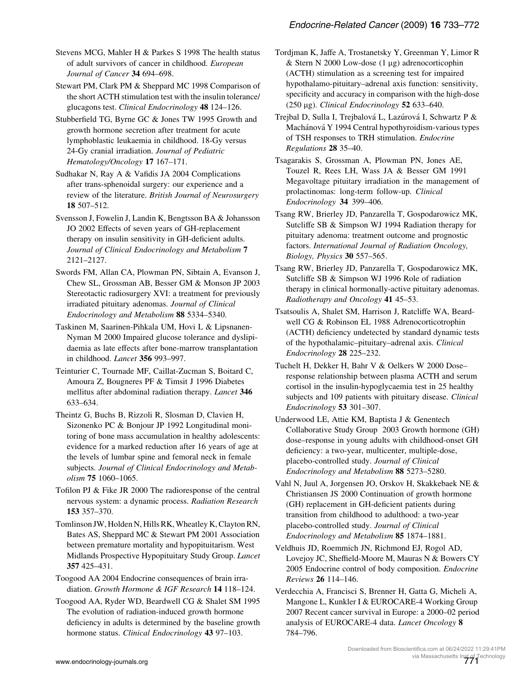<span id="page-38-0"></span>Stevens MCG, Mahler H & Parkes S 1998 The health status of adult survivors of cancer in childhood. European Journal of Cancer 34 694–698.

Stewart PM, Clark PM & Sheppard MC 1998 Comparison of the short ACTH stimulation test with the insulin tolerance/ glucagons test. Clinical Endocrinology 48 124–126.

Stubberfield TG, Byrne GC & Jones TW 1995 Growth and growth hormone secretion after treatment for acute lymphoblastic leukaemia in childhood. 18-Gy versus 24-Gy cranial irradiation. Journal of Pediatric Hematology/Oncology 17 167–171.

Sudhakar N, Ray A & Vafidis JA 2004 Complications after trans-sphenoidal surgery: our experience and a review of the literature. British Journal of Neurosurgery 18 507–512.

Svensson J, Fowelin J, Landin K, Bengtsson BA & Johansson JO 2002 Effects of seven years of GH-replacement therapy on insulin sensitivity in GH-deficient adults. Journal of Clinical Endocrinology and Metabolism 7 2121–2127.

Swords FM, Allan CA, Plowman PN, Sibtain A, Evanson J, Chew SL, Grossman AB, Besser GM & Monson JP 2003 Stereotactic radiosurgery XVI: a treatment for previously irradiated pituitary adenomas. Journal of Clinical Endocrinology and Metabolism 88 5334–5340.

Taskinen M, Saarinen-Pihkala UM, Hovi L & Lipsnanen-Nyman M 2000 Impaired glucose tolerance and dyslipidaemia as late effects after bone-marrow transplantation in childhood. *Lancet* 356 993-997.

Teinturier C, Tournade MF, Caillat-Zucman S, Boitard C, Amoura Z, Bougneres PF & Timsit J 1996 Diabetes mellitus after abdominal radiation therapy. Lancet 346 633–634.

Theintz G, Buchs B, Rizzoli R, Slosman D, Clavien H, Sizonenko PC & Bonjour JP 1992 Longitudinal monitoring of bone mass accumulation in healthy adolescents: evidence for a marked reduction after 16 years of age at the levels of lumbar spine and femoral neck in female subjects. Journal of Clinical Endocrinology and Metabolism 75 1060–1065.

Tofilon PJ & Fike JR 2000 The radioresponse of the central nervous system: a dynamic process. Radiation Research 153 357–370.

Tomlinson JW, Holden N, Hills RK, Wheatley K, Clayton RN, Bates AS, Sheppard MC & Stewart PM 2001 Association between premature mortality and hypopituitarism. West Midlands Prospective Hypopituitary Study Group. Lancet 357 425–431.

Toogood AA 2004 Endocrine consequences of brain irradiation. Growth Hormone & IGF Research 14 118–124.

Toogood AA, Ryder WD, Beardwell CG & Shalet SM 1995 The evolution of radiation-induced growth hormone deficiency in adults is determined by the baseline growth hormone status. Clinical Endocrinology 43 97-103.

Tordjman K, Jaffe A, Trostanetsky Y, Greenman Y, Limor R & Stern N 2000 Low-dose  $(1 \mu g)$  adrenocorticophin (ACTH) stimulation as a screening test for impaired hypothalamo-pituitary–adrenal axis function: sensitivity, specificity and accuracy in comparison with the high-dose (250 µg). Clinical Endocrinology  $52$  633-640.

Trejbal D, Sulla I, Trejbalová L, Lazúrová I, Schwartz P & Machánová Y 1994 Central hypothyroidism-various types of TSH responses to TRH stimulation. Endocrine Regulations 28 35–40.

Tsagarakis S, Grossman A, Plowman PN, Jones AE, Touzel R, Rees LH, Wass JA & Besser GM 1991 Megavoltage pituitary irradiation in the management of prolactinomas: long-term follow-up. Clinical Endocrinology 34 399–406.

Tsang RW, Brierley JD, Panzarella T, Gospodarowicz MK, Sutcliffe SB & Simpson WJ 1994 Radiation therapy for pituitary adenoma: treatment outcome and prognostic factors. International Journal of Radiation Oncology, Biology, Physics 30 557–565.

Tsang RW, Brierley JD, Panzarella T, Gospodarowicz MK, Sutcliffe SB & Simpson WJ 1996 Role of radiation therapy in clinical hormonally-active pituitary adenomas. Radiotherapy and Oncology 41 45–53.

Tsatsoulis A, Shalet SM, Harrison J, Ratcliffe WA, Beardwell CG & Robinson EL 1988 Adrenocorticotrophin (ACTH) deficiency undetected by standard dynamic tests of the hypothalamic–pituitary–adrenal axis. Clinical Endocrinology 28 225–232.

Tuchelt H, Dekker H, Bahr V & Oelkers W 2000 Dose– response relationship between plasma ACTH and serum cortisol in the insulin-hypoglycaemia test in 25 healthy subjects and 109 patients with pituitary disease. *Clinical* Endocrinology 53 301–307.

Underwood LE, Attie KM, Baptista J & Genentech Collaborative Study Group 2003 Growth hormone (GH) dose–response in young adults with childhood-onset GH deficiency: a two-year, multicenter, multiple-dose, placebo-controlled study. Journal of Clinical Endocrinology and Metabolism 88 5273–5280.

Vahl N, Juul A, Jorgensen JO, Orskov H, Skakkebaek NE & Christiansen JS 2000 Continuation of growth hormone (GH) replacement in GH-deficient patients during transition from childhood to adulthood: a two-year placebo-controlled study. Journal of Clinical Endocrinology and Metabolism 85 1874–1881.

Veldhuis JD, Roemmich JN, Richmond EJ, Rogol AD, Lovejoy JC, Sheffield-Moore M, Mauras N & Bowers CY 2005 Endocrine control of body composition. Endocrine Reviews 26 114–146.

Verdecchia A, Francisci S, Brenner H, Gatta G, Micheli A, Mangone L, Kunkler I & EUROCARE-4 Working Group 2007 Recent cancer survival in Europe: a 2000–02 period analysis of EUROCARE-4 data. Lancet Oncology 8 784–796.